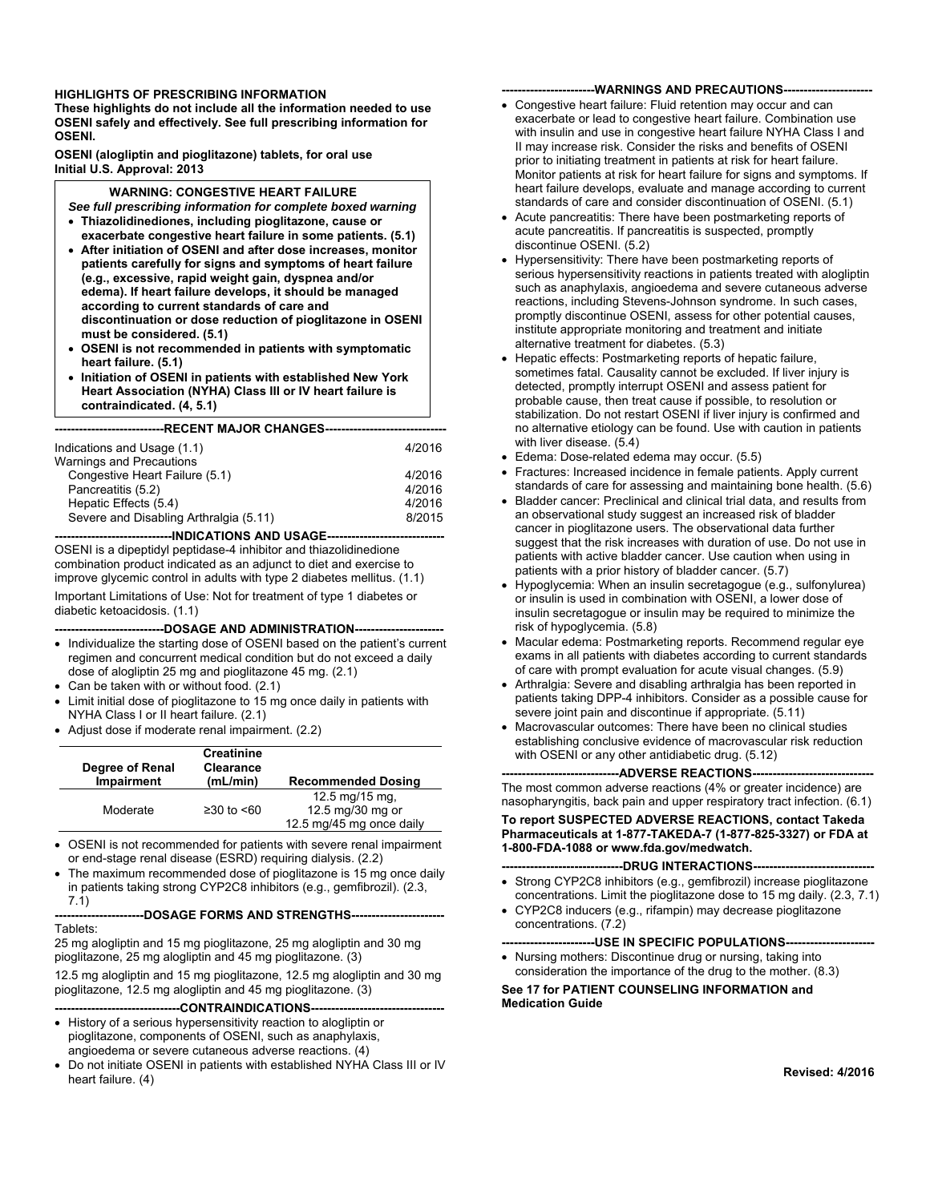#### **HIGHLIGHTS OF PRESCRIBING INFORMATION**

**These highlights do not include all the information needed to use OSENI safely and effectively. See full prescribing information for OSENI.** 

**OSENI (alogliptin and pioglitazone) tablets, for oral use Initial U.S. Approval: 2013** 

**WARNING: CONGESTIVE HEART FAILURE**  *See full prescribing information for complete boxed warning* 

- **Thiazolidinediones, including pioglitazone, cause or exacerbate congestive heart failure in some patients. (5.1)**
- **After initiation of OSENI and after dose increases, monitor patients carefully for signs and symptoms of heart failure (e.g., excessive, rapid weight gain, dyspnea and/or edema). If heart failure develops, it should be managed according to current standards of care and discontinuation or dose reduction of pioglitazone in OSENI must be considered. (5.1)**
- **OSENI is not recommended in patients with symptomatic heart failure. (5.1)**
- **Initiation of OSENI in patients with established New York Heart Association (NYHA) Class III or IV heart failure is contraindicated. (4, 5.1)**

#### **--RECENT MAJOR CHANGES--**

| Indications and Usage (1.1)            | 4/2016 |
|----------------------------------------|--------|
| Warnings and Precautions               |        |
| Congestive Heart Failure (5.1)         | 4/2016 |
| Pancreatitis (5.2)                     | 4/2016 |
| Hepatic Effects (5.4)                  | 4/2016 |
| Severe and Disabling Arthralgia (5.11) | 8/2015 |

**-----------------------------INDICATIONS AND USAGE-----------------------------**  OSENI is a dipeptidyl peptidase-4 inhibitor and thiazolidinedione

combination product indicated as an adjunct to diet and exercise to improve glycemic control in adults with type 2 diabetes mellitus. (1.1)

Important Limitations of Use: Not for treatment of type 1 diabetes or diabetic ketoacidosis. (1.1)

- **---------------------------DOSAGE AND ADMINISTRATION----------------------**
- Individualize the starting dose of OSENI based on the patient's current regimen and concurrent medical condition but do not exceed a daily dose of alogliptin 25 mg and pioglitazone 45 mg. (2.1)
- Can be taken with or without food. (2.1)
- Limit initial dose of pioglitazone to 15 mg once daily in patients with NYHA Class I or II heart failure. (2.1)
- Adjust dose if moderate renal impairment. (2.2)

| Degree of Renal<br><b>Impairment</b> | <b>Creatinine</b><br><b>Clearance</b><br>(mL/min) | <b>Recommended Dosing</b>                                      |
|--------------------------------------|---------------------------------------------------|----------------------------------------------------------------|
| Moderate                             | $≥30$ to $≤60$                                    | 12.5 mg/15 mg,<br>12.5 mg/30 mg or<br>12.5 mg/45 mg once daily |

- OSENI is not recommended for patients with severe renal impairment or end-stage renal disease (ESRD) requiring dialysis. (2.2)
- The maximum recommended dose of pioglitazone is 15 mg once daily in patients taking strong CYP2C8 inhibitors (e.g., gemfibrozil). (2.3, 7.1)

#### **----------------------DOSAGE FORMS AND STRENGTHS-----------------------**  Tablets:

25 mg alogliptin and 15 mg pioglitazone, 25 mg alogliptin and 30 mg pioglitazone, 25 mg alogliptin and 45 mg pioglitazone. (3)

12.5 mg alogliptin and 15 mg pioglitazone, 12.5 mg alogliptin and 30 mg pioglitazone, 12.5 mg alogliptin and 45 mg pioglitazone. (3)

#### **-------------------------------CONTRAINDICATIONS---------------------------------**

- History of a serious hypersensitivity reaction to alogliptin or pioglitazone, components of OSENI, such as anaphylaxis, angioedema or severe cutaneous adverse reactions. (4)
- Do not initiate OSENI in patients with established NYHA Class III or IV heart failure. (4)

#### --WARNINGS AND PRECAUTIONS---

- Congestive heart failure: Fluid retention may occur and can exacerbate or lead to congestive heart failure. Combination use with insulin and use in congestive heart failure NYHA Class I and II may increase risk. Consider the risks and benefits of OSENI prior to initiating treatment in patients at risk for heart failure. Monitor patients at risk for heart failure for signs and symptoms. If heart failure develops, evaluate and manage according to current standards of care and consider discontinuation of OSENI. (5.1)
- Acute pancreatitis: There have been postmarketing reports of acute pancreatitis. If pancreatitis is suspected, promptly discontinue OSENI. (5.2)
- Hypersensitivity: There have been postmarketing reports of serious hypersensitivity reactions in patients treated with alogliptin such as anaphylaxis, angioedema and severe cutaneous adverse reactions, including Stevens-Johnson syndrome. In such cases, promptly discontinue OSENI, assess for other potential causes, institute appropriate monitoring and treatment and initiate alternative treatment for diabetes. (5.3)
- Hepatic effects: Postmarketing reports of hepatic failure, sometimes fatal. Causality cannot be excluded. If liver injury is detected, promptly interrupt OSENI and assess patient for probable cause, then treat cause if possible, to resolution or stabilization. Do not restart OSENI if liver injury is confirmed and no alternative etiology can be found. Use with caution in patients with liver disease. (5.4)
- Edema: Dose-related edema may occur. (5.5)
- Fractures: Increased incidence in female patients. Apply current standards of care for assessing and maintaining bone health. (5.6)
- Bladder cancer: Preclinical and clinical trial data, and results from an observational study suggest an increased risk of bladder cancer in pioglitazone users. The observational data further suggest that the risk increases with duration of use. Do not use in patients with active bladder cancer. Use caution when using in patients with a prior history of bladder cancer. (5.7)
- Hypoglycemia: When an insulin secretagogue (e.g., sulfonylurea) or insulin is used in combination with OSENI, a lower dose of insulin secretagogue or insulin may be required to minimize the risk of hypoglycemia. (5.8)
- Macular edema: Postmarketing reports. Recommend regular eye exams in all patients with diabetes according to current standards of care with prompt evaluation for acute visual changes. (5.9)
- Arthralgia: Severe and disabling arthralgia has been reported in patients taking DPP-4 inhibitors. Consider as a possible cause for severe joint pain and discontinue if appropriate. (5.11)
- Macrovascular outcomes: There have been no clinical studies establishing conclusive evidence of macrovascular risk reduction with OSENI or any other antidiabetic drug. (5.12)

**-----------------------------ADVERSE REACTIONS------------------------------**  The most common adverse reactions (4% or greater incidence) are nasopharyngitis, back pain and upper respiratory tract infection. (6.1)

**To report SUSPECTED ADVERSE REACTIONS, contact Takeda Pharmaceuticals at 1-877-TAKEDA-7 (1-877-825-3327) or FDA at 1-800-FDA-1088 or www.fda.gov/medwatch.** 

#### --DRUG INTERACTIONS--

- Strong CYP2C8 inhibitors (e.g., gemfibrozil) increase pioglitazone concentrations. Limit the pioglitazone dose to 15 mg daily. (2.3, 7.1)
- CYP2C8 inducers (e.g., rifampin) may decrease pioglitazone concentrations. (7.2)

#### **--USE IN SPECIFIC POPULATIONS---**

• Nursing mothers: Discontinue drug or nursing, taking into consideration the importance of the drug to the mother. (8.3)

**See 17 for PATIENT COUNSELING INFORMATION and Medication Guide**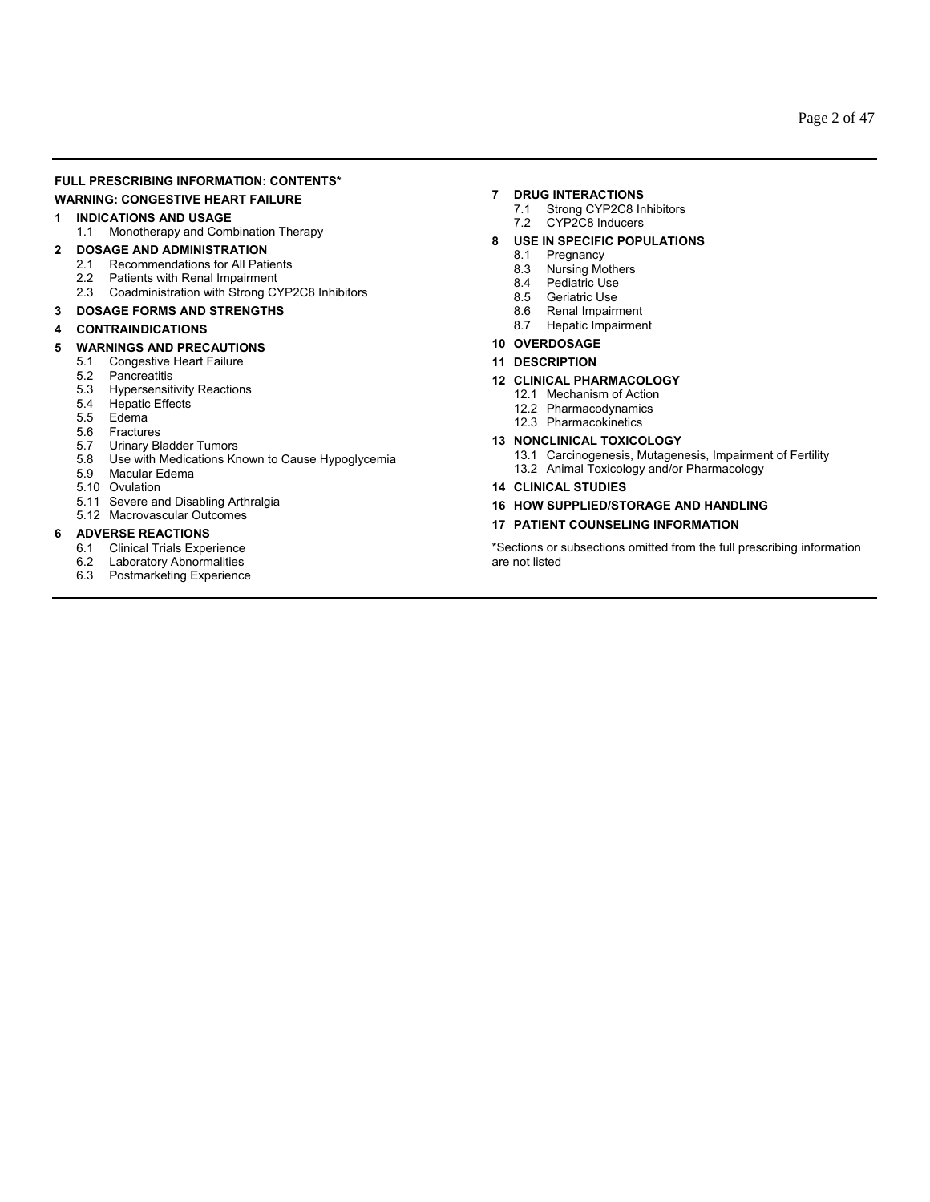#### **FULL PRESCRIBING INFORMATION: CONTENTS\***

**WARNING: CONGESTIVE HEART FAILURE** 

#### **1 INDICATIONS AND USAGE**

1.1 Monotherapy and Combination Therapy

#### **2 DOSAGE AND ADMINISTRATION**

- 2.1 Recommendations for All Patients
- 2.2 Patients with Renal Impairment
- 2.3 Coadministration with Strong CYP2C8 Inhibitors

#### **3 DOSAGE FORMS AND STRENGTHS**

#### **4 CONTRAINDICATIONS**

- **5 WARNINGS AND PRECAUTIONS**
- 5.1 Congestive Heart Failure
	- 5.2 Pancreatitis
	- 5.3 Hypersensitivity Reactions
	- 5.4 Hepatic Effects
	- 5.5 Edema
	- 5.6 Fractures
	- 5.7 Urinary Bladder Tumors
	- 5.8 Use with Medications Known to Cause Hypoglycemia
	- 5.9 Macular Edema
	- 5.10 Ovulation
	- 5.11 Severe and Disabling Arthralgia
	- 5.12 Macrovascular Outcomes

#### **6 ADVERSE REACTIONS**

- 6.1 Clinical Trials Experience
- 6.2 Laboratory Abnormalities
- 6.3 Postmarketing Experience

#### **7 DRUG INTERACTIONS**

- 7.1 Strong CYP2C8 Inhibitors
- 7.2 CYP2C8 Inducers
- **8 USE IN SPECIFIC POPULATIONS**
	- 8.1 Pregnancy
	- 8.3 Nursing Mothers
	- 8.4 Pediatric Use
	- 8.5 Geriatric Use
	- 8.6 Renal Impairment<br>8.7 Hepatic Impairmer
	- Hepatic Impairment
- **10 OVERDOSAGE**

#### **11 DESCRIPTION**

#### **12 CLINICAL PHARMACOLOGY**

- 12.1 Mechanism of Action
	- 12.2 Pharmacodynamics
	- 12.3 Pharmacokinetics
- **13 NONCLINICAL TOXICOLOGY**
	- 13.1 Carcinogenesis, Mutagenesis, Impairment of Fertility 13.2 Animal Toxicology and/or Pharmacology

#### **14 CLINICAL STUDIES**

**16 HOW SUPPLIED/STORAGE AND HANDLING**

#### **17 PATIENT COUNSELING INFORMATION**

\*Sections or subsections omitted from the full prescribing information are not listed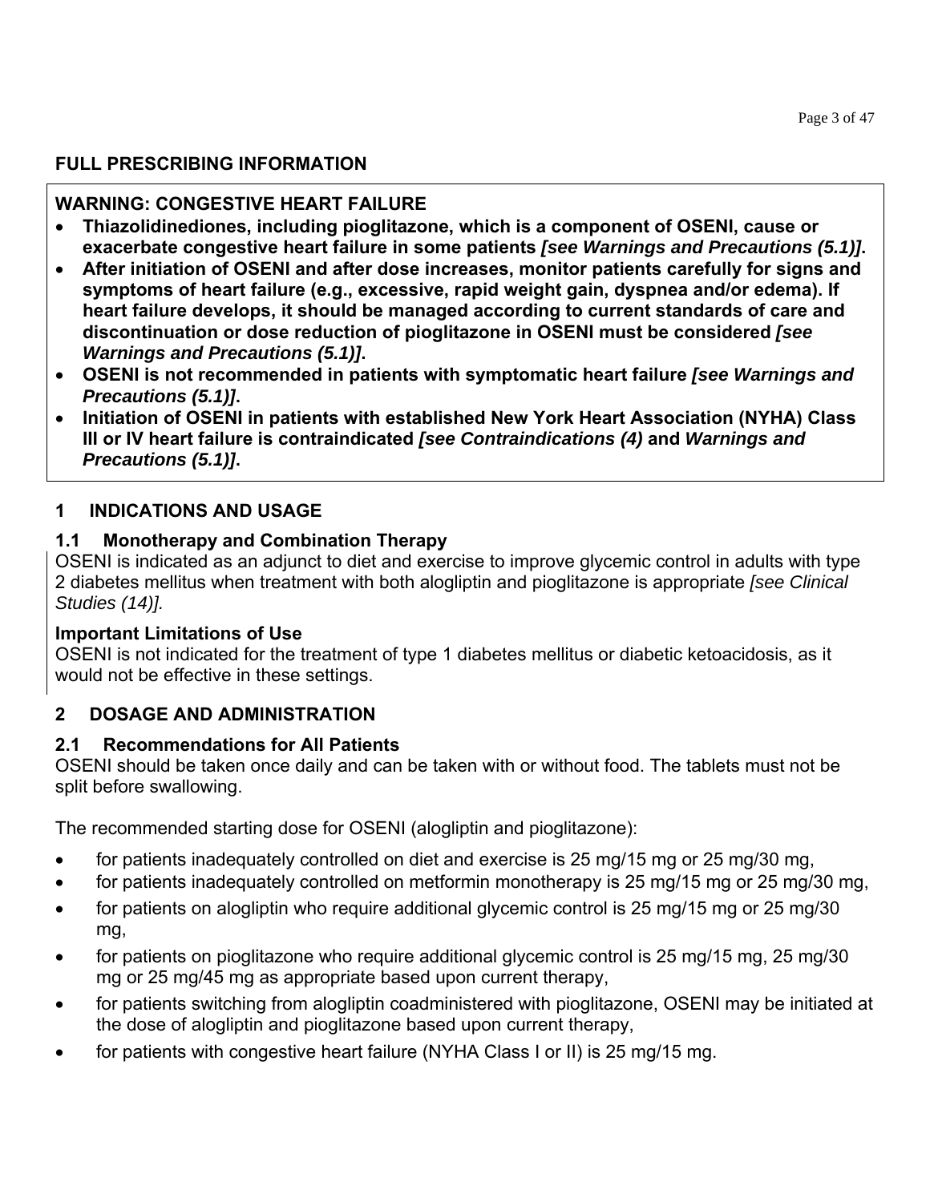#### **FULL PRESCRIBING INFORMATION**

## **WARNING: CONGESTIVE HEART FAILURE**

- **Thiazolidinediones, including pioglitazone, which is a component of OSENI, cause or exacerbate congestive heart failure in some patients** *[see Warnings and Precautions (5.1)]***.**
- **After initiation of OSENI and after dose increases, monitor patients carefully for signs and symptoms of heart failure (e.g., excessive, rapid weight gain, dyspnea and/or edema). If heart failure develops, it should be managed according to current standards of care and discontinuation or dose reduction of pioglitazone in OSENI must be considered** *[see Warnings and Precautions (5.1)]***.**
- **OSENI is not recommended in patients with symptomatic heart failure** *[see Warnings and Precautions (5.1)]***.**
- **Initiation of OSENI in patients with established New York Heart Association (NYHA) Class III or IV heart failure is contraindicated** *[see Contraindications (4)* **and** *Warnings and Precautions (5.1)]***.**

## **1 INDICATIONS AND USAGE**

## **1.1 Monotherapy and Combination Therapy**

OSENI is indicated as an adjunct to diet and exercise to improve glycemic control in adults with type 2 diabetes mellitus when treatment with both alogliptin and pioglitazone is appropriate *[see Clinical Studies (14)].*

## **Important Limitations of Use**

OSENI is not indicated for the treatment of type 1 diabetes mellitus or diabetic ketoacidosis, as it would not be effective in these settings.

# **2 DOSAGE AND ADMINISTRATION**

## **2.1 Recommendations for All Patients**

OSENI should be taken once daily and can be taken with or without food. The tablets must not be split before swallowing.

The recommended starting dose for OSENI (alogliptin and pioglitazone):

- for patients inadequately controlled on diet and exercise is 25 mg/15 mg or 25 mg/30 mg,
- for patients inadequately controlled on metformin monotherapy is 25 mg/15 mg or 25 mg/30 mg,
- for patients on alogliptin who require additional glycemic control is 25 mg/15 mg or 25 mg/30 mg,
- for patients on pioglitazone who require additional glycemic control is 25 mg/15 mg, 25 mg/30 mg or 25 mg/45 mg as appropriate based upon current therapy,
- for patients switching from alogliptin coadministered with pioglitazone, OSENI may be initiated at the dose of alogliptin and pioglitazone based upon current therapy,
- for patients with congestive heart failure (NYHA Class I or II) is 25 mg/15 mg.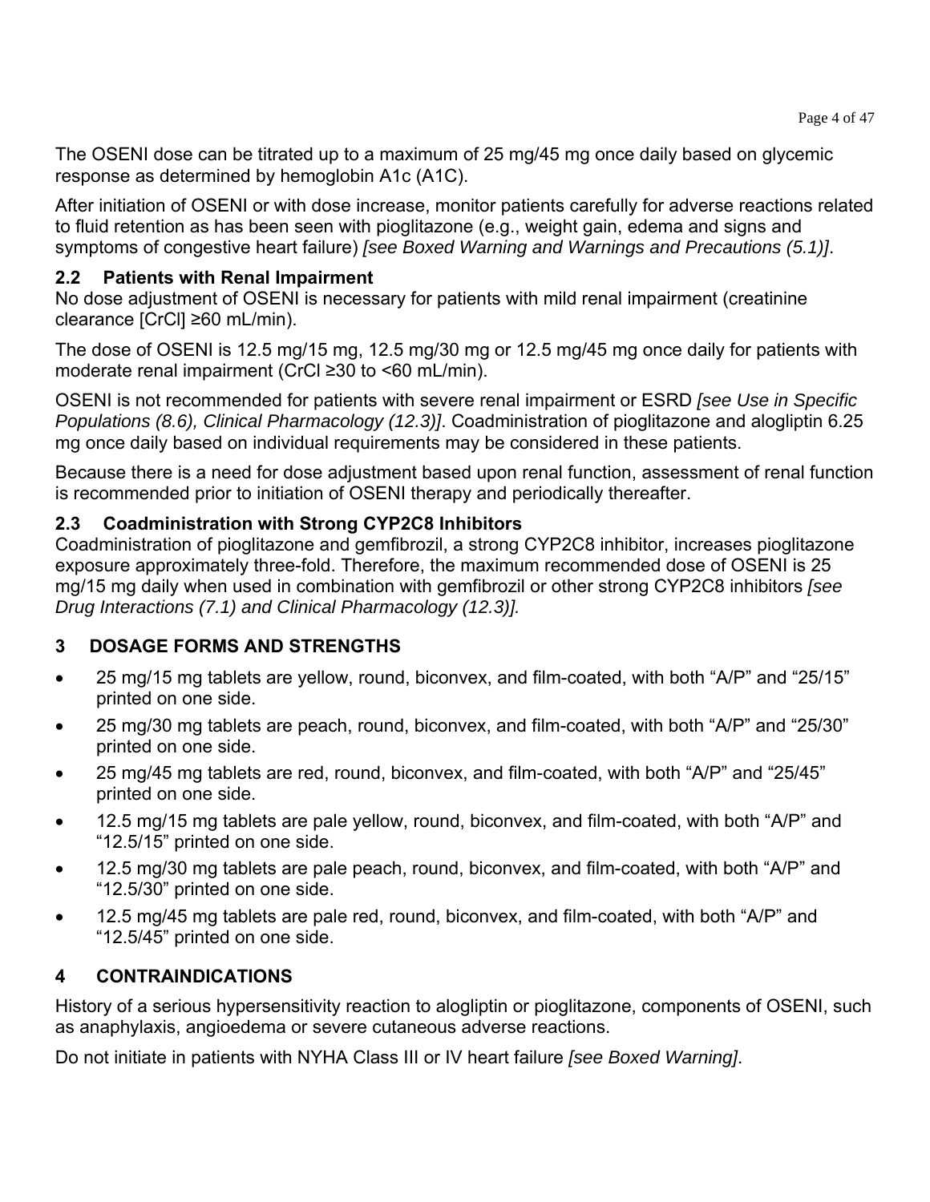The OSENI dose can be titrated up to a maximum of 25 mg/45 mg once daily based on glycemic response as determined by hemoglobin A1c (A1C).

After initiation of OSENI or with dose increase, monitor patients carefully for adverse reactions related to fluid retention as has been seen with pioglitazone (e.g., weight gain, edema and signs and symptoms of congestive heart failure) *[see Boxed Warning and Warnings and Precautions (5.1)]*.

## **2.2 Patients with Renal Impairment**

No dose adjustment of OSENI is necessary for patients with mild renal impairment (creatinine clearance [CrCl] ≥60 mL/min).

The dose of OSENI is 12.5 mg/15 mg, 12.5 mg/30 mg or 12.5 mg/45 mg once daily for patients with moderate renal impairment (CrCl ≥30 to <60 mL/min).

OSENI is not recommended for patients with severe renal impairment or ESRD *[see Use in Specific Populations (8.6), Clinical Pharmacology (12.3)]*. Coadministration of pioglitazone and alogliptin 6.25 mg once daily based on individual requirements may be considered in these patients.

Because there is a need for dose adjustment based upon renal function, assessment of renal function is recommended prior to initiation of OSENI therapy and periodically thereafter.

#### **2.3 Coadministration with Strong CYP2C8 Inhibitors**

Coadministration of pioglitazone and gemfibrozil, a strong CYP2C8 inhibitor, increases pioglitazone exposure approximately three-fold. Therefore, the maximum recommended dose of OSENI is 25 mg/15 mg daily when used in combination with gemfibrozil or other strong CYP2C8 inhibitors *[see Drug Interactions (7.1) and Clinical Pharmacology (12.3)].* 

## **3 DOSAGE FORMS AND STRENGTHS**

- 25 mg/15 mg tablets are yellow, round, biconvex, and film-coated, with both "A/P" and "25/15" printed on one side.
- 25 mg/30 mg tablets are peach, round, biconvex, and film-coated, with both "A/P" and "25/30" printed on one side.
- 25 mg/45 mg tablets are red, round, biconvex, and film-coated, with both "A/P" and "25/45" printed on one side.
- 12.5 mg/15 mg tablets are pale yellow, round, biconvex, and film-coated, with both "A/P" and "12.5/15" printed on one side.
- 12.5 mg/30 mg tablets are pale peach, round, biconvex, and film-coated, with both "A/P" and "12.5/30" printed on one side.
- 12.5 mg/45 mg tablets are pale red, round, biconvex, and film-coated, with both "A/P" and "12.5/45" printed on one side.

## **4 CONTRAINDICATIONS**

History of a serious hypersensitivity reaction to alogliptin or pioglitazone, components of OSENI, such as anaphylaxis, angioedema or severe cutaneous adverse reactions.

Do not initiate in patients with NYHA Class III or IV heart failure *[see Boxed Warning]*.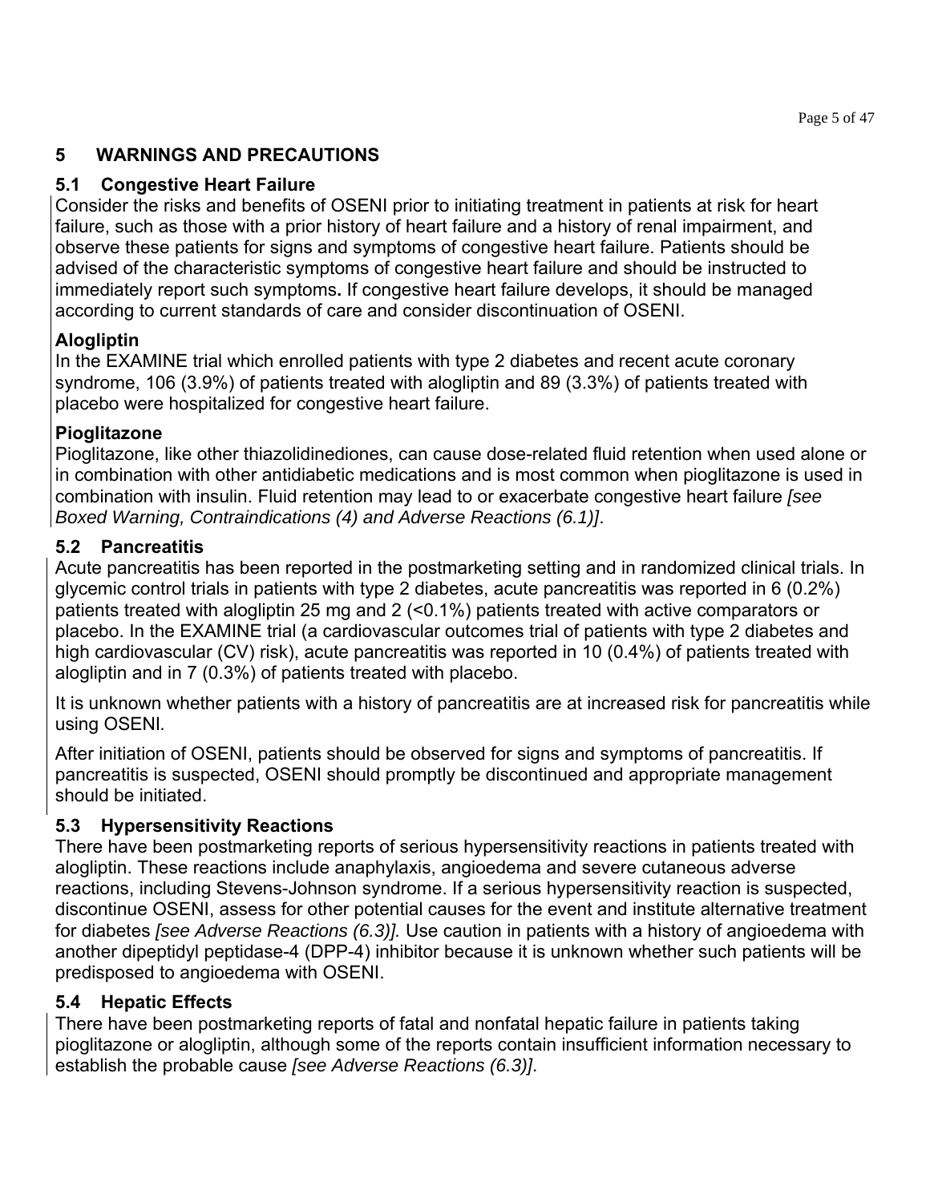# **5 WARNINGS AND PRECAUTIONS**

# **5.1 Congestive Heart Failure**

Consider the risks and benefits of OSENI prior to initiating treatment in patients at risk for heart failure, such as those with a prior history of heart failure and a history of renal impairment, and observe these patients for signs and symptoms of congestive heart failure. Patients should be advised of the characteristic symptoms of congestive heart failure and should be instructed to immediately report such symptoms**.** If congestive heart failure develops, it should be managed according to current standards of care and consider discontinuation of OSENI.

# **Alogliptin**

In the EXAMINE trial which enrolled patients with type 2 diabetes and recent acute coronary syndrome, 106 (3.9%) of patients treated with alogliptin and 89 (3.3%) of patients treated with placebo were hospitalized for congestive heart failure.

# **Pioglitazone**

Pioglitazone, like other thiazolidinediones, can cause dose-related fluid retention when used alone or in combination with other antidiabetic medications and is most common when pioglitazone is used in combination with insulin. Fluid retention may lead to or exacerbate congestive heart failure *[see Boxed Warning, Contraindications (4) and Adverse Reactions (6.1)]*.

## **5.2 Pancreatitis**

Acute pancreatitis has been reported in the postmarketing setting and in randomized clinical trials. In glycemic control trials in patients with type 2 diabetes, acute pancreatitis was reported in 6 (0.2%) patients treated with alogliptin 25 mg and 2 (<0.1%) patients treated with active comparators or placebo. In the EXAMINE trial (a cardiovascular outcomes trial of patients with type 2 diabetes and high cardiovascular (CV) risk), acute pancreatitis was reported in 10 (0.4%) of patients treated with alogliptin and in 7 (0.3%) of patients treated with placebo.

It is unknown whether patients with a history of pancreatitis are at increased risk for pancreatitis while using OSENI*.*

After initiation of OSENI, patients should be observed for signs and symptoms of pancreatitis. If pancreatitis is suspected, OSENI should promptly be discontinued and appropriate management should be initiated.

# **5.3 Hypersensitivity Reactions**

There have been postmarketing reports of serious hypersensitivity reactions in patients treated with alogliptin. These reactions include anaphylaxis, angioedema and severe cutaneous adverse reactions, including Stevens-Johnson syndrome. If a serious hypersensitivity reaction is suspected, discontinue OSENI, assess for other potential causes for the event and institute alternative treatment for diabetes *[see Adverse Reactions (6.3)].* Use caution in patients with a history of angioedema with another dipeptidyl peptidase-4 (DPP-4) inhibitor because it is unknown whether such patients will be predisposed to angioedema with OSENI.

# **5.4 Hepatic Effects**

There have been postmarketing reports of fatal and nonfatal hepatic failure in patients taking pioglitazone or alogliptin, although some of the reports contain insufficient information necessary to establish the probable cause *[see Adverse Reactions (6.3)]*.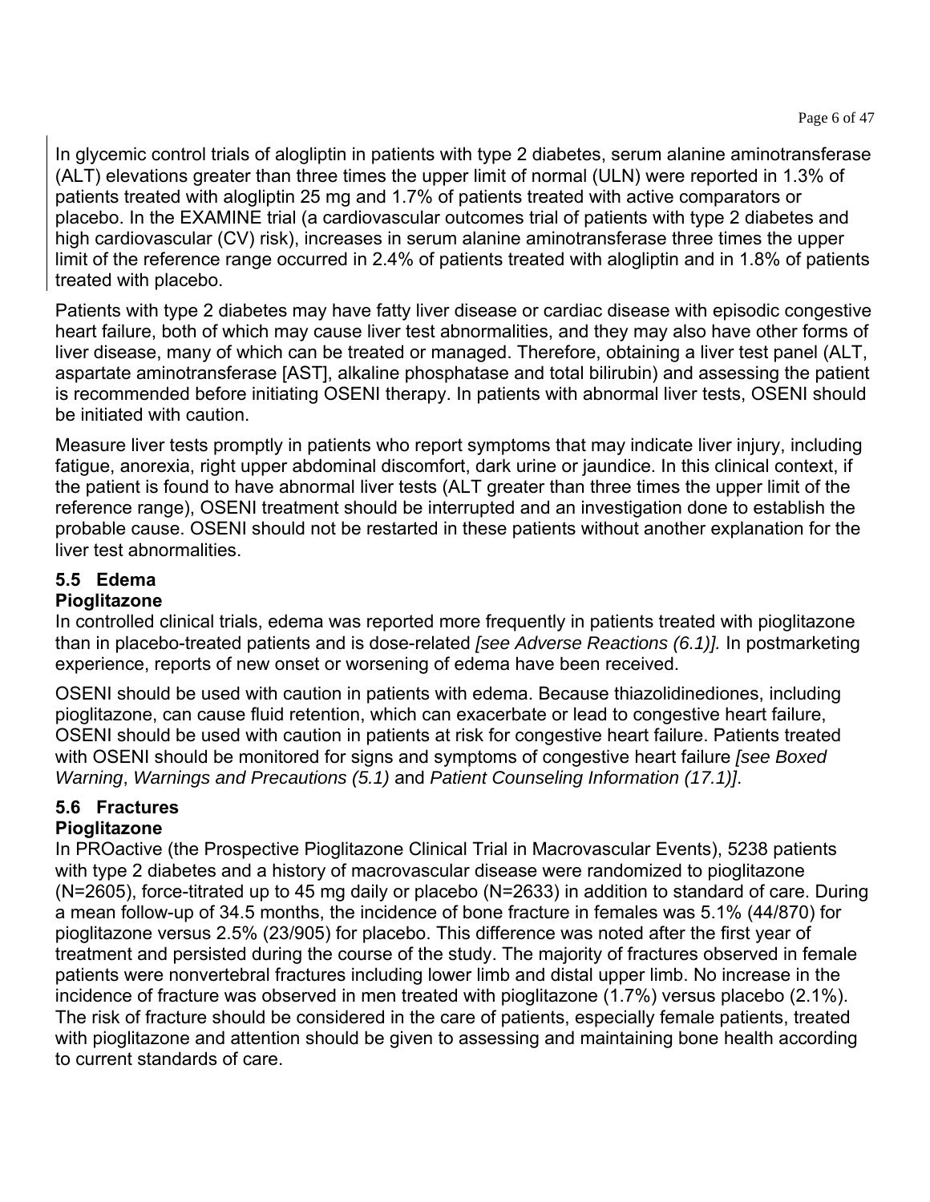In glycemic control trials of alogliptin in patients with type 2 diabetes, serum alanine aminotransferase (ALT) elevations greater than three times the upper limit of normal (ULN) were reported in 1.3% of patients treated with alogliptin 25 mg and 1.7% of patients treated with active comparators or placebo. In the EXAMINE trial (a cardiovascular outcomes trial of patients with type 2 diabetes and high cardiovascular (CV) risk), increases in serum alanine aminotransferase three times the upper limit of the reference range occurred in 2.4% of patients treated with alogliptin and in 1.8% of patients treated with placebo.

Patients with type 2 diabetes may have fatty liver disease or cardiac disease with episodic congestive heart failure, both of which may cause liver test abnormalities, and they may also have other forms of liver disease, many of which can be treated or managed. Therefore, obtaining a liver test panel (ALT, aspartate aminotransferase [AST], alkaline phosphatase and total bilirubin) and assessing the patient is recommended before initiating OSENI therapy. In patients with abnormal liver tests, OSENI should be initiated with caution.

Measure liver tests promptly in patients who report symptoms that may indicate liver injury, including fatigue, anorexia, right upper abdominal discomfort, dark urine or jaundice. In this clinical context, if the patient is found to have abnormal liver tests (ALT greater than three times the upper limit of the reference range), OSENI treatment should be interrupted and an investigation done to establish the probable cause. OSENI should not be restarted in these patients without another explanation for the liver test abnormalities.

# **5.5 Edema**

#### **Pioglitazone**

In controlled clinical trials, edema was reported more frequently in patients treated with pioglitazone than in placebo-treated patients and is dose-related *[see Adverse Reactions (6.1)].* In postmarketing experience, reports of new onset or worsening of edema have been received.

OSENI should be used with caution in patients with edema. Because thiazolidinediones, including pioglitazone, can cause fluid retention, which can exacerbate or lead to congestive heart failure, OSENI should be used with caution in patients at risk for congestive heart failure. Patients treated with OSENI should be monitored for signs and symptoms of congestive heart failure *[see Boxed Warning*, *Warnings and Precautions (5.1)* and *Patient Counseling Information (17.1)]*.

## **5.6 Fractures**

## **Pioglitazone**

In PROactive (the Prospective Pioglitazone Clinical Trial in Macrovascular Events), 5238 patients with type 2 diabetes and a history of macrovascular disease were randomized to pioglitazone (N=2605), force-titrated up to 45 mg daily or placebo (N=2633) in addition to standard of care. During a mean follow-up of 34.5 months, the incidence of bone fracture in females was 5.1% (44/870) for pioglitazone versus 2.5% (23/905) for placebo. This difference was noted after the first year of treatment and persisted during the course of the study. The majority of fractures observed in female patients were nonvertebral fractures including lower limb and distal upper limb. No increase in the incidence of fracture was observed in men treated with pioglitazone (1.7%) versus placebo (2.1%). The risk of fracture should be considered in the care of patients, especially female patients, treated with pioglitazone and attention should be given to assessing and maintaining bone health according to current standards of care.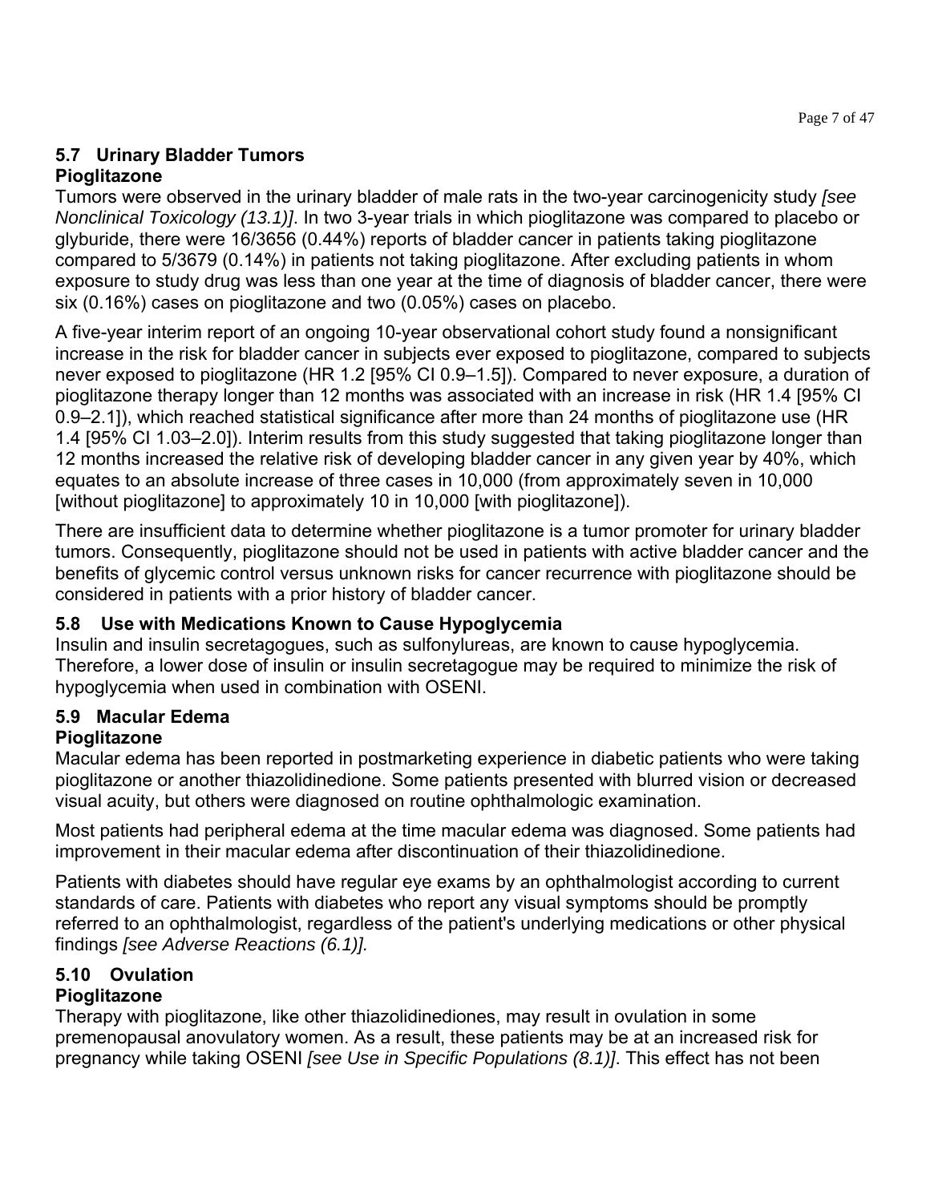#### **5.7 Urinary Bladder Tumors Pioglitazone**

Tumors were observed in the urinary bladder of male rats in the two-year carcinogenicity study *[see Nonclinical Toxicology (13.1)]*. In two 3-year trials in which pioglitazone was compared to placebo or glyburide, there were 16/3656 (0.44%) reports of bladder cancer in patients taking pioglitazone compared to 5/3679 (0.14%) in patients not taking pioglitazone. After excluding patients in whom exposure to study drug was less than one year at the time of diagnosis of bladder cancer, there were six (0.16%) cases on pioglitazone and two (0.05%) cases on placebo.

A five-year interim report of an ongoing 10-year observational cohort study found a nonsignificant increase in the risk for bladder cancer in subjects ever exposed to pioglitazone, compared to subjects never exposed to pioglitazone (HR 1.2 [95% CI 0.9–1.5]). Compared to never exposure, a duration of pioglitazone therapy longer than 12 months was associated with an increase in risk (HR 1.4 [95% CI 0.9–2.1]), which reached statistical significance after more than 24 months of pioglitazone use (HR 1.4 [95% CI 1.03–2.0]). Interim results from this study suggested that taking pioglitazone longer than 12 months increased the relative risk of developing bladder cancer in any given year by 40%, which equates to an absolute increase of three cases in 10,000 (from approximately seven in 10,000 [without pioglitazone] to approximately 10 in 10,000 [with pioglitazone]).

There are insufficient data to determine whether pioglitazone is a tumor promoter for urinary bladder tumors. Consequently, pioglitazone should not be used in patients with active bladder cancer and the benefits of glycemic control versus unknown risks for cancer recurrence with pioglitazone should be considered in patients with a prior history of bladder cancer.

# **5.8 Use with Medications Known to Cause Hypoglycemia**

Insulin and insulin secretagogues, such as sulfonylureas, are known to cause hypoglycemia. Therefore, a lower dose of insulin or insulin secretagogue may be required to minimize the risk of hypoglycemia when used in combination with OSENI.

# **5.9 Macular Edema**

# **Pioglitazone**

Macular edema has been reported in postmarketing experience in diabetic patients who were taking pioglitazone or another thiazolidinedione. Some patients presented with blurred vision or decreased visual acuity, but others were diagnosed on routine ophthalmologic examination.

Most patients had peripheral edema at the time macular edema was diagnosed. Some patients had improvement in their macular edema after discontinuation of their thiazolidinedione.

Patients with diabetes should have regular eye exams by an ophthalmologist according to current standards of care. Patients with diabetes who report any visual symptoms should be promptly referred to an ophthalmologist, regardless of the patient's underlying medications or other physical findings *[see Adverse Reactions (6.1)].* 

#### **5.10 Ovulation Pioglitazone**

# Therapy with pioglitazone, like other thiazolidinediones, may result in ovulation in some

premenopausal anovulatory women. As a result, these patients may be at an increased risk for pregnancy while taking OSENI *[see Use in Specific Populations (8.1)]*. This effect has not been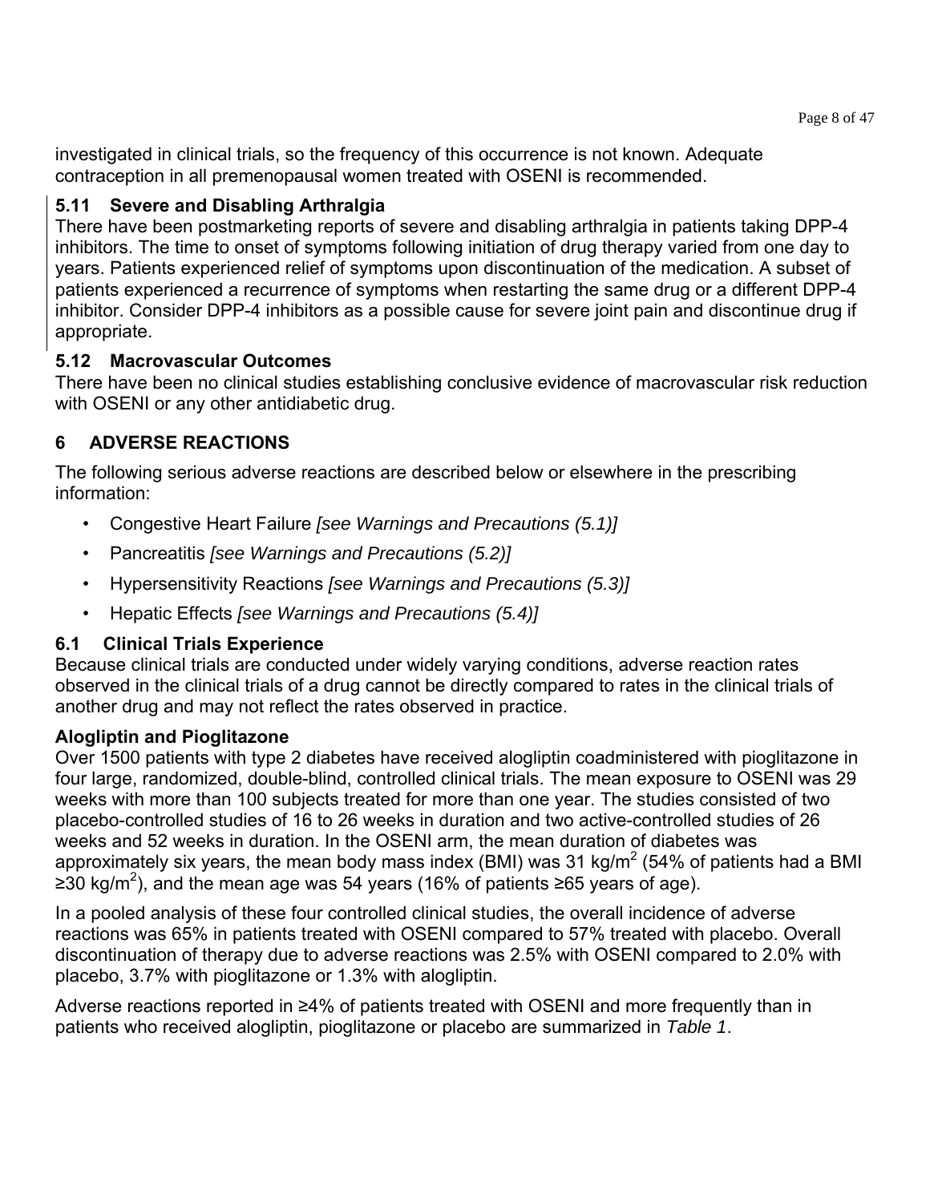investigated in clinical trials, so the frequency of this occurrence is not known. Adequate contraception in all premenopausal women treated with OSENI is recommended.

## **5.11 Severe and Disabling Arthralgia**

There have been postmarketing reports of severe and disabling arthralgia in patients taking DPP-4 inhibitors. The time to onset of symptoms following initiation of drug therapy varied from one day to years. Patients experienced relief of symptoms upon discontinuation of the medication. A subset of patients experienced a recurrence of symptoms when restarting the same drug or a different DPP-4 inhibitor. Consider DPP-4 inhibitors as a possible cause for severe joint pain and discontinue drug if appropriate.

## **5.12 Macrovascular Outcomes**

There have been no clinical studies establishing conclusive evidence of macrovascular risk reduction with OSENI or any other antidiabetic drug.

# **6 ADVERSE REACTIONS**

The following serious adverse reactions are described below or elsewhere in the prescribing information:

- Congestive Heart Failure *[see Warnings and Precautions (5.1)]*
- Pancreatitis *[see Warnings and Precautions (5.2)]*
- Hypersensitivity Reactions *[see Warnings and Precautions (5.3)]*
- Hepatic Effects *[see Warnings and Precautions (5.4)]*

# **6.1 Clinical Trials Experience**

Because clinical trials are conducted under widely varying conditions, adverse reaction rates observed in the clinical trials of a drug cannot be directly compared to rates in the clinical trials of another drug and may not reflect the rates observed in practice.

## **Alogliptin and Pioglitazone**

Over 1500 patients with type 2 diabetes have received alogliptin coadministered with pioglitazone in four large, randomized, double-blind, controlled clinical trials. The mean exposure to OSENI was 29 weeks with more than 100 subjects treated for more than one year. The studies consisted of two placebo-controlled studies of 16 to 26 weeks in duration and two active-controlled studies of 26 weeks and 52 weeks in duration. In the OSENI arm, the mean duration of diabetes was approximately six years, the mean body mass index (BMI) was 31 kg/m<sup>2</sup> (54% of patients had a BMI ≥30 kg/m<sup>2</sup>), and the mean age was 54 years (16% of patients ≥65 years of age).

In a pooled analysis of these four controlled clinical studies, the overall incidence of adverse reactions was 65% in patients treated with OSENI compared to 57% treated with placebo. Overall discontinuation of therapy due to adverse reactions was 2.5% with OSENI compared to 2.0% with placebo, 3.7% with pioglitazone or 1.3% with alogliptin.

Adverse reactions reported in ≥4% of patients treated with OSENI and more frequently than in patients who received alogliptin, pioglitazone or placebo are summarized in *Table 1*.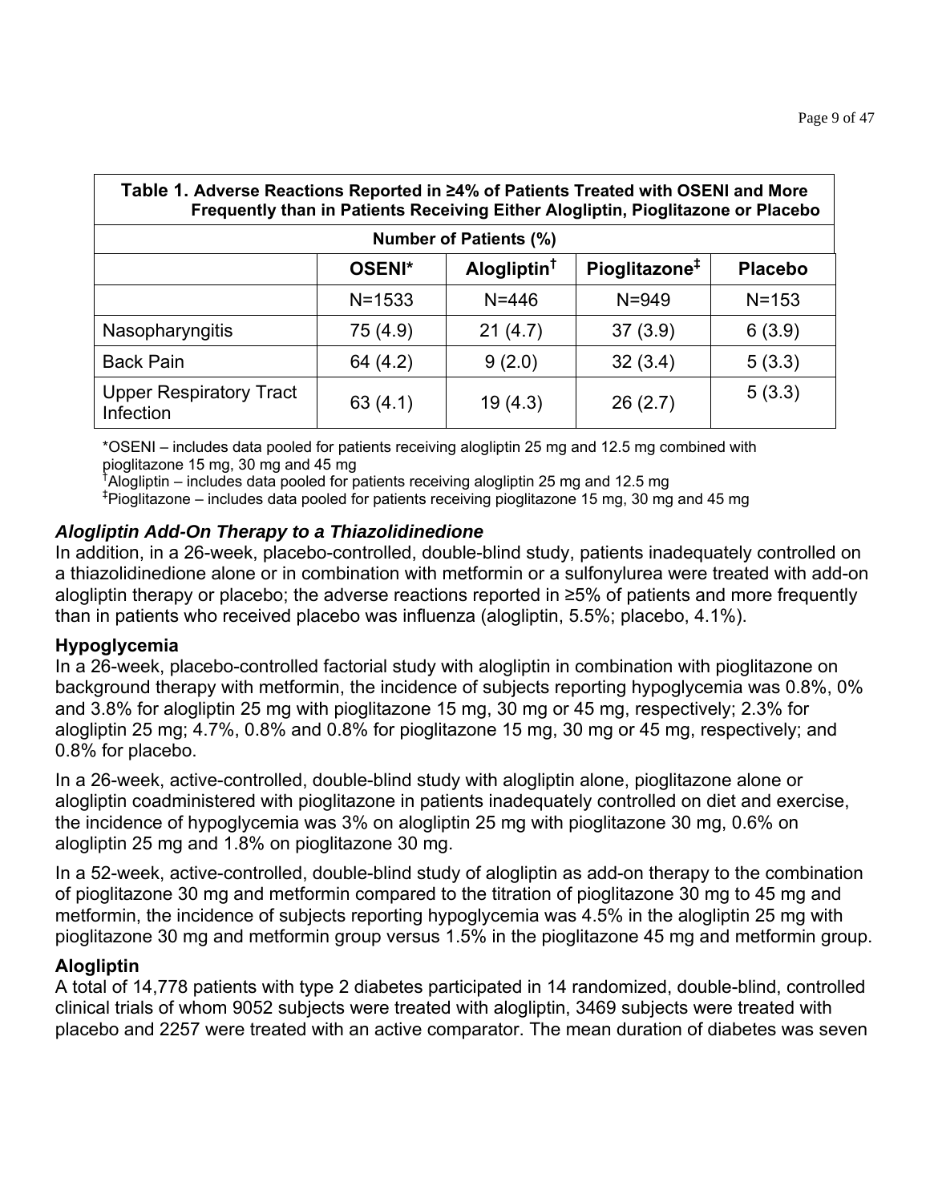| Table 1. Adverse Reactions Reported in ≥4% of Patients Treated with OSENI and More<br>Frequently than in Patients Receiving Either Alogliptin, Pioglitazone or Placebo |               |                         |                           |                |  |  |  |
|------------------------------------------------------------------------------------------------------------------------------------------------------------------------|---------------|-------------------------|---------------------------|----------------|--|--|--|
| <b>Number of Patients (%)</b>                                                                                                                                          |               |                         |                           |                |  |  |  |
|                                                                                                                                                                        | <b>OSENI*</b> | Alogliptin <sup>†</sup> | Pioglitazone <sup>‡</sup> | <b>Placebo</b> |  |  |  |
|                                                                                                                                                                        | $N = 1533$    | $N = 446$               | $N = 949$                 | $N = 153$      |  |  |  |
| Nasopharyngitis                                                                                                                                                        | 75 (4.9)      | 21(4.7)                 | 37(3.9)                   | 6(3.9)         |  |  |  |
| <b>Back Pain</b>                                                                                                                                                       | 64 (4.2)      | 9(2.0)                  | 32(3.4)                   | 5(3.3)         |  |  |  |
| <b>Upper Respiratory Tract</b><br>Infection                                                                                                                            | 63 (4.1)      | 19(4.3)                 | 26(2.7)                   | 5(3.3)         |  |  |  |

\*OSENI – includes data pooled for patients receiving alogliptin 25 mg and 12.5 mg combined with pioglitazone 15 mg, 30 mg and 45 mg †

Alogliptin – includes data pooled for patients receiving alogliptin 25 mg and 12.5 mg

‡ Pioglitazone – includes data pooled for patients receiving pioglitazone 15 mg, 30 mg and 45 mg

#### *Alogliptin Add-On Therapy to a Thiazolidinedione*

In addition, in a 26-week, placebo-controlled, double-blind study, patients inadequately controlled on a thiazolidinedione alone or in combination with metformin or a sulfonylurea were treated with add-on alogliptin therapy or placebo; the adverse reactions reported in ≥5% of patients and more frequently than in patients who received placebo was influenza (alogliptin, 5.5%; placebo, 4.1%).

#### **Hypoglycemia**

In a 26-week, placebo-controlled factorial study with alogliptin in combination with pioglitazone on background therapy with metformin, the incidence of subjects reporting hypoglycemia was 0.8%, 0% and 3.8% for alogliptin 25 mg with pioglitazone 15 mg, 30 mg or 45 mg, respectively; 2.3% for alogliptin 25 mg; 4.7%, 0.8% and 0.8% for pioglitazone 15 mg, 30 mg or 45 mg, respectively; and 0.8% for placebo.

In a 26-week, active-controlled, double-blind study with alogliptin alone, pioglitazone alone or alogliptin coadministered with pioglitazone in patients inadequately controlled on diet and exercise, the incidence of hypoglycemia was 3% on alogliptin 25 mg with pioglitazone 30 mg, 0.6% on alogliptin 25 mg and 1.8% on pioglitazone 30 mg.

In a 52-week, active-controlled, double-blind study of alogliptin as add-on therapy to the combination of pioglitazone 30 mg and metformin compared to the titration of pioglitazone 30 mg to 45 mg and metformin, the incidence of subjects reporting hypoglycemia was 4.5% in the alogliptin 25 mg with pioglitazone 30 mg and metformin group versus 1.5% in the pioglitazone 45 mg and metformin group.

#### **Alogliptin**

A total of 14,778 patients with type 2 diabetes participated in 14 randomized, double-blind, controlled clinical trials of whom 9052 subjects were treated with alogliptin, 3469 subjects were treated with placebo and 2257 were treated with an active comparator. The mean duration of diabetes was seven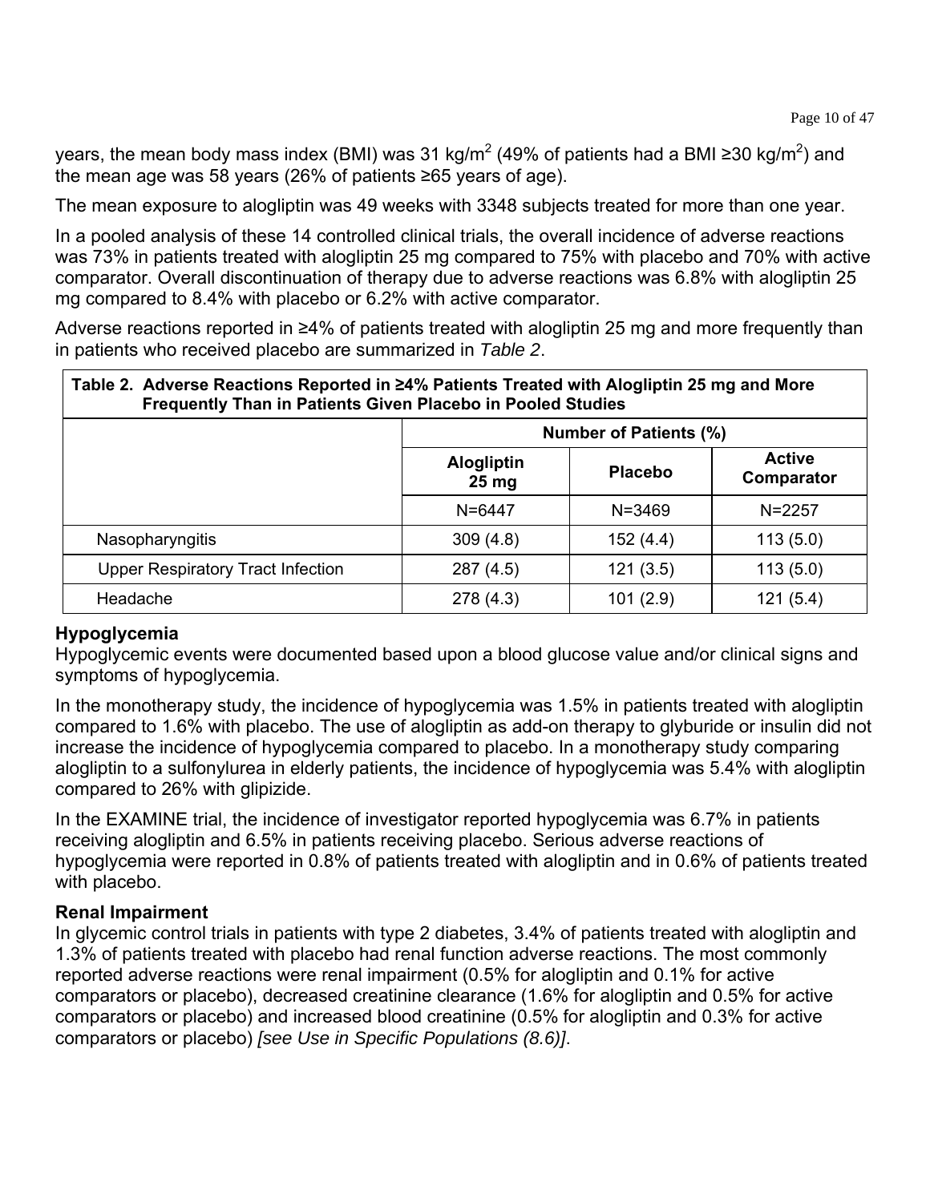years, the mean body mass index (BMI) was 31 kg/m<sup>2</sup> (49% of patients had a BMI ≥30 kg/m<sup>2</sup>) and the mean age was 58 years (26% of patients ≥65 years of age).

The mean exposure to alogliptin was 49 weeks with 3348 subjects treated for more than one year.

In a pooled analysis of these 14 controlled clinical trials, the overall incidence of adverse reactions was 73% in patients treated with alogliptin 25 mg compared to 75% with placebo and 70% with active comparator. Overall discontinuation of therapy due to adverse reactions was 6.8% with alogliptin 25 mg compared to 8.4% with placebo or 6.2% with active comparator.

Adverse reactions reported in ≥4% of patients treated with alogliptin 25 mg and more frequently than in patients who received placebo are summarized in *Table 2*.

| Table 2. Adverse Reactions Reported in ≥4% Patients Treated with Alogliptin 25 mg and More<br><b>Frequently Than in Patients Given Placebo in Pooled Studies</b> |                                       |                |                             |  |  |
|------------------------------------------------------------------------------------------------------------------------------------------------------------------|---------------------------------------|----------------|-----------------------------|--|--|
|                                                                                                                                                                  | <b>Number of Patients (%)</b>         |                |                             |  |  |
|                                                                                                                                                                  | <b>Alogliptin</b><br>25 <sub>mg</sub> | <b>Placebo</b> | <b>Active</b><br>Comparator |  |  |
|                                                                                                                                                                  | $N = 6447$                            | $N = 3469$     | $N = 2257$                  |  |  |
| Nasopharyngitis                                                                                                                                                  | 309(4.8)                              | 152 (4.4)      | 113(5.0)                    |  |  |
| <b>Upper Respiratory Tract Infection</b>                                                                                                                         | 287 (4.5)                             | 121(3.5)       | 113(5.0)                    |  |  |
| Headache                                                                                                                                                         | 278 (4.3)                             | 101(2.9)       | 121 (5.4)                   |  |  |

#### **Hypoglycemia**

Hypoglycemic events were documented based upon a blood glucose value and/or clinical signs and symptoms of hypoglycemia.

In the monotherapy study, the incidence of hypoglycemia was 1.5% in patients treated with alogliptin compared to 1.6% with placebo. The use of alogliptin as add-on therapy to glyburide or insulin did not increase the incidence of hypoglycemia compared to placebo. In a monotherapy study comparing alogliptin to a sulfonylurea in elderly patients, the incidence of hypoglycemia was 5.4% with alogliptin compared to 26% with glipizide.

In the EXAMINE trial, the incidence of investigator reported hypoglycemia was 6.7% in patients receiving alogliptin and 6.5% in patients receiving placebo. Serious adverse reactions of hypoglycemia were reported in 0.8% of patients treated with alogliptin and in 0.6% of patients treated with placebo.

## **Renal Impairment**

In glycemic control trials in patients with type 2 diabetes, 3.4% of patients treated with alogliptin and 1.3% of patients treated with placebo had renal function adverse reactions. The most commonly reported adverse reactions were renal impairment (0.5% for alogliptin and 0.1% for active comparators or placebo), decreased creatinine clearance (1.6% for alogliptin and 0.5% for active comparators or placebo) and increased blood creatinine (0.5% for alogliptin and 0.3% for active comparators or placebo) *[see Use in Specific Populations (8.6)]*.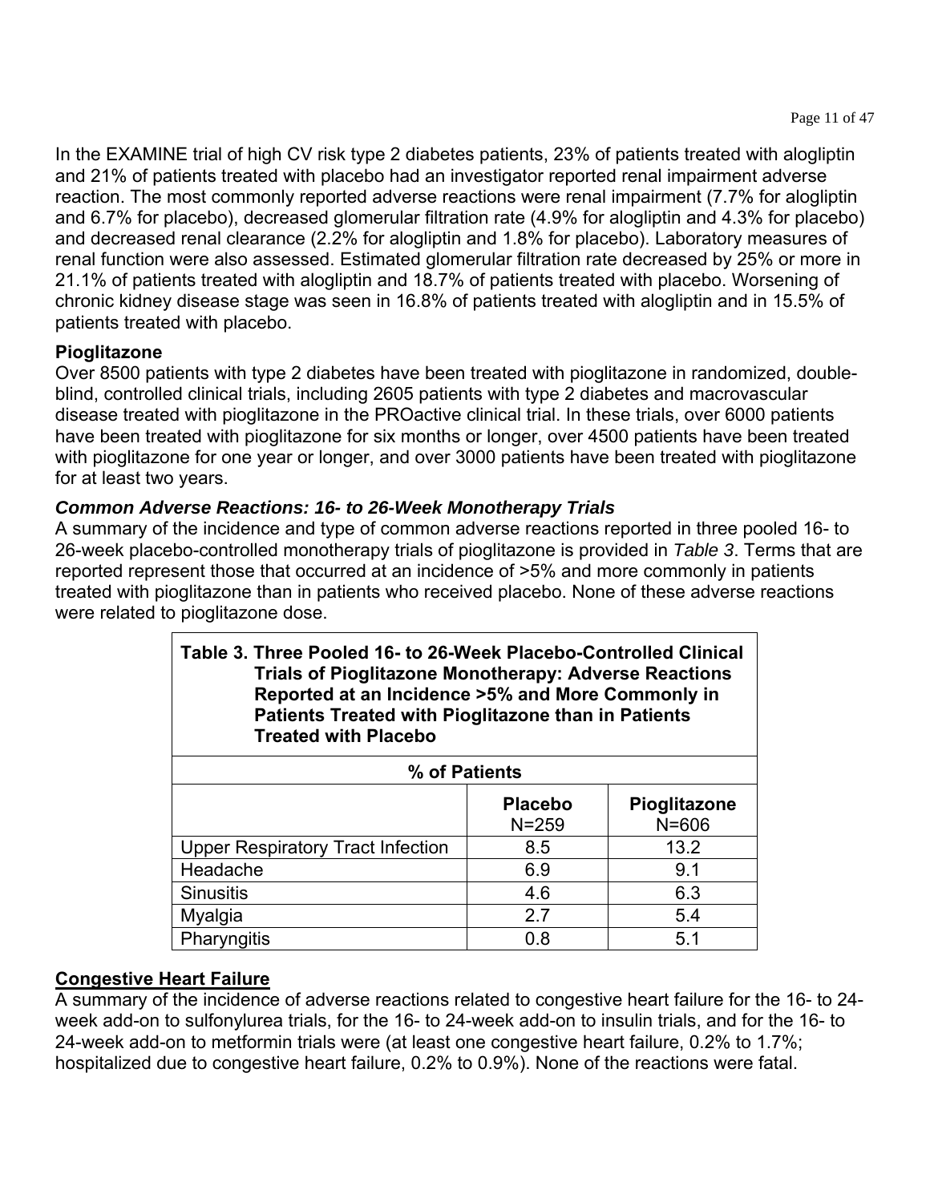In the EXAMINE trial of high CV risk type 2 diabetes patients, 23% of patients treated with alogliptin and 21% of patients treated with placebo had an investigator reported renal impairment adverse reaction. The most commonly reported adverse reactions were renal impairment (7.7% for alogliptin and 6.7% for placebo), decreased glomerular filtration rate (4.9% for alogliptin and 4.3% for placebo) and decreased renal clearance (2.2% for alogliptin and 1.8% for placebo). Laboratory measures of renal function were also assessed. Estimated glomerular filtration rate decreased by 25% or more in 21.1% of patients treated with alogliptin and 18.7% of patients treated with placebo. Worsening of chronic kidney disease stage was seen in 16.8% of patients treated with alogliptin and in 15.5% of patients treated with placebo.

#### **Pioglitazone**

Over 8500 patients with type 2 diabetes have been treated with pioglitazone in randomized, doubleblind, controlled clinical trials, including 2605 patients with type 2 diabetes and macrovascular disease treated with pioglitazone in the PROactive clinical trial. In these trials, over 6000 patients have been treated with pioglitazone for six months or longer, over 4500 patients have been treated with pioglitazone for one year or longer, and over 3000 patients have been treated with pioglitazone for at least two years.

## *Common Adverse Reactions: 16- to 26-Week Monotherapy Trials*

A summary of the incidence and type of common adverse reactions reported in three pooled 16- to 26-week placebo-controlled monotherapy trials of pioglitazone is provided in *Table 3*. Terms that are reported represent those that occurred at an incidence of >5% and more commonly in patients treated with pioglitazone than in patients who received placebo. None of these adverse reactions were related to pioglitazone dose.

| Table 3. Three Pooled 16- to 26-Week Placebo-Controlled Clinical<br><b>Trials of Pioglitazone Monotherapy: Adverse Reactions</b><br>Reported at an Incidence >5% and More Commonly in<br><b>Patients Treated with Pioglitazone than in Patients</b><br><b>Treated with Placebo</b> |            |      |  |  |  |  |  |
|------------------------------------------------------------------------------------------------------------------------------------------------------------------------------------------------------------------------------------------------------------------------------------|------------|------|--|--|--|--|--|
| % of Patients                                                                                                                                                                                                                                                                      |            |      |  |  |  |  |  |
| Pioglitazone<br><b>Placebo</b><br>$N = 606$<br>$N = 259$                                                                                                                                                                                                                           |            |      |  |  |  |  |  |
| <b>Upper Respiratory Tract Infection</b>                                                                                                                                                                                                                                           | 8.5        | 13.2 |  |  |  |  |  |
| Headache<br>6.9<br>9.1                                                                                                                                                                                                                                                             |            |      |  |  |  |  |  |
| <b>Sinusitis</b>                                                                                                                                                                                                                                                                   | 4.6<br>6.3 |      |  |  |  |  |  |
| <b>Myalgia</b>                                                                                                                                                                                                                                                                     | 2.7        | 5.4  |  |  |  |  |  |
| Pharyngitis                                                                                                                                                                                                                                                                        | 0.8        | 5.1  |  |  |  |  |  |

## **Congestive Heart Failure**

A summary of the incidence of adverse reactions related to congestive heart failure for the 16- to 24 week add-on to sulfonylurea trials, for the 16- to 24-week add-on to insulin trials, and for the 16- to 24-week add-on to metformin trials were (at least one congestive heart failure, 0.2% to 1.7%; hospitalized due to congestive heart failure, 0.2% to 0.9%). None of the reactions were fatal.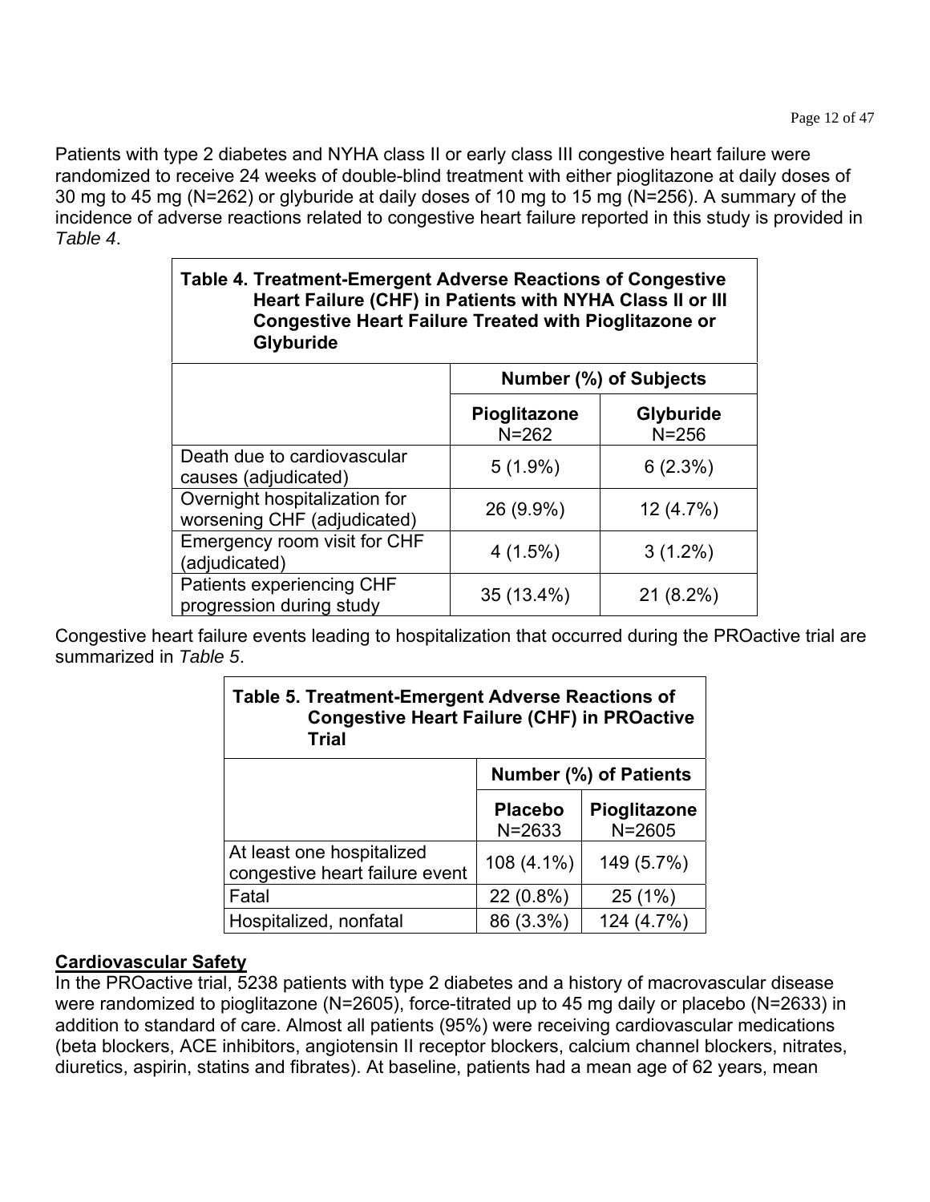Patients with type 2 diabetes and NYHA class II or early class III congestive heart failure were randomized to receive 24 weeks of double-blind treatment with either pioglitazone at daily doses of 30 mg to 45 mg (N=262) or glyburide at daily doses of 10 mg to 15 mg (N=256). A summary of the incidence of adverse reactions related to congestive heart failure reported in this study is provided in *Table 4*.

#### **Table 4. Treatment-Emergent Adverse Reactions of Congestive Heart Failure (CHF) in Patients with NYHA Class II or III Congestive Heart Failure Treated with Pioglitazone or Glyburide**

|                                                              | <b>Number (%) of Subjects</b>    |                               |  |  |  |
|--------------------------------------------------------------|----------------------------------|-------------------------------|--|--|--|
|                                                              | <b>Pioglitazone</b><br>$N = 262$ | <b>Glyburide</b><br>$N = 256$ |  |  |  |
| Death due to cardiovascular<br>causes (adjudicated)          | $5(1.9\%)$                       | 6(2.3%)                       |  |  |  |
| Overnight hospitalization for<br>worsening CHF (adjudicated) | 26 (9.9%)                        | 12 (4.7%)                     |  |  |  |
| Emergency room visit for CHF<br>(adjudicated)                | 4(1.5%)                          | $3(1.2\%)$                    |  |  |  |
| Patients experiencing CHF<br>progression during study        | 35 (13.4%)                       | $21(8.2\%)$                   |  |  |  |

Congestive heart failure events leading to hospitalization that occurred during the PROactive trial are summarized in *Table 5*.

| Table 5. Treatment-Emergent Adverse Reactions of<br><b>Congestive Heart Failure (CHF) in PROactive</b><br><b>Trial</b> |                                                            |            |  |  |  |
|------------------------------------------------------------------------------------------------------------------------|------------------------------------------------------------|------------|--|--|--|
| <b>Number (%) of Patients</b>                                                                                          |                                                            |            |  |  |  |
|                                                                                                                        | Pioglitazone<br><b>Placebo</b><br>$N = 2605$<br>$N = 2633$ |            |  |  |  |
| At least one hospitalized<br>congestive heart failure event                                                            | 108 (4.1%)                                                 | 149 (5.7%) |  |  |  |
| Fatal                                                                                                                  | $22(0.8\%)$                                                | 25(1%)     |  |  |  |
| Hospitalized, nonfatal                                                                                                 | 86 (3.3%)                                                  | 124 (4.7%) |  |  |  |

#### **Cardiovascular Safety**

In the PROactive trial, 5238 patients with type 2 diabetes and a history of macrovascular disease were randomized to pioglitazone (N=2605), force-titrated up to 45 mg daily or placebo (N=2633) in addition to standard of care. Almost all patients (95%) were receiving cardiovascular medications (beta blockers, ACE inhibitors, angiotensin II receptor blockers, calcium channel blockers, nitrates, diuretics, aspirin, statins and fibrates). At baseline, patients had a mean age of 62 years, mean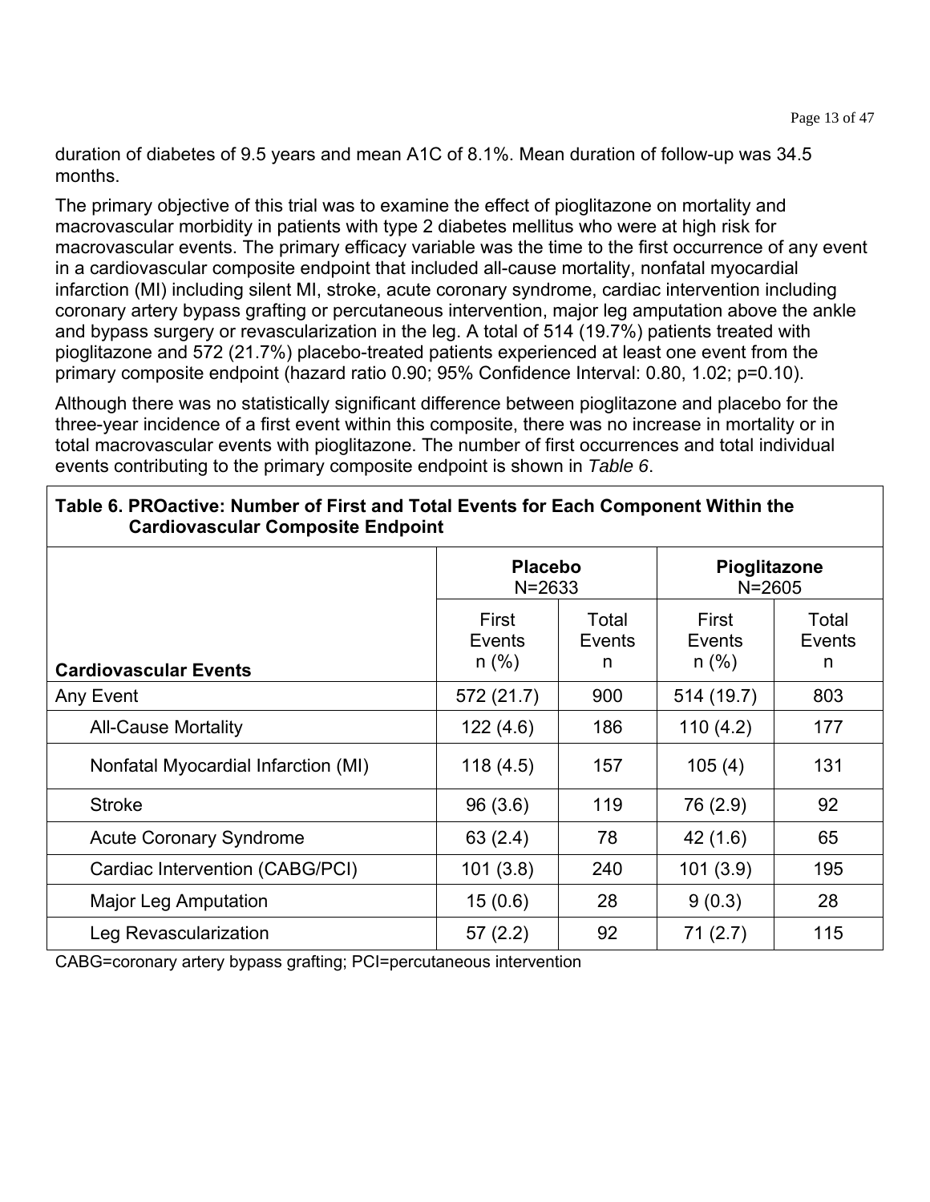duration of diabetes of 9.5 years and mean A1C of 8.1%. Mean duration of follow-up was 34.5 months.

The primary objective of this trial was to examine the effect of pioglitazone on mortality and macrovascular morbidity in patients with type 2 diabetes mellitus who were at high risk for macrovascular events. The primary efficacy variable was the time to the first occurrence of any event in a cardiovascular composite endpoint that included all-cause mortality, nonfatal myocardial infarction (MI) including silent MI, stroke, acute coronary syndrome, cardiac intervention including coronary artery bypass grafting or percutaneous intervention, major leg amputation above the ankle and bypass surgery or revascularization in the leg. A total of 514 (19.7%) patients treated with pioglitazone and 572 (21.7%) placebo-treated patients experienced at least one event from the primary composite endpoint (hazard ratio 0.90; 95% Confidence Interval: 0.80, 1.02; p=0.10).

Although there was no statistically significant difference between pioglitazone and placebo for the three-year incidence of a first event within this composite, there was no increase in mortality or in total macrovascular events with pioglitazone. The number of first occurrences and total individual events contributing to the primary composite endpoint is shown in *Table 6*.

|                                     | <b>Placebo</b><br>$N = 2633$<br>Total<br>First<br>Events<br>Events<br>$n$ (%)<br>n |     | Pioglitazone<br>$N = 2605$  |                      |  |
|-------------------------------------|------------------------------------------------------------------------------------|-----|-----------------------------|----------------------|--|
| <b>Cardiovascular Events</b>        |                                                                                    |     | First<br>Events<br>$n (\%)$ | Total<br>Events<br>n |  |
| Any Event                           | 572 (21.7)                                                                         | 900 | 514 (19.7)                  | 803                  |  |
| <b>All-Cause Mortality</b>          | 122(4.6)                                                                           | 186 | 110(4.2)                    | 177                  |  |
| Nonfatal Myocardial Infarction (MI) | 118(4.5)                                                                           | 157 | 105(4)                      | 131                  |  |
| <b>Stroke</b>                       | 96(3.6)                                                                            | 119 | 76 (2.9)                    | 92                   |  |
| <b>Acute Coronary Syndrome</b>      | 63(2.4)                                                                            | 78  | 42(1.6)                     | 65                   |  |
| Cardiac Intervention (CABG/PCI)     | 101(3.8)                                                                           | 240 | 101(3.9)                    | 195                  |  |
| <b>Major Leg Amputation</b>         | 15(0.6)                                                                            | 28  | 9(0.3)                      | 28                   |  |
| Leg Revascularization               | 57(2.2)                                                                            | 92  | 71(2.7)                     | 115                  |  |

#### **Table 6. PROactive: Number of First and Total Events for Each Component Within the Cardiovascular Composite Endpoint**

CABG=coronary artery bypass grafting; PCI=percutaneous intervention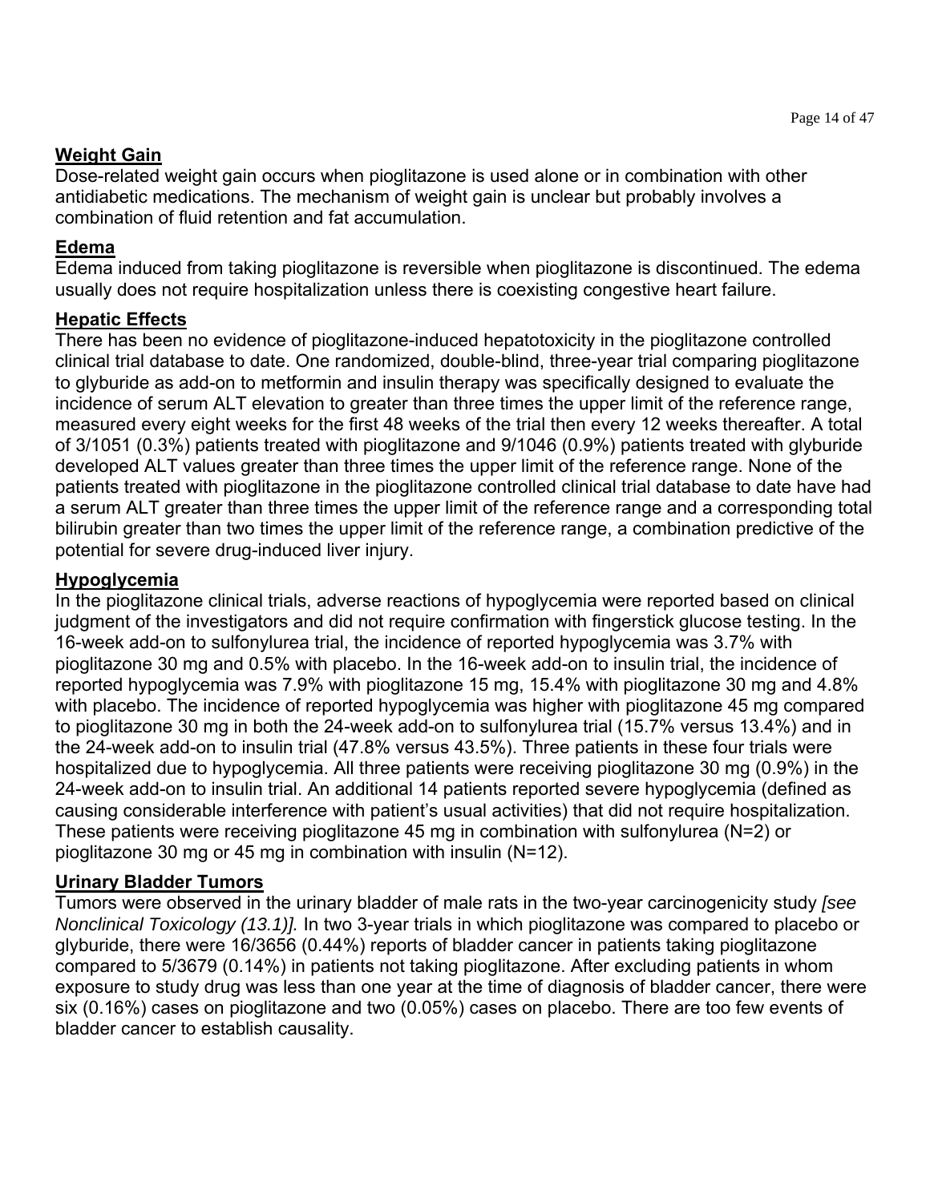# **Weight Gain**

Dose-related weight gain occurs when pioglitazone is used alone or in combination with other antidiabetic medications. The mechanism of weight gain is unclear but probably involves a combination of fluid retention and fat accumulation.

## **Edema**

Edema induced from taking pioglitazone is reversible when pioglitazone is discontinued. The edema usually does not require hospitalization unless there is coexisting congestive heart failure.

## **Hepatic Effects**

There has been no evidence of pioglitazone-induced hepatotoxicity in the pioglitazone controlled clinical trial database to date. One randomized, double-blind, three-year trial comparing pioglitazone to glyburide as add-on to metformin and insulin therapy was specifically designed to evaluate the incidence of serum ALT elevation to greater than three times the upper limit of the reference range, measured every eight weeks for the first 48 weeks of the trial then every 12 weeks thereafter. A total of 3/1051 (0.3%) patients treated with pioglitazone and 9/1046 (0.9%) patients treated with glyburide developed ALT values greater than three times the upper limit of the reference range. None of the patients treated with pioglitazone in the pioglitazone controlled clinical trial database to date have had a serum ALT greater than three times the upper limit of the reference range and a corresponding total bilirubin greater than two times the upper limit of the reference range, a combination predictive of the potential for severe drug-induced liver injury.

## **Hypoglycemia**

In the pioglitazone clinical trials, adverse reactions of hypoglycemia were reported based on clinical judgment of the investigators and did not require confirmation with fingerstick glucose testing. In the 16-week add-on to sulfonylurea trial, the incidence of reported hypoglycemia was 3.7% with pioglitazone 30 mg and 0.5% with placebo. In the 16-week add-on to insulin trial, the incidence of reported hypoglycemia was 7.9% with pioglitazone 15 mg, 15.4% with pioglitazone 30 mg and 4.8% with placebo. The incidence of reported hypoglycemia was higher with pioglitazone 45 mg compared to pioglitazone 30 mg in both the 24-week add-on to sulfonylurea trial (15.7% versus 13.4%) and in the 24-week add-on to insulin trial (47.8% versus 43.5%). Three patients in these four trials were hospitalized due to hypoglycemia. All three patients were receiving pioglitazone 30 mg (0.9%) in the 24-week add-on to insulin trial. An additional 14 patients reported severe hypoglycemia (defined as causing considerable interference with patient's usual activities) that did not require hospitalization. These patients were receiving pioglitazone 45 mg in combination with sulfonylurea (N=2) or pioglitazone 30 mg or 45 mg in combination with insulin (N=12).

# **Urinary Bladder Tumors**

Tumors were observed in the urinary bladder of male rats in the two-year carcinogenicity study *[see Nonclinical Toxicology (13.1)].* In two 3-year trials in which pioglitazone was compared to placebo or glyburide, there were 16/3656 (0.44%) reports of bladder cancer in patients taking pioglitazone compared to 5/3679 (0.14%) in patients not taking pioglitazone. After excluding patients in whom exposure to study drug was less than one year at the time of diagnosis of bladder cancer, there were six (0.16%) cases on pioglitazone and two (0.05%) cases on placebo. There are too few events of bladder cancer to establish causality.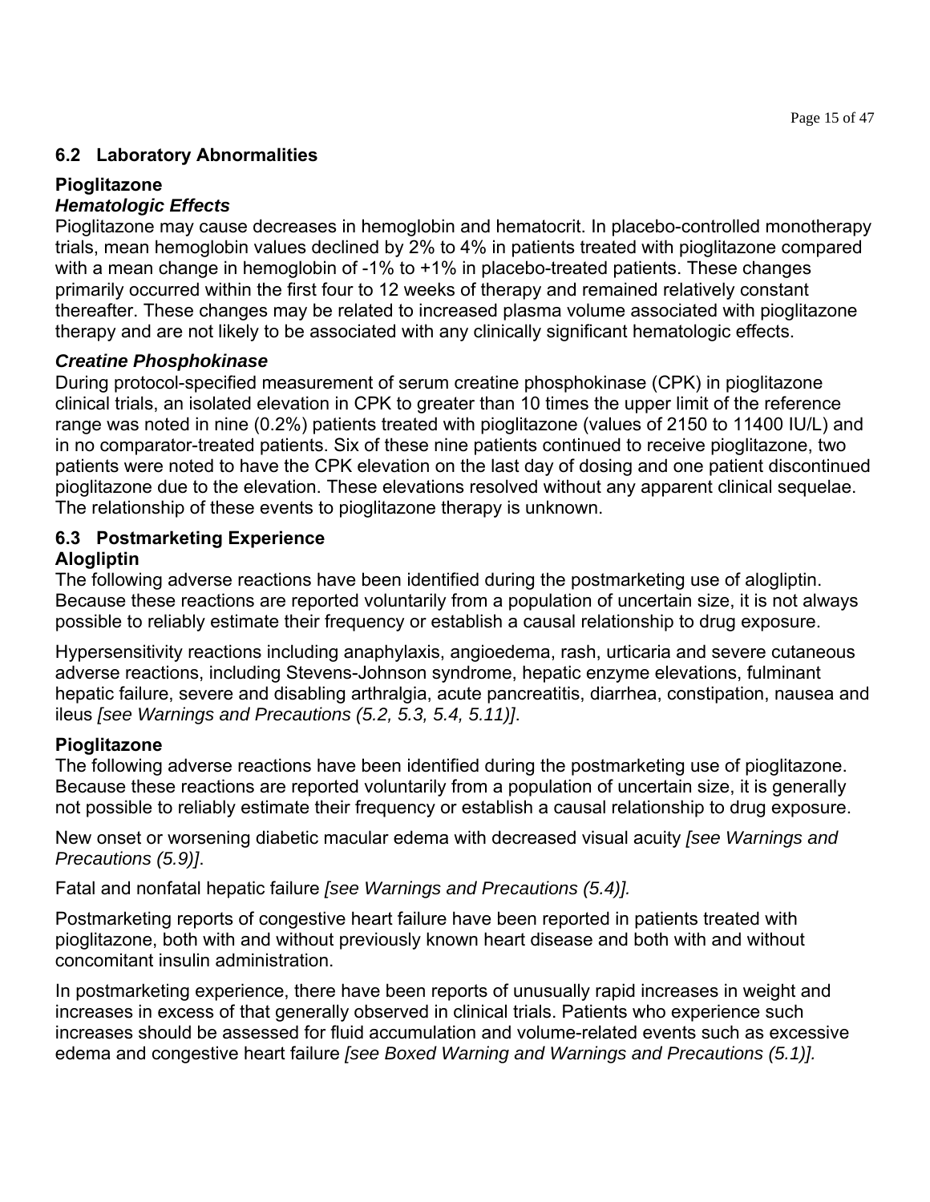## **6.2 Laboratory Abnormalities**

#### **Pioglitazone**

#### *Hematologic Effects*

Pioglitazone may cause decreases in hemoglobin and hematocrit. In placebo-controlled monotherapy trials, mean hemoglobin values declined by 2% to 4% in patients treated with pioglitazone compared with a mean change in hemoglobin of -1% to +1% in placebo-treated patients. These changes primarily occurred within the first four to 12 weeks of therapy and remained relatively constant thereafter. These changes may be related to increased plasma volume associated with pioglitazone therapy and are not likely to be associated with any clinically significant hematologic effects.

#### *Creatine Phosphokinase*

During protocol-specified measurement of serum creatine phosphokinase (CPK) in pioglitazone clinical trials, an isolated elevation in CPK to greater than 10 times the upper limit of the reference range was noted in nine (0.2%) patients treated with pioglitazone (values of 2150 to 11400 IU/L) and in no comparator-treated patients. Six of these nine patients continued to receive pioglitazone, two patients were noted to have the CPK elevation on the last day of dosing and one patient discontinued pioglitazone due to the elevation. These elevations resolved without any apparent clinical sequelae. The relationship of these events to pioglitazone therapy is unknown.

# **6.3 Postmarketing Experience**

## **Alogliptin**

The following adverse reactions have been identified during the postmarketing use of alogliptin. Because these reactions are reported voluntarily from a population of uncertain size, it is not always possible to reliably estimate their frequency or establish a causal relationship to drug exposure.

Hypersensitivity reactions including anaphylaxis, angioedema, rash, urticaria and severe cutaneous adverse reactions, including Stevens-Johnson syndrome, hepatic enzyme elevations, fulminant hepatic failure, severe and disabling arthralgia, acute pancreatitis, diarrhea, constipation, nausea and ileus *[see Warnings and Precautions (5.2, 5.3, 5.4, 5.11)]*.

#### **Pioglitazone**

The following adverse reactions have been identified during the postmarketing use of pioglitazone. Because these reactions are reported voluntarily from a population of uncertain size, it is generally not possible to reliably estimate their frequency or establish a causal relationship to drug exposure.

New onset or worsening diabetic macular edema with decreased visual acuity *[see Warnings and Precautions (5.9)]*.

Fatal and nonfatal hepatic failure *[see Warnings and Precautions (5.4)].*

Postmarketing reports of congestive heart failure have been reported in patients treated with pioglitazone, both with and without previously known heart disease and both with and without concomitant insulin administration.

In postmarketing experience, there have been reports of unusually rapid increases in weight and increases in excess of that generally observed in clinical trials. Patients who experience such increases should be assessed for fluid accumulation and volume-related events such as excessive edema and congestive heart failure *[see Boxed Warning and Warnings and Precautions (5.1)].*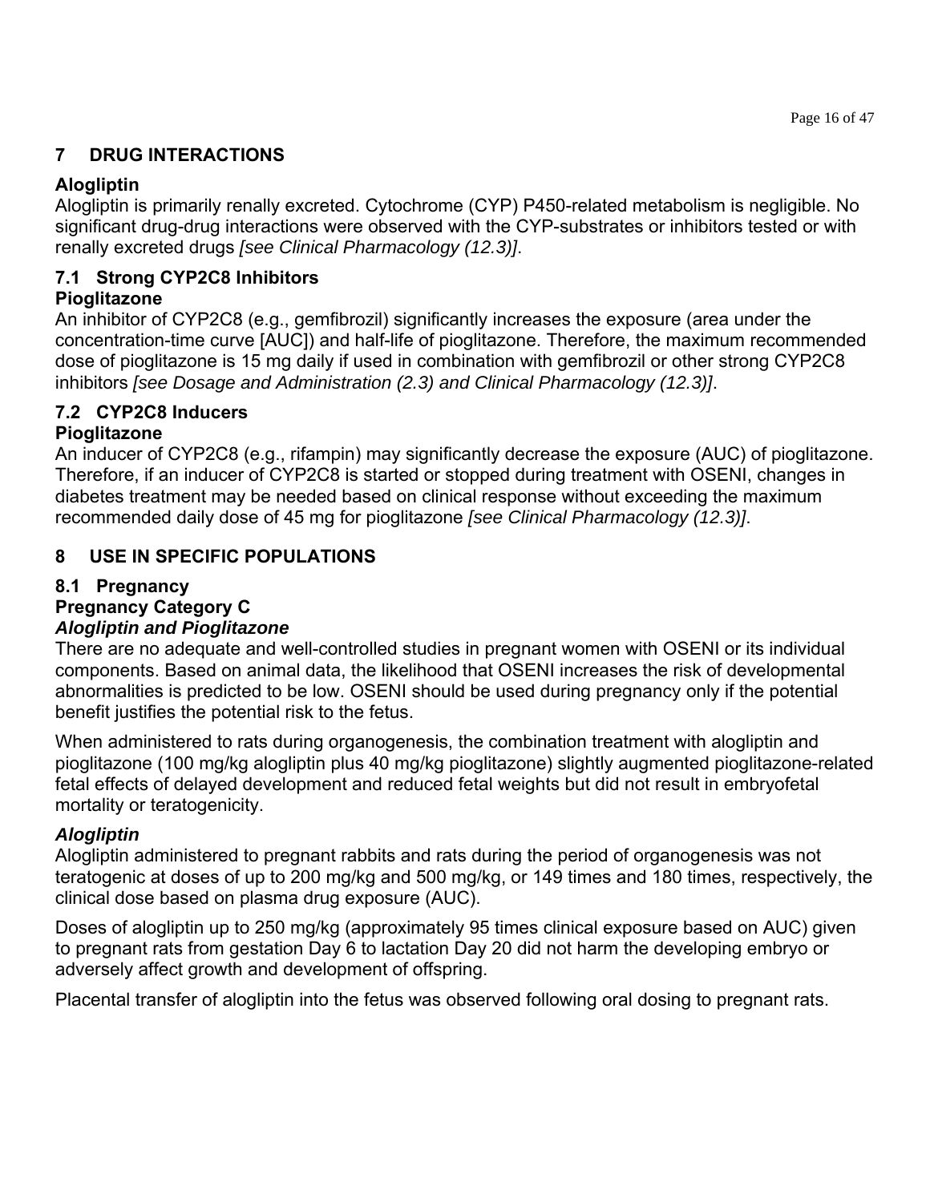# **7 DRUG INTERACTIONS**

# **Alogliptin**

Alogliptin is primarily renally excreted. Cytochrome (CYP) P450-related metabolism is negligible. No significant drug-drug interactions were observed with the CYP-substrates or inhibitors tested or with renally excreted drugs *[see Clinical Pharmacology (12.3)]*.

# **7.1 Strong CYP2C8 Inhibitors**

# **Pioglitazone**

An inhibitor of CYP2C8 (e.g., gemfibrozil) significantly increases the exposure (area under the concentration-time curve [AUC]) and half-life of pioglitazone. Therefore, the maximum recommended dose of pioglitazone is 15 mg daily if used in combination with gemfibrozil or other strong CYP2C8 inhibitors *[see Dosage and Administration (2.3) and Clinical Pharmacology (12.3)]*.

# **7.2 CYP2C8 Inducers**

# **Pioglitazone**

An inducer of CYP2C8 (e.g., rifampin) may significantly decrease the exposure (AUC) of pioglitazone. Therefore, if an inducer of CYP2C8 is started or stopped during treatment with OSENI, changes in diabetes treatment may be needed based on clinical response without exceeding the maximum recommended daily dose of 45 mg for pioglitazone *[see Clinical Pharmacology (12.3)]*.

# **8 USE IN SPECIFIC POPULATIONS**

# **8.1 Pregnancy**

# **Pregnancy Category C**

# *Alogliptin and Pioglitazone*

There are no adequate and well-controlled studies in pregnant women with OSENI or its individual components. Based on animal data, the likelihood that OSENI increases the risk of developmental abnormalities is predicted to be low. OSENI should be used during pregnancy only if the potential benefit justifies the potential risk to the fetus.

When administered to rats during organogenesis, the combination treatment with alogliptin and pioglitazone (100 mg/kg alogliptin plus 40 mg/kg pioglitazone) slightly augmented pioglitazone-related fetal effects of delayed development and reduced fetal weights but did not result in embryofetal mortality or teratogenicity.

# *Alogliptin*

Alogliptin administered to pregnant rabbits and rats during the period of organogenesis was not teratogenic at doses of up to 200 mg/kg and 500 mg/kg, or 149 times and 180 times, respectively, the clinical dose based on plasma drug exposure (AUC).

Doses of alogliptin up to 250 mg/kg (approximately 95 times clinical exposure based on AUC) given to pregnant rats from gestation Day 6 to lactation Day 20 did not harm the developing embryo or adversely affect growth and development of offspring.

Placental transfer of alogliptin into the fetus was observed following oral dosing to pregnant rats.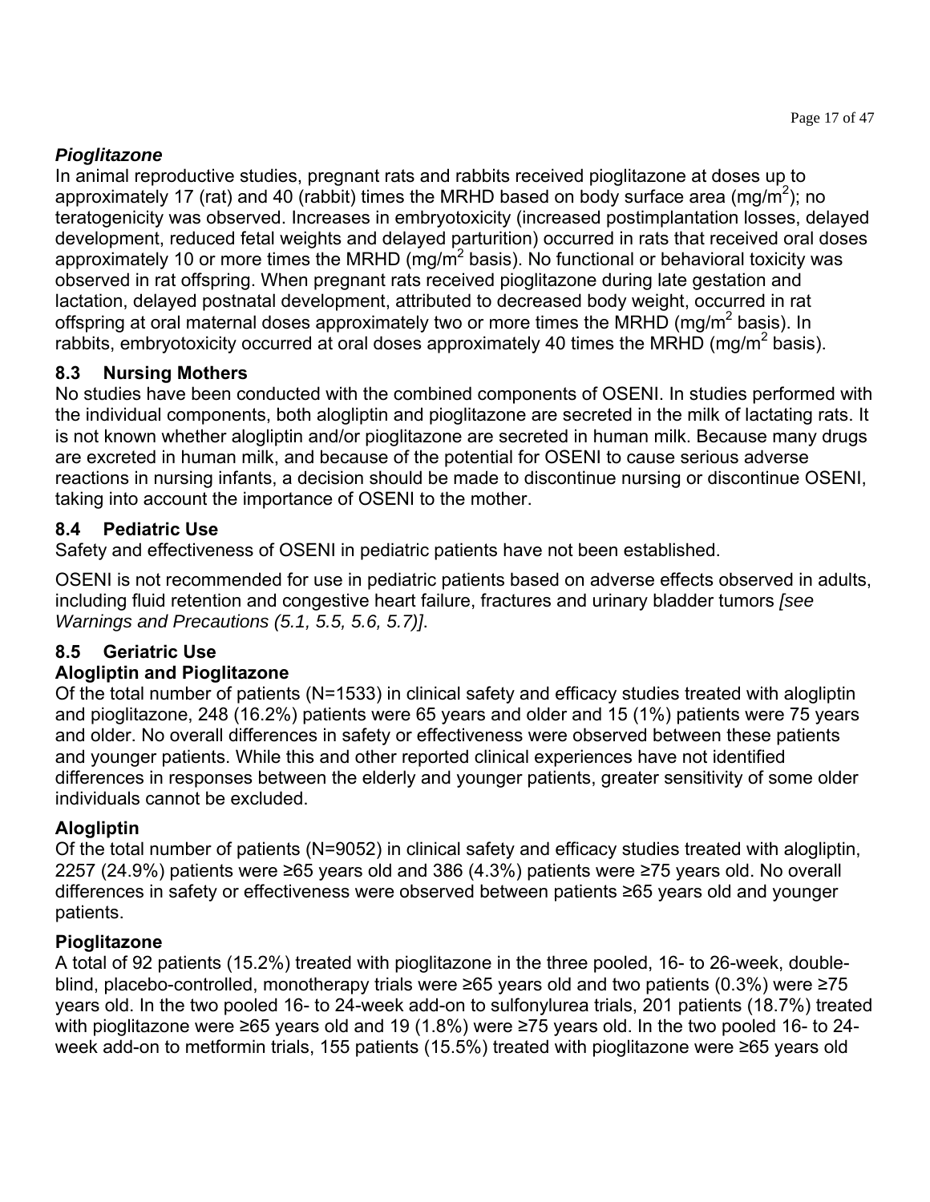# *Pioglitazone*

In animal reproductive studies, pregnant rats and rabbits received pioglitazone at doses up to approximately 17 (rat) and 40 (rabbit) times the MRHD based on body surface area (mg/m<sup>2</sup>); no teratogenicity was observed. Increases in embryotoxicity (increased postimplantation losses, delayed development, reduced fetal weights and delayed parturition) occurred in rats that received oral doses approximately 10 or more times the MRHD (mg/m<sup>2</sup> basis). No functional or behavioral toxicity was observed in rat offspring. When pregnant rats received pioglitazone during late gestation and lactation, delayed postnatal development, attributed to decreased body weight, occurred in rat offspring at oral maternal doses approximately two or more times the MRHD (mg/m<sup>2</sup> basis). In rabbits, embryotoxicity occurred at oral doses approximately 40 times the MRHD (mg/m<sup>2</sup> basis).

# **8.3 Nursing Mothers**

No studies have been conducted with the combined components of OSENI. In studies performed with the individual components, both alogliptin and pioglitazone are secreted in the milk of lactating rats. It is not known whether alogliptin and/or pioglitazone are secreted in human milk. Because many drugs are excreted in human milk, and because of the potential for OSENI to cause serious adverse reactions in nursing infants, a decision should be made to discontinue nursing or discontinue OSENI, taking into account the importance of OSENI to the mother.

# **8.4 Pediatric Use**

Safety and effectiveness of OSENI in pediatric patients have not been established.

OSENI is not recommended for use in pediatric patients based on adverse effects observed in adults, including fluid retention and congestive heart failure, fractures and urinary bladder tumors *[see Warnings and Precautions (5.1, 5.5, 5.6, 5.7)]*.

# **8.5 Geriatric Use**

## **Alogliptin and Pioglitazone**

Of the total number of patients (N=1533) in clinical safety and efficacy studies treated with alogliptin and pioglitazone, 248 (16.2%) patients were 65 years and older and 15 (1%) patients were 75 years and older. No overall differences in safety or effectiveness were observed between these patients and younger patients. While this and other reported clinical experiences have not identified differences in responses between the elderly and younger patients, greater sensitivity of some older individuals cannot be excluded.

# **Alogliptin**

Of the total number of patients (N=9052) in clinical safety and efficacy studies treated with alogliptin, 2257 (24.9%) patients were ≥65 years old and 386 (4.3%) patients were ≥75 years old. No overall differences in safety or effectiveness were observed between patients ≥65 years old and younger patients.

## **Pioglitazone**

A total of 92 patients (15.2%) treated with pioglitazone in the three pooled, 16- to 26-week, doubleblind, placebo-controlled, monotherapy trials were ≥65 years old and two patients (0.3%) were ≥75 years old. In the two pooled 16- to 24-week add-on to sulfonylurea trials, 201 patients (18.7%) treated with pioglitazone were ≥65 years old and 19 (1.8%) were ≥75 years old. In the two pooled 16- to 24 week add-on to metformin trials, 155 patients (15.5%) treated with pioglitazone were ≥65 years old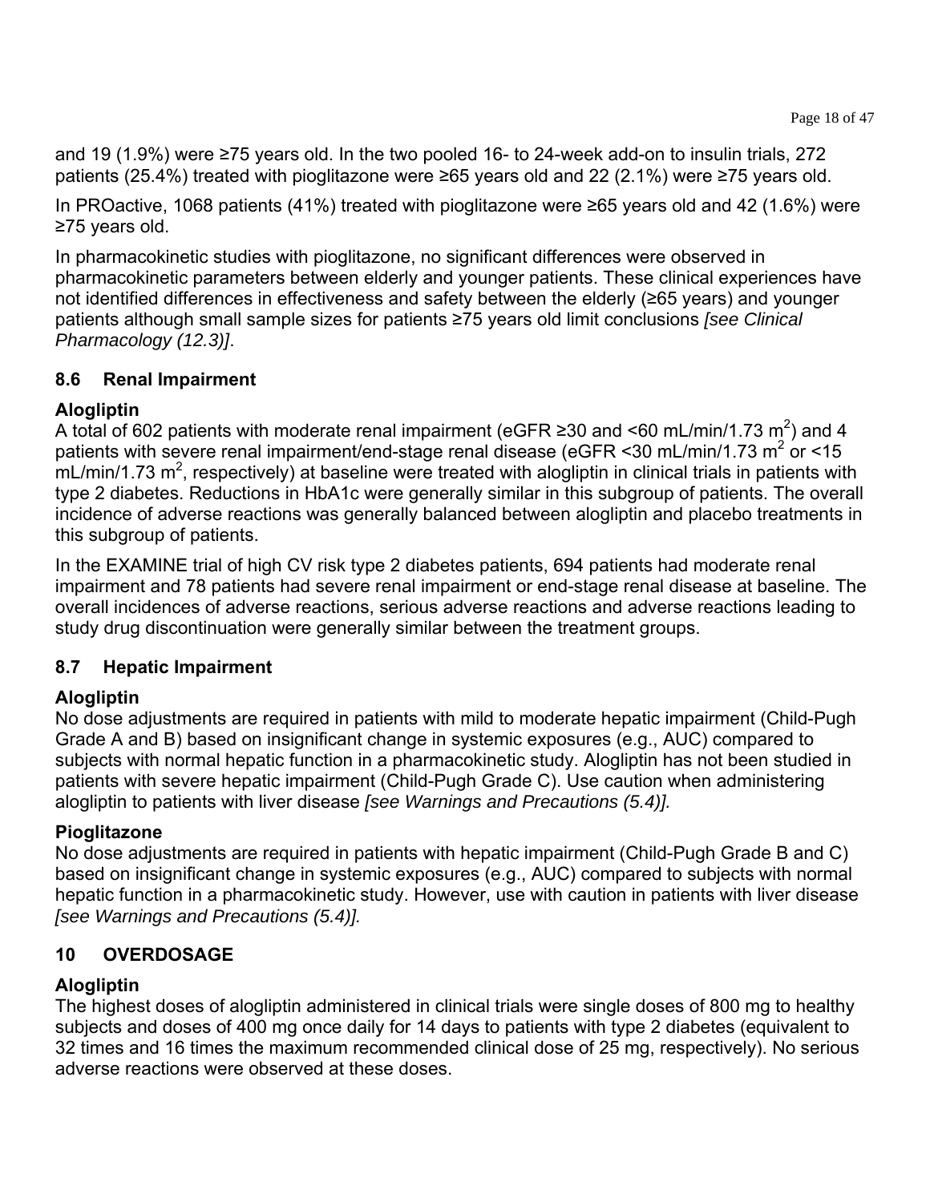and 19 (1.9%) were ≥75 years old. In the two pooled 16- to 24-week add-on to insulin trials, 272 patients (25.4%) treated with pioglitazone were ≥65 years old and 22 (2.1%) were ≥75 years old.

In PROactive, 1068 patients (41%) treated with pioglitazone were ≥65 years old and 42 (1.6%) were ≥75 years old.

In pharmacokinetic studies with pioglitazone, no significant differences were observed in pharmacokinetic parameters between elderly and younger patients. These clinical experiences have not identified differences in effectiveness and safety between the elderly (≥65 years) and younger patients although small sample sizes for patients ≥75 years old limit conclusions *[see Clinical Pharmacology (12.3)]*.

# **8.6 Renal Impairment**

## **Alogliptin**

A total of 602 patients with moderate renal impairment (eGFR ≥30 and <60 mL/min/1.73 m<sup>2</sup>) and 4 patients with severe renal impairment/end-stage renal disease (eGFR <30 mL/min/1.73 m<sup>2</sup> or <15  $mL/min/1.73$  m<sup>2</sup>, respectively) at baseline were treated with alogliptin in clinical trials in patients with type 2 diabetes. Reductions in HbA1c were generally similar in this subgroup of patients. The overall incidence of adverse reactions was generally balanced between alogliptin and placebo treatments in this subgroup of patients.

In the EXAMINE trial of high CV risk type 2 diabetes patients, 694 patients had moderate renal impairment and 78 patients had severe renal impairment or end-stage renal disease at baseline. The overall incidences of adverse reactions, serious adverse reactions and adverse reactions leading to study drug discontinuation were generally similar between the treatment groups.

# **8.7 Hepatic Impairment**

# **Alogliptin**

No dose adjustments are required in patients with mild to moderate hepatic impairment (Child-Pugh Grade A and B) based on insignificant change in systemic exposures (e.g., AUC) compared to subjects with normal hepatic function in a pharmacokinetic study. Alogliptin has not been studied in patients with severe hepatic impairment (Child-Pugh Grade C). Use caution when administering alogliptin to patients with liver disease *[see Warnings and Precautions (5.4)].*

## **Pioglitazone**

No dose adjustments are required in patients with hepatic impairment (Child-Pugh Grade B and C) based on insignificant change in systemic exposures (e.g., AUC) compared to subjects with normal hepatic function in a pharmacokinetic study. However, use with caution in patients with liver disease *[see Warnings and Precautions (5.4)].*

# **10 OVERDOSAGE**

# **Alogliptin**

The highest doses of alogliptin administered in clinical trials were single doses of 800 mg to healthy subjects and doses of 400 mg once daily for 14 days to patients with type 2 diabetes (equivalent to 32 times and 16 times the maximum recommended clinical dose of 25 mg, respectively). No serious adverse reactions were observed at these doses.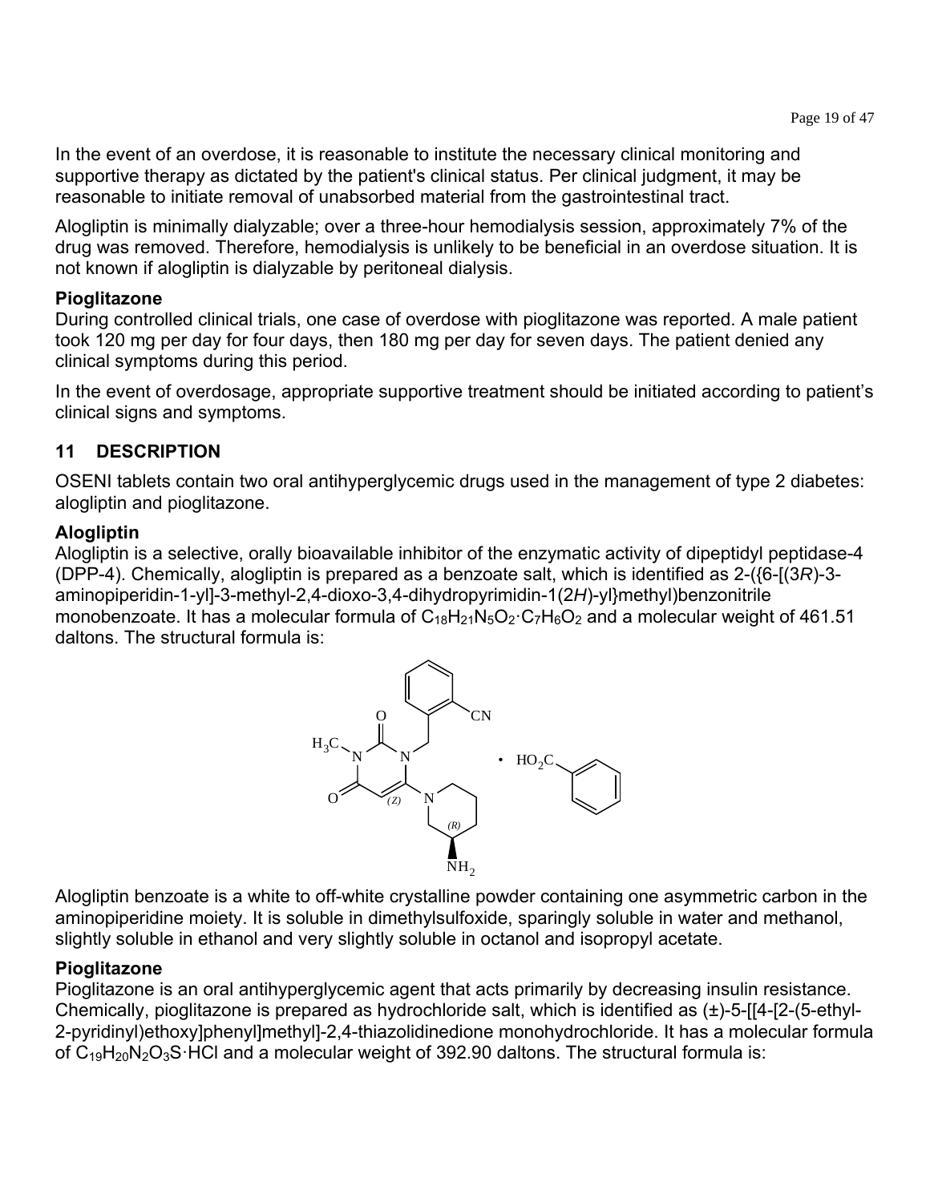In the event of an overdose, it is reasonable to institute the necessary clinical monitoring and supportive therapy as dictated by the patient's clinical status. Per clinical judgment, it may be reasonable to initiate removal of unabsorbed material from the gastrointestinal tract.

Alogliptin is minimally dialyzable; over a three-hour hemodialysis session, approximately 7% of the drug was removed. Therefore, hemodialysis is unlikely to be beneficial in an overdose situation. It is not known if alogliptin is dialyzable by peritoneal dialysis.

## **Pioglitazone**

During controlled clinical trials, one case of overdose with pioglitazone was reported. A male patient took 120 mg per day for four days, then 180 mg per day for seven days. The patient denied any clinical symptoms during this period.

In the event of overdosage, appropriate supportive treatment should be initiated according to patient's clinical signs and symptoms.

## **11 DESCRIPTION**

OSENI tablets contain two oral antihyperglycemic drugs used in the management of type 2 diabetes: alogliptin and pioglitazone.

## **Alogliptin**

Alogliptin is a selective, orally bioavailable inhibitor of the enzymatic activity of dipeptidyl peptidase-4 (DPP-4). Chemically, alogliptin is prepared as a benzoate salt, which is identified as 2-({6-[(3*R*)-3 aminopiperidin-1-yl]-3-methyl-2,4-dioxo-3,4-dihydropyrimidin-1(2*H*)-yl}methyl)benzonitrile monobenzoate. It has a molecular formula of  $C_{18}H_{21}N_5O_2 \cdot C_7H_6O_2$  and a molecular weight of 461.51 daltons. The structural formula is:



Alogliptin benzoate is a white to off-white crystalline powder containing one asymmetric carbon in the aminopiperidine moiety. It is soluble in dimethylsulfoxide, sparingly soluble in water and methanol, slightly soluble in ethanol and very slightly soluble in octanol and isopropyl acetate.

## **Pioglitazone**

Pioglitazone is an oral antihyperglycemic agent that acts primarily by decreasing insulin resistance. Chemically, pioglitazone is prepared as hydrochloride salt, which is identified as (±)-5-[[4-[2-(5-ethyl-2-pyridinyl)ethoxy]phenyl]methyl]-2,4-thiazolidinedione monohydrochloride. It has a molecular formula of  $C_{19}H_{20}N_2O_3S$  HCl and a molecular weight of 392.90 daltons. The structural formula is: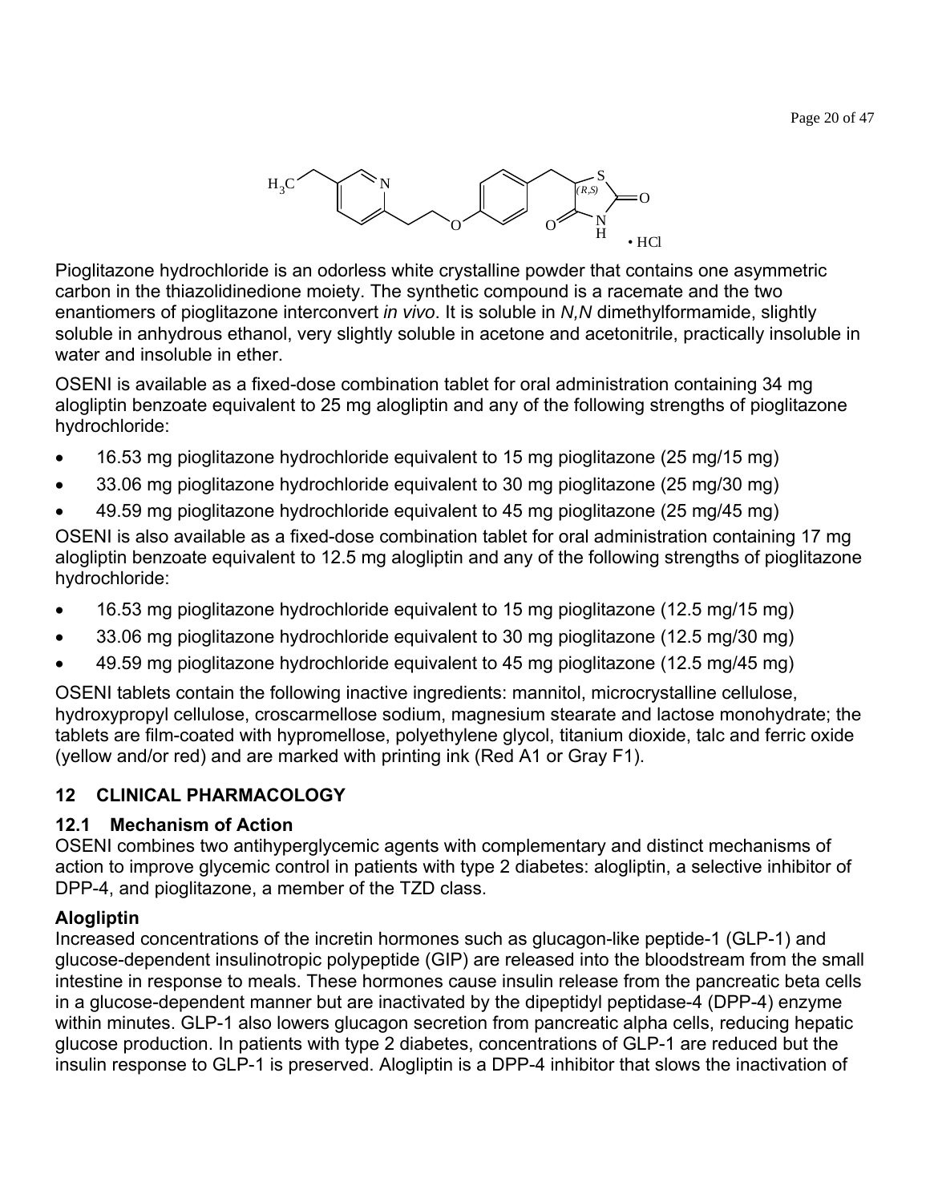

Pioglitazone hydrochloride is an odorless white crystalline powder that contains one asymmetric carbon in the thiazolidinedione moiety. The synthetic compound is a racemate and the two enantiomers of pioglitazone interconvert *in vivo*. It is soluble in *N,N* dimethylformamide, slightly soluble in anhydrous ethanol, very slightly soluble in acetone and acetonitrile, practically insoluble in water and insoluble in ether.

OSENI is available as a fixed-dose combination tablet for oral administration containing 34 mg alogliptin benzoate equivalent to 25 mg alogliptin and any of the following strengths of pioglitazone hydrochloride:

- 16.53 mg pioglitazone hydrochloride equivalent to 15 mg pioglitazone (25 mg/15 mg)
- 33.06 mg pioglitazone hydrochloride equivalent to 30 mg pioglitazone (25 mg/30 mg)
- 49.59 mg pioglitazone hydrochloride equivalent to 45 mg pioglitazone (25 mg/45 mg)

OSENI is also available as a fixed-dose combination tablet for oral administration containing 17 mg alogliptin benzoate equivalent to 12.5 mg alogliptin and any of the following strengths of pioglitazone hydrochloride:

- 16.53 mg pioglitazone hydrochloride equivalent to 15 mg pioglitazone (12.5 mg/15 mg)
- 33.06 mg pioglitazone hydrochloride equivalent to 30 mg pioglitazone (12.5 mg/30 mg)
- 49.59 mg pioglitazone hydrochloride equivalent to 45 mg pioglitazone (12.5 mg/45 mg)

OSENI tablets contain the following inactive ingredients: mannitol, microcrystalline cellulose, hydroxypropyl cellulose, croscarmellose sodium, magnesium stearate and lactose monohydrate; the tablets are film-coated with hypromellose, polyethylene glycol, titanium dioxide, talc and ferric oxide (yellow and/or red) and are marked with printing ink (Red A1 or Gray F1).

# **12 CLINICAL PHARMACOLOGY**

## **12.1 Mechanism of Action**

OSENI combines two antihyperglycemic agents with complementary and distinct mechanisms of action to improve glycemic control in patients with type 2 diabetes: alogliptin, a selective inhibitor of DPP-4, and pioglitazone, a member of the TZD class.

## **Alogliptin**

Increased concentrations of the incretin hormones such as glucagon-like peptide-1 (GLP-1) and glucose-dependent insulinotropic polypeptide (GIP) are released into the bloodstream from the small intestine in response to meals. These hormones cause insulin release from the pancreatic beta cells in a glucose-dependent manner but are inactivated by the dipeptidyl peptidase-4 (DPP-4) enzyme within minutes. GLP-1 also lowers glucagon secretion from pancreatic alpha cells, reducing hepatic glucose production. In patients with type 2 diabetes, concentrations of GLP-1 are reduced but the insulin response to GLP-1 is preserved. Alogliptin is a DPP-4 inhibitor that slows the inactivation of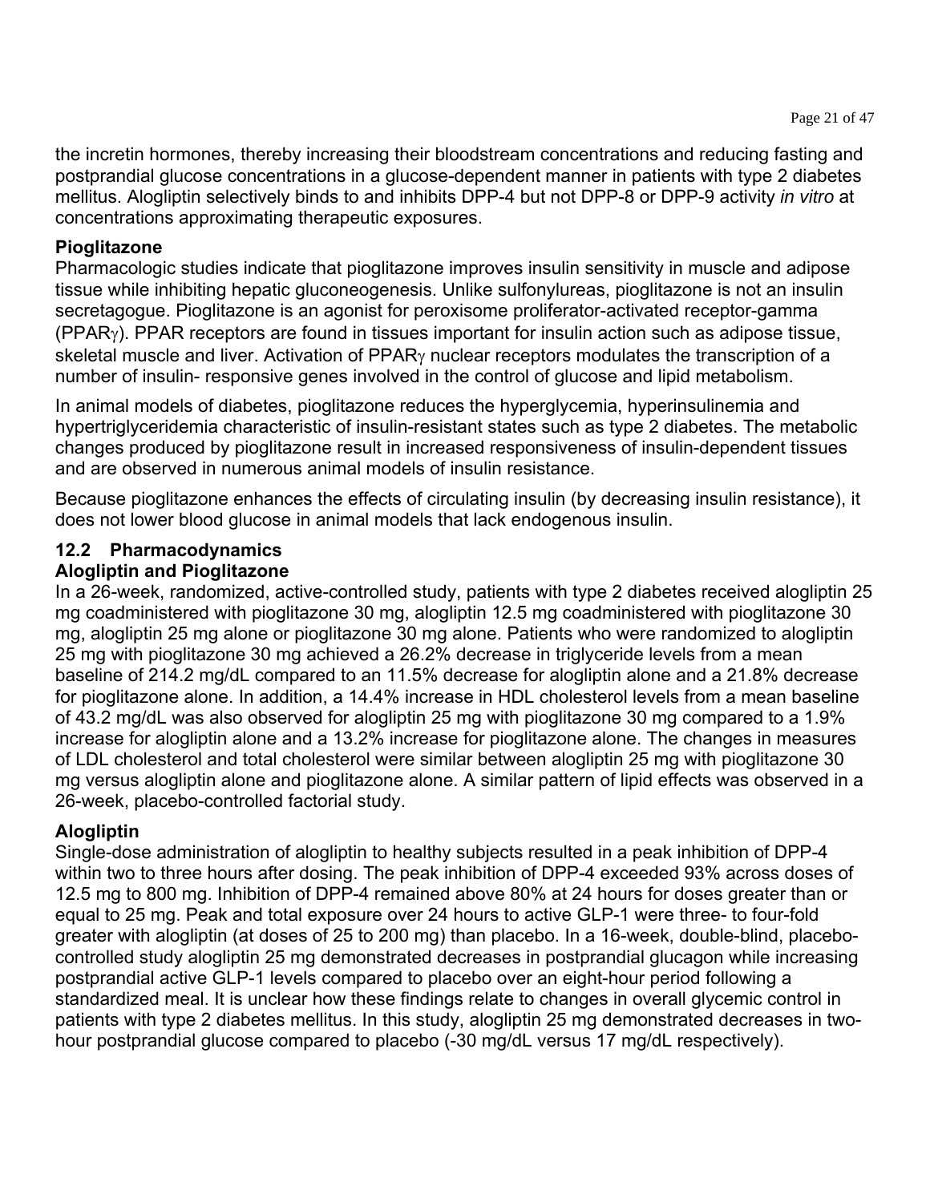the incretin hormones, thereby increasing their bloodstream concentrations and reducing fasting and postprandial glucose concentrations in a glucose-dependent manner in patients with type 2 diabetes mellitus. Alogliptin selectively binds to and inhibits DPP-4 but not DPP-8 or DPP-9 activity *in vitro* at concentrations approximating therapeutic exposures.

#### **Pioglitazone**

Pharmacologic studies indicate that pioglitazone improves insulin sensitivity in muscle and adipose tissue while inhibiting hepatic gluconeogenesis. Unlike sulfonylureas, pioglitazone is not an insulin secretagogue. Pioglitazone is an agonist for peroxisome proliferator-activated receptor-gamma  $(PPAR<sub>Y</sub>)$ . PPAR receptors are found in tissues important for insulin action such as adipose tissue, skeletal muscle and liver. Activation of PPAR $\gamma$  nuclear receptors modulates the transcription of a number of insulin- responsive genes involved in the control of glucose and lipid metabolism.

In animal models of diabetes, pioglitazone reduces the hyperglycemia, hyperinsulinemia and hypertriglyceridemia characteristic of insulin-resistant states such as type 2 diabetes. The metabolic changes produced by pioglitazone result in increased responsiveness of insulin-dependent tissues and are observed in numerous animal models of insulin resistance.

Because pioglitazone enhances the effects of circulating insulin (by decreasing insulin resistance), it does not lower blood glucose in animal models that lack endogenous insulin.

## **12.2 Pharmacodynamics**

## **Alogliptin and Pioglitazone**

In a 26-week, randomized, active-controlled study, patients with type 2 diabetes received alogliptin 25 mg coadministered with pioglitazone 30 mg, alogliptin 12.5 mg coadministered with pioglitazone 30 mg, alogliptin 25 mg alone or pioglitazone 30 mg alone. Patients who were randomized to alogliptin 25 mg with pioglitazone 30 mg achieved a 26.2% decrease in triglyceride levels from a mean baseline of 214.2 mg/dL compared to an 11.5% decrease for alogliptin alone and a 21.8% decrease for pioglitazone alone. In addition, a 14.4% increase in HDL cholesterol levels from a mean baseline of 43.2 mg/dL was also observed for alogliptin 25 mg with pioglitazone 30 mg compared to a 1.9% increase for alogliptin alone and a 13.2% increase for pioglitazone alone. The changes in measures of LDL cholesterol and total cholesterol were similar between alogliptin 25 mg with pioglitazone 30 mg versus alogliptin alone and pioglitazone alone. A similar pattern of lipid effects was observed in a 26-week, placebo-controlled factorial study.

## **Alogliptin**

Single-dose administration of alogliptin to healthy subjects resulted in a peak inhibition of DPP-4 within two to three hours after dosing. The peak inhibition of DPP-4 exceeded 93% across doses of 12.5 mg to 800 mg. Inhibition of DPP-4 remained above 80% at 24 hours for doses greater than or equal to 25 mg. Peak and total exposure over 24 hours to active GLP-1 were three- to four-fold greater with alogliptin (at doses of 25 to 200 mg) than placebo. In a 16-week, double-blind, placebocontrolled study alogliptin 25 mg demonstrated decreases in postprandial glucagon while increasing postprandial active GLP-1 levels compared to placebo over an eight-hour period following a standardized meal. It is unclear how these findings relate to changes in overall glycemic control in patients with type 2 diabetes mellitus. In this study, alogliptin 25 mg demonstrated decreases in twohour postprandial glucose compared to placebo (-30 mg/dL versus 17 mg/dL respectively).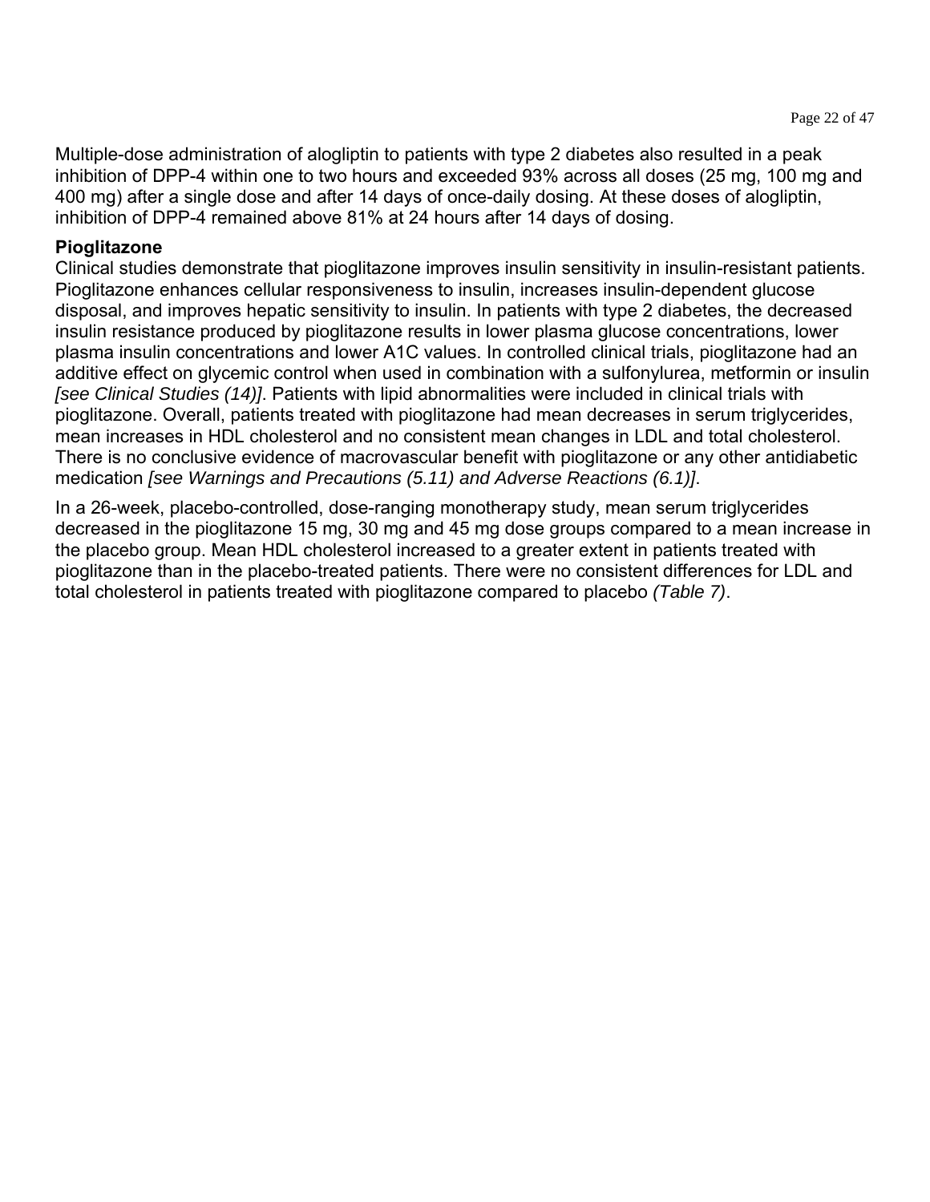Multiple-dose administration of alogliptin to patients with type 2 diabetes also resulted in a peak inhibition of DPP-4 within one to two hours and exceeded 93% across all doses (25 mg, 100 mg and 400 mg) after a single dose and after 14 days of once-daily dosing. At these doses of alogliptin, inhibition of DPP-4 remained above 81% at 24 hours after 14 days of dosing.

#### **Pioglitazone**

Clinical studies demonstrate that pioglitazone improves insulin sensitivity in insulin-resistant patients. Pioglitazone enhances cellular responsiveness to insulin, increases insulin-dependent glucose disposal, and improves hepatic sensitivity to insulin. In patients with type 2 diabetes, the decreased insulin resistance produced by pioglitazone results in lower plasma glucose concentrations, lower plasma insulin concentrations and lower A1C values. In controlled clinical trials, pioglitazone had an additive effect on glycemic control when used in combination with a sulfonylurea, metformin or insulin *[see Clinical Studies (14)]*. Patients with lipid abnormalities were included in clinical trials with pioglitazone. Overall, patients treated with pioglitazone had mean decreases in serum triglycerides, mean increases in HDL cholesterol and no consistent mean changes in LDL and total cholesterol. There is no conclusive evidence of macrovascular benefit with pioglitazone or any other antidiabetic medication *[see Warnings and Precautions (5.11) and Adverse Reactions (6.1)]*.

In a 26-week, placebo-controlled, dose-ranging monotherapy study, mean serum triglycerides decreased in the pioglitazone 15 mg, 30 mg and 45 mg dose groups compared to a mean increase in the placebo group. Mean HDL cholesterol increased to a greater extent in patients treated with pioglitazone than in the placebo-treated patients. There were no consistent differences for LDL and total cholesterol in patients treated with pioglitazone compared to placebo *(Table 7)*.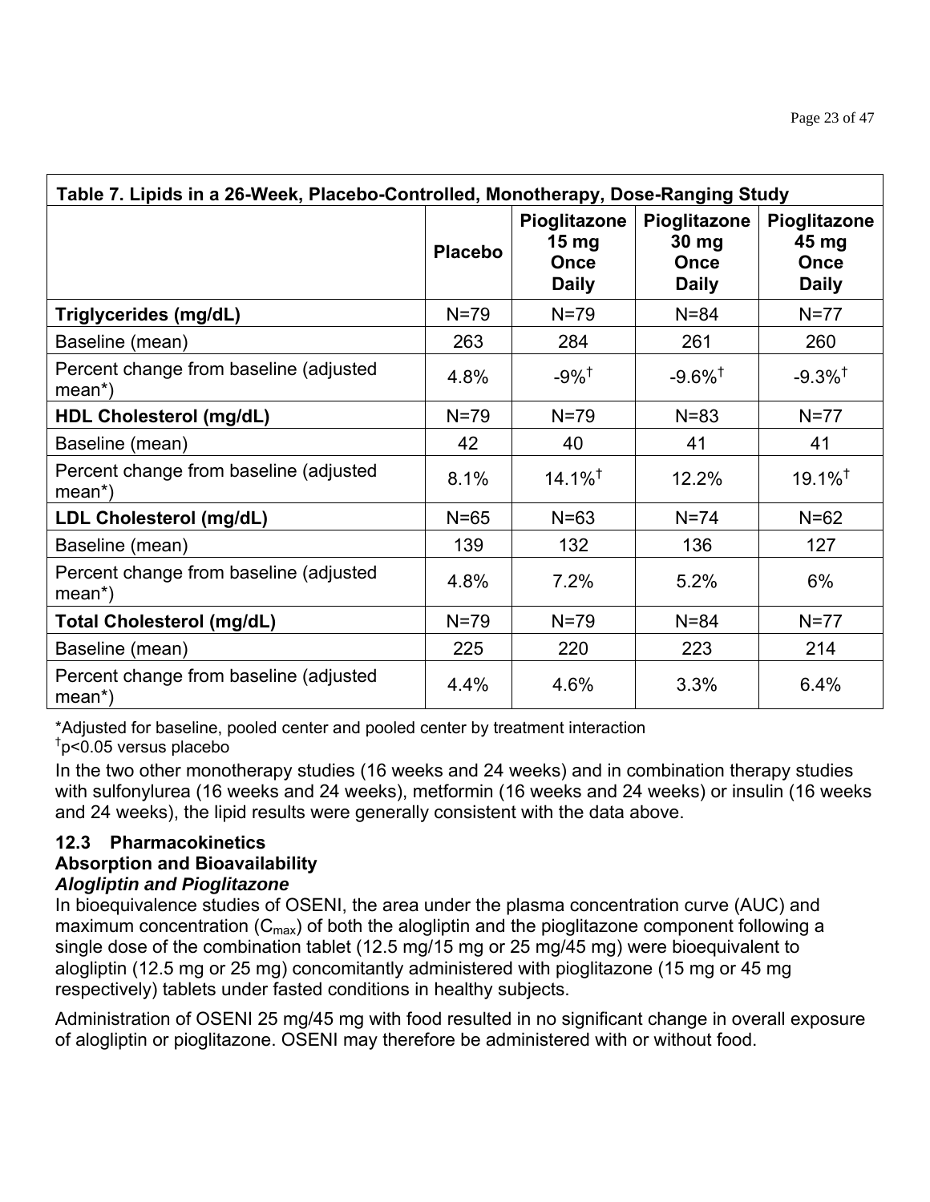| Table 7. Lipids in a 26-Week, Placebo-Controlled, Monotherapy, Dose-Ranging Study |                |                                                                 |                                                      |                                                      |  |
|-----------------------------------------------------------------------------------|----------------|-----------------------------------------------------------------|------------------------------------------------------|------------------------------------------------------|--|
|                                                                                   | <b>Placebo</b> | Pioglitazone<br>15 <sub>mg</sub><br><b>Once</b><br><b>Daily</b> | Pioglitazone<br>30 mg<br><b>Once</b><br><b>Daily</b> | Pioglitazone<br>45 mg<br><b>Once</b><br><b>Daily</b> |  |
| Triglycerides (mg/dL)                                                             | $N = 79$       | $N=79$                                                          | $N = 84$                                             | $N=77$                                               |  |
| Baseline (mean)                                                                   | 263            | 284                                                             | 261                                                  | 260                                                  |  |
| Percent change from baseline (adjusted<br>mean <sup>*</sup> )                     | 4.8%           | $-9\%$ <sup>†</sup>                                             | $-9.6\%$ <sup>†</sup>                                | $-9.3\%$ <sup>†</sup>                                |  |
| <b>HDL Cholesterol (mg/dL)</b>                                                    | $N = 79$       | $N=79$                                                          | $N = 83$                                             | $N=77$                                               |  |
| Baseline (mean)                                                                   | 42             | 40                                                              | 41                                                   | 41                                                   |  |
| Percent change from baseline (adjusted<br>mean <sup>*</sup> )                     | 8.1%           | $14.1\%$ <sup>†</sup>                                           | 12.2%                                                | $19.1\%$ <sup>†</sup>                                |  |
| LDL Cholesterol (mg/dL)                                                           | $N=65$         | $N=63$                                                          | $N=74$                                               | $N=62$                                               |  |
| Baseline (mean)                                                                   | 139            | 132                                                             | 136                                                  | 127                                                  |  |
| Percent change from baseline (adjusted<br>mean <sup>*</sup> )                     | 4.8%           | 7.2%                                                            | 5.2%                                                 | 6%                                                   |  |
| <b>Total Cholesterol (mg/dL)</b>                                                  | $N = 79$       | $N=79$                                                          | $N = 84$                                             | $N=77$                                               |  |
| Baseline (mean)                                                                   | 225            | 220                                                             | 223                                                  | 214                                                  |  |
| Percent change from baseline (adjusted<br>mean <sup>*</sup> )                     | 4.4%           | 4.6%                                                            | 3.3%                                                 | 6.4%                                                 |  |

\*Adjusted for baseline, pooled center and pooled center by treatment interaction † p<0.05 versus placebo

In the two other monotherapy studies (16 weeks and 24 weeks) and in combination therapy studies with sulfonylurea (16 weeks and 24 weeks), metformin (16 weeks and 24 weeks) or insulin (16 weeks and 24 weeks), the lipid results were generally consistent with the data above.

#### **12.3 Pharmacokinetics Absorption and Bioavailability**

# *Alogliptin and Pioglitazone*

In bioequivalence studies of OSENI, the area under the plasma concentration curve (AUC) and maximum concentration  $(C_{max})$  of both the alogliptin and the pioglitazone component following a single dose of the combination tablet (12.5 mg/15 mg or 25 mg/45 mg) were bioequivalent to alogliptin (12.5 mg or 25 mg) concomitantly administered with pioglitazone (15 mg or 45 mg respectively) tablets under fasted conditions in healthy subjects.

Administration of OSENI 25 mg/45 mg with food resulted in no significant change in overall exposure of alogliptin or pioglitazone. OSENI may therefore be administered with or without food.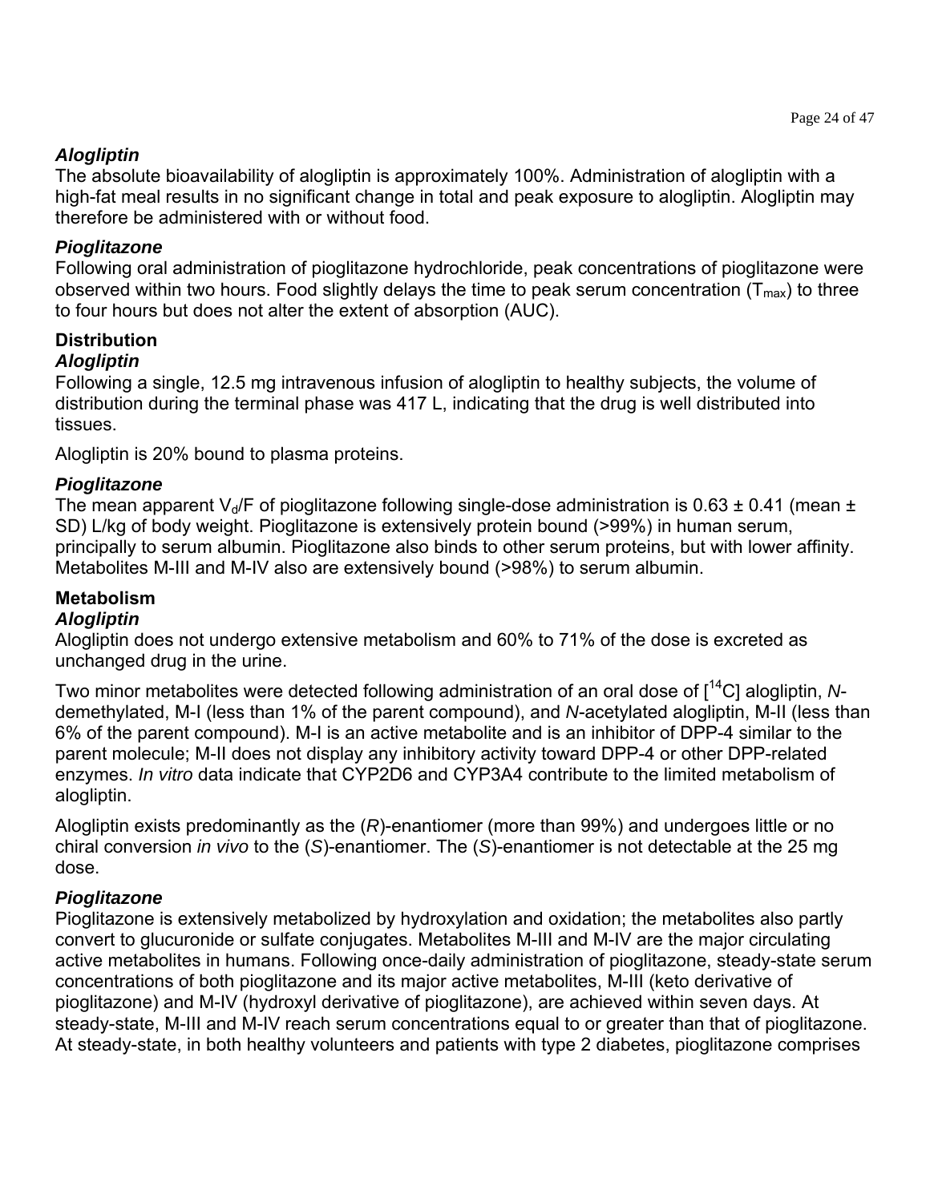# *Alogliptin*

The absolute bioavailability of alogliptin is approximately 100%. Administration of alogliptin with a high-fat meal results in no significant change in total and peak exposure to alogliptin. Alogliptin may therefore be administered with or without food.

# *Pioglitazone*

Following oral administration of pioglitazone hydrochloride, peak concentrations of pioglitazone were observed within two hours. Food slightly delays the time to peak serum concentration ( $T_{\text{max}}$ ) to three to four hours but does not alter the extent of absorption (AUC).

#### **Distribution**  *Alogliptin*

Following a single, 12.5 mg intravenous infusion of alogliptin to healthy subjects, the volume of distribution during the terminal phase was 417 L, indicating that the drug is well distributed into tissues.

Alogliptin is 20% bound to plasma proteins.

# *Pioglitazone*

The mean apparent V<sub>d</sub>/F of pioglitazone following single-dose administration is 0.63  $\pm$  0.41 (mean  $\pm$ SD) L/kg of body weight. Pioglitazone is extensively protein bound (>99%) in human serum, principally to serum albumin. Pioglitazone also binds to other serum proteins, but with lower affinity. Metabolites M-III and M-IV also are extensively bound (>98%) to serum albumin.

# **Metabolism**

## *Alogliptin*

Alogliptin does not undergo extensive metabolism and 60% to 71% of the dose is excreted as unchanged drug in the urine.

Two minor metabolites were detected following administration of an oral dose of [14C] alogliptin, *N*demethylated, M-I (less than 1% of the parent compound), and *N*-acetylated alogliptin, M-II (less than 6% of the parent compound). M-I is an active metabolite and is an inhibitor of DPP-4 similar to the parent molecule; M-II does not display any inhibitory activity toward DPP-4 or other DPP-related enzymes. *In vitro* data indicate that CYP2D6 and CYP3A4 contribute to the limited metabolism of alogliptin.

Alogliptin exists predominantly as the (*R*)-enantiomer (more than 99%) and undergoes little or no chiral conversion *in vivo* to the (*S*)-enantiomer. The (*S*)-enantiomer is not detectable at the 25 mg dose.

# *Pioglitazone*

Pioglitazone is extensively metabolized by hydroxylation and oxidation; the metabolites also partly convert to glucuronide or sulfate conjugates. Metabolites M-III and M-IV are the major circulating active metabolites in humans. Following once-daily administration of pioglitazone, steady-state serum concentrations of both pioglitazone and its major active metabolites, M-III (keto derivative of pioglitazone) and M-IV (hydroxyl derivative of pioglitazone), are achieved within seven days. At steady-state, M-III and M-IV reach serum concentrations equal to or greater than that of pioglitazone. At steady-state, in both healthy volunteers and patients with type 2 diabetes, pioglitazone comprises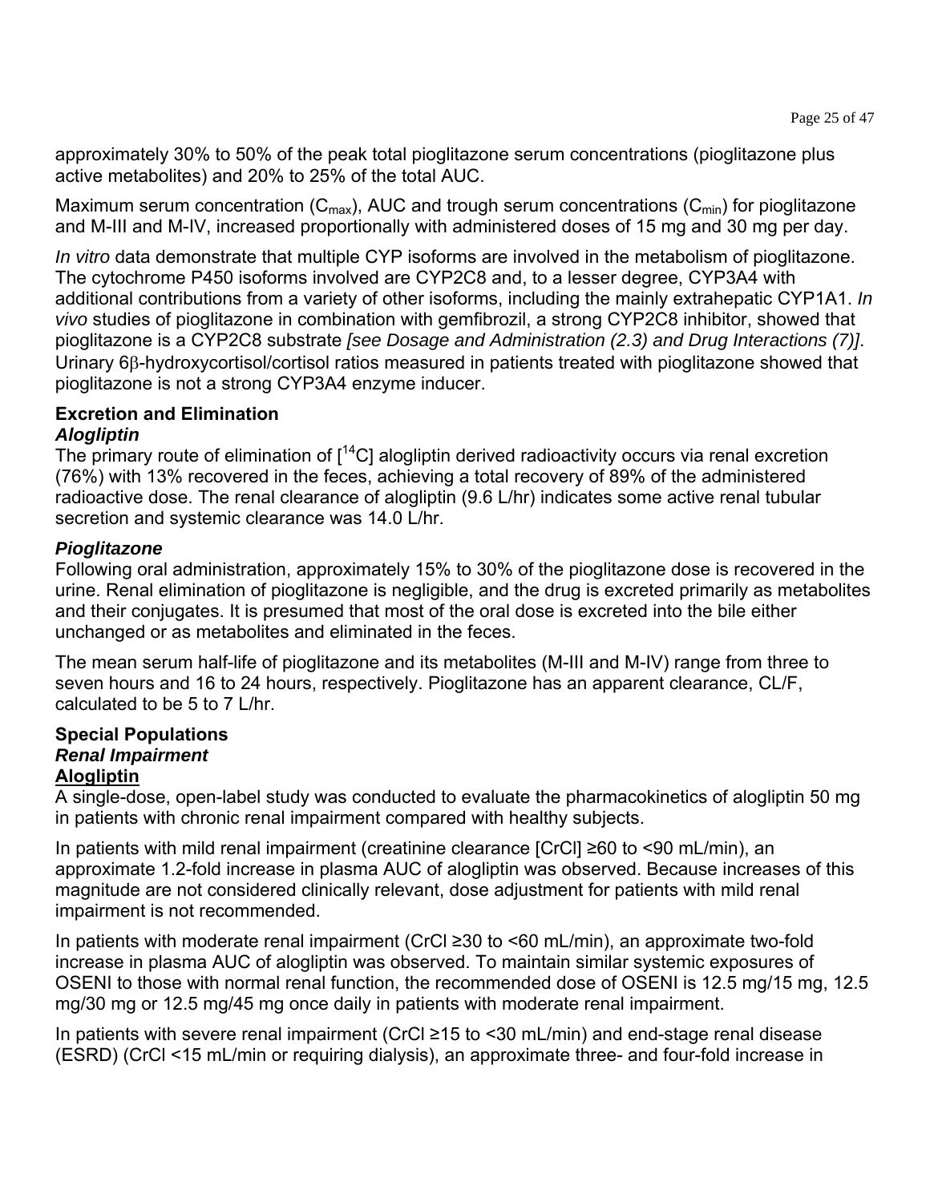approximately 30% to 50% of the peak total pioglitazone serum concentrations (pioglitazone plus active metabolites) and 20% to 25% of the total AUC.

Maximum serum concentration ( $C_{\text{max}}$ ), AUC and trough serum concentrations ( $C_{\text{min}}$ ) for pioglitazone and M-III and M-IV, increased proportionally with administered doses of 15 mg and 30 mg per day.

*In vitro* data demonstrate that multiple CYP isoforms are involved in the metabolism of pioglitazone. The cytochrome P450 isoforms involved are CYP2C8 and, to a lesser degree, CYP3A4 with additional contributions from a variety of other isoforms, including the mainly extrahepatic CYP1A1. *In vivo* studies of pioglitazone in combination with gemfibrozil, a strong CYP2C8 inhibitor, showed that pioglitazone is a CYP2C8 substrate *[see Dosage and Administration (2.3) and Drug Interactions (7)]*. Urinary 6B-hydroxycortisol/cortisol ratios measured in patients treated with pioglitazone showed that pioglitazone is not a strong CYP3A4 enzyme inducer.

## **Excretion and Elimination**

## *Alogliptin*

The primary route of elimination of [<sup>14</sup>C] alogliptin derived radioactivity occurs via renal excretion (76%) with 13% recovered in the feces, achieving a total recovery of 89% of the administered radioactive dose. The renal clearance of alogliptin (9.6 L/hr) indicates some active renal tubular secretion and systemic clearance was 14.0 L/hr.

## *Pioglitazone*

Following oral administration, approximately 15% to 30% of the pioglitazone dose is recovered in the urine. Renal elimination of pioglitazone is negligible, and the drug is excreted primarily as metabolites and their conjugates. It is presumed that most of the oral dose is excreted into the bile either unchanged or as metabolites and eliminated in the feces.

The mean serum half-life of pioglitazone and its metabolites (M-III and M-IV) range from three to seven hours and 16 to 24 hours, respectively. Pioglitazone has an apparent clearance, CL/F, calculated to be 5 to 7 L/hr.

#### **Special Populations**  *Renal Impairment* **Alogliptin**

A single-dose, open-label study was conducted to evaluate the pharmacokinetics of alogliptin 50 mg in patients with chronic renal impairment compared with healthy subjects.

In patients with mild renal impairment (creatinine clearance [CrCl] ≥60 to <90 mL/min), an approximate 1.2-fold increase in plasma AUC of alogliptin was observed. Because increases of this magnitude are not considered clinically relevant, dose adjustment for patients with mild renal impairment is not recommended.

In patients with moderate renal impairment (CrCl ≥30 to <60 mL/min), an approximate two-fold increase in plasma AUC of alogliptin was observed. To maintain similar systemic exposures of OSENI to those with normal renal function, the recommended dose of OSENI is 12.5 mg/15 mg, 12.5 mg/30 mg or 12.5 mg/45 mg once daily in patients with moderate renal impairment.

In patients with severe renal impairment (CrCl ≥15 to <30 mL/min) and end-stage renal disease (ESRD) (CrCl <15 mL/min or requiring dialysis), an approximate three- and four-fold increase in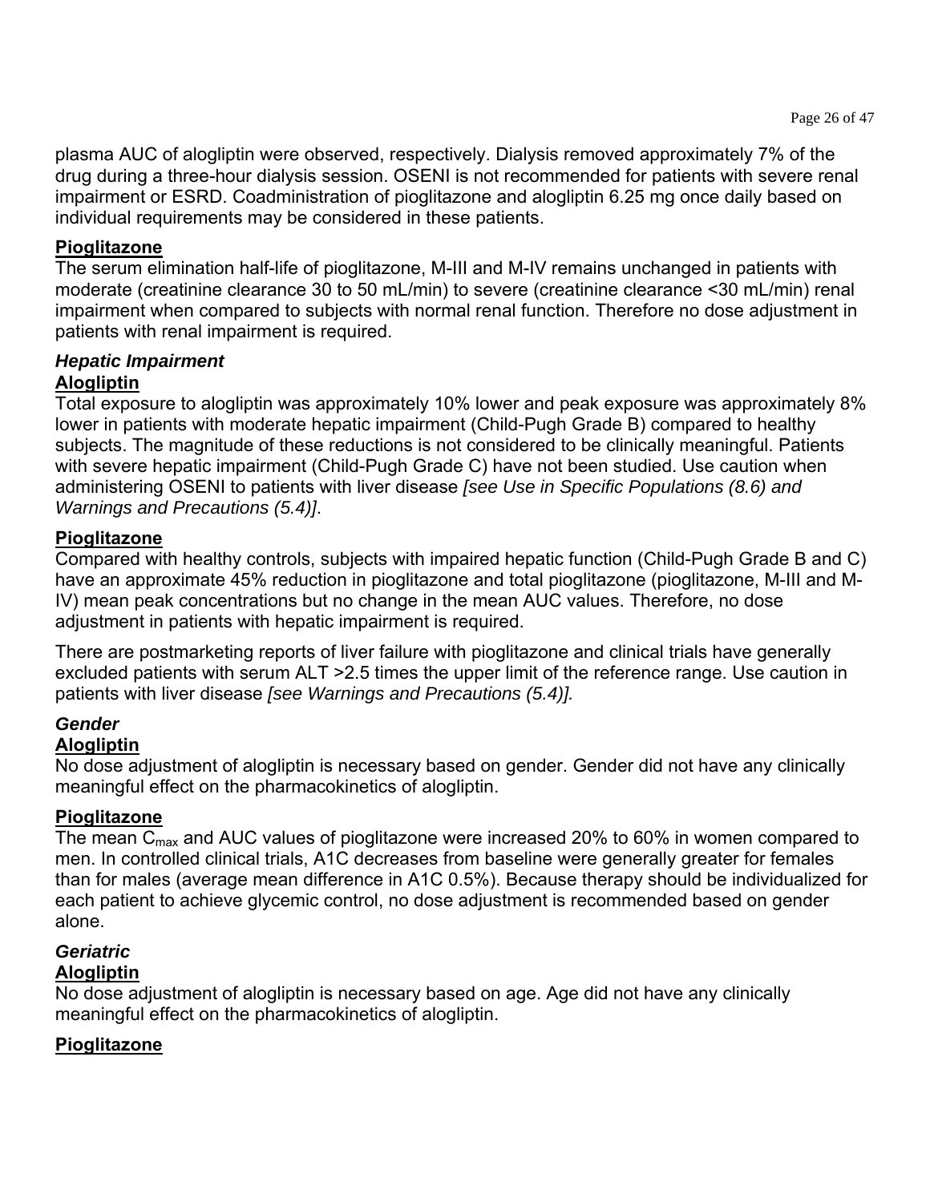plasma AUC of alogliptin were observed, respectively. Dialysis removed approximately 7% of the drug during a three-hour dialysis session. OSENI is not recommended for patients with severe renal impairment or ESRD. Coadministration of pioglitazone and alogliptin 6.25 mg once daily based on individual requirements may be considered in these patients.

#### **Pioglitazone**

The serum elimination half-life of pioglitazone, M-III and M-IV remains unchanged in patients with moderate (creatinine clearance 30 to 50 mL/min) to severe (creatinine clearance <30 mL/min) renal impairment when compared to subjects with normal renal function. Therefore no dose adjustment in patients with renal impairment is required.

# *Hepatic Impairment*

#### **Alogliptin**

Total exposure to alogliptin was approximately 10% lower and peak exposure was approximately 8% lower in patients with moderate hepatic impairment (Child-Pugh Grade B) compared to healthy subjects. The magnitude of these reductions is not considered to be clinically meaningful. Patients with severe hepatic impairment (Child-Pugh Grade C) have not been studied. Use caution when administering OSENI to patients with liver disease *[see Use in Specific Populations (8.6) and Warnings and Precautions (5.4)]*.

#### **Pioglitazone**

Compared with healthy controls, subjects with impaired hepatic function (Child-Pugh Grade B and C) have an approximate 45% reduction in pioglitazone and total pioglitazone (pioglitazone, M-III and M-IV) mean peak concentrations but no change in the mean AUC values. Therefore, no dose adjustment in patients with hepatic impairment is required.

There are postmarketing reports of liver failure with pioglitazone and clinical trials have generally excluded patients with serum ALT >2.5 times the upper limit of the reference range. Use caution in patients with liver disease *[see Warnings and Precautions (5.4)].*

# *Gender*

## **Alogliptin**

No dose adjustment of alogliptin is necessary based on gender. Gender did not have any clinically meaningful effect on the pharmacokinetics of alogliptin.

#### **Pioglitazone**

The mean  $C_{\text{max}}$  and AUC values of pioglitazone were increased 20% to 60% in women compared to men. In controlled clinical trials, A1C decreases from baseline were generally greater for females than for males (average mean difference in A1C 0.5%). Because therapy should be individualized for each patient to achieve glycemic control, no dose adjustment is recommended based on gender alone.

# *Geriatric*

## **Alogliptin**

No dose adjustment of alogliptin is necessary based on age. Age did not have any clinically meaningful effect on the pharmacokinetics of alogliptin.

## **Pioglitazone**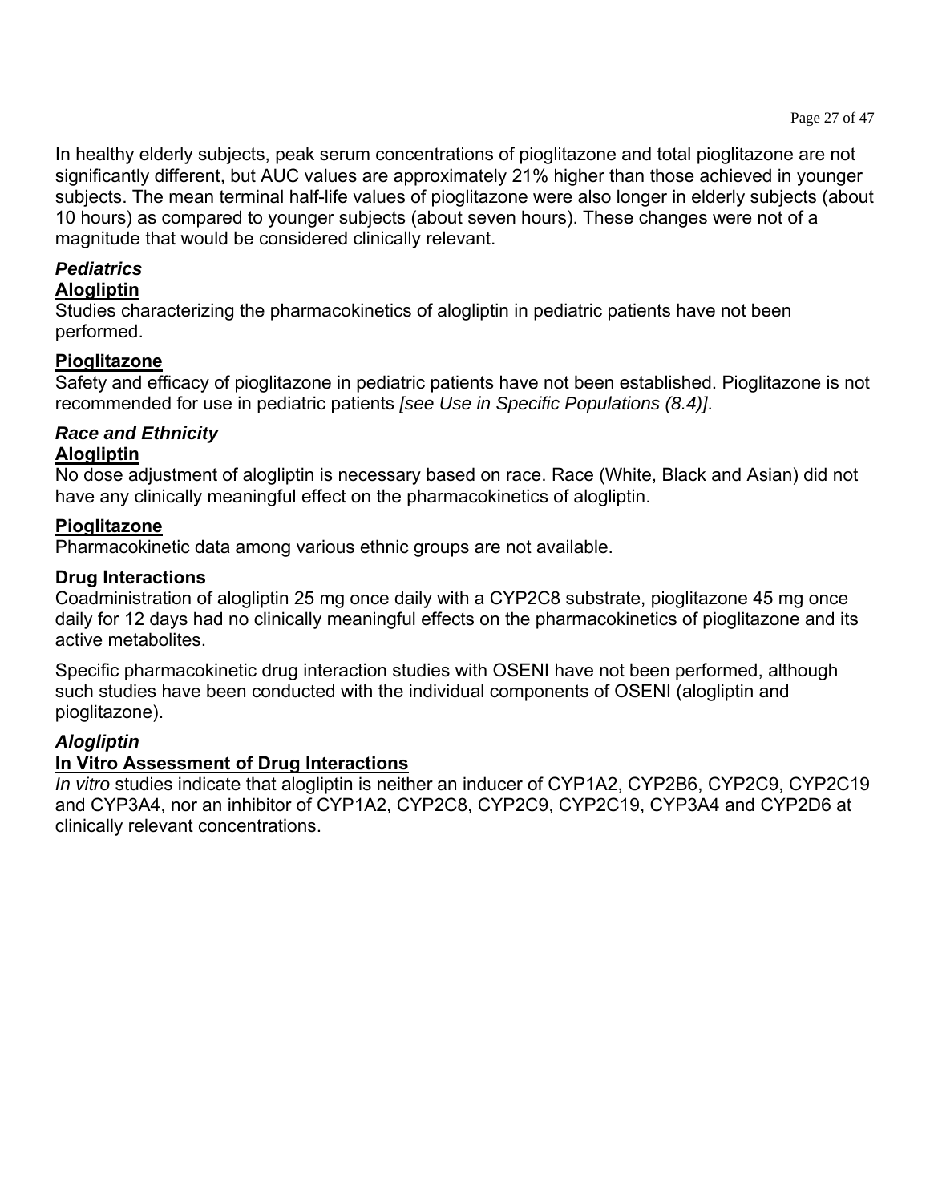In healthy elderly subjects, peak serum concentrations of pioglitazone and total pioglitazone are not significantly different, but AUC values are approximately 21% higher than those achieved in younger subjects. The mean terminal half-life values of pioglitazone were also longer in elderly subjects (about 10 hours) as compared to younger subjects (about seven hours). These changes were not of a magnitude that would be considered clinically relevant.

# *Pediatrics*

#### **Alogliptin**

Studies characterizing the pharmacokinetics of alogliptin in pediatric patients have not been performed.

#### **Pioglitazone**

Safety and efficacy of pioglitazone in pediatric patients have not been established. Pioglitazone is not recommended for use in pediatric patients *[see Use in Specific Populations (8.4)]*.

## *Race and Ethnicity*

#### **Alogliptin**

No dose adjustment of alogliptin is necessary based on race. Race (White, Black and Asian) did not have any clinically meaningful effect on the pharmacokinetics of alogliptin.

#### **Pioglitazone**

Pharmacokinetic data among various ethnic groups are not available.

#### **Drug Interactions**

Coadministration of alogliptin 25 mg once daily with a CYP2C8 substrate, pioglitazone 45 mg once daily for 12 days had no clinically meaningful effects on the pharmacokinetics of pioglitazone and its active metabolites.

Specific pharmacokinetic drug interaction studies with OSENI have not been performed, although such studies have been conducted with the individual components of OSENI (alogliptin and pioglitazone).

#### *Alogliptin*

#### **In Vitro Assessment of Drug Interactions**

*In vitro* studies indicate that alogliptin is neither an inducer of CYP1A2, CYP2B6, CYP2C9, CYP2C19 and CYP3A4, nor an inhibitor of CYP1A2, CYP2C8, CYP2C9, CYP2C19, CYP3A4 and CYP2D6 at clinically relevant concentrations.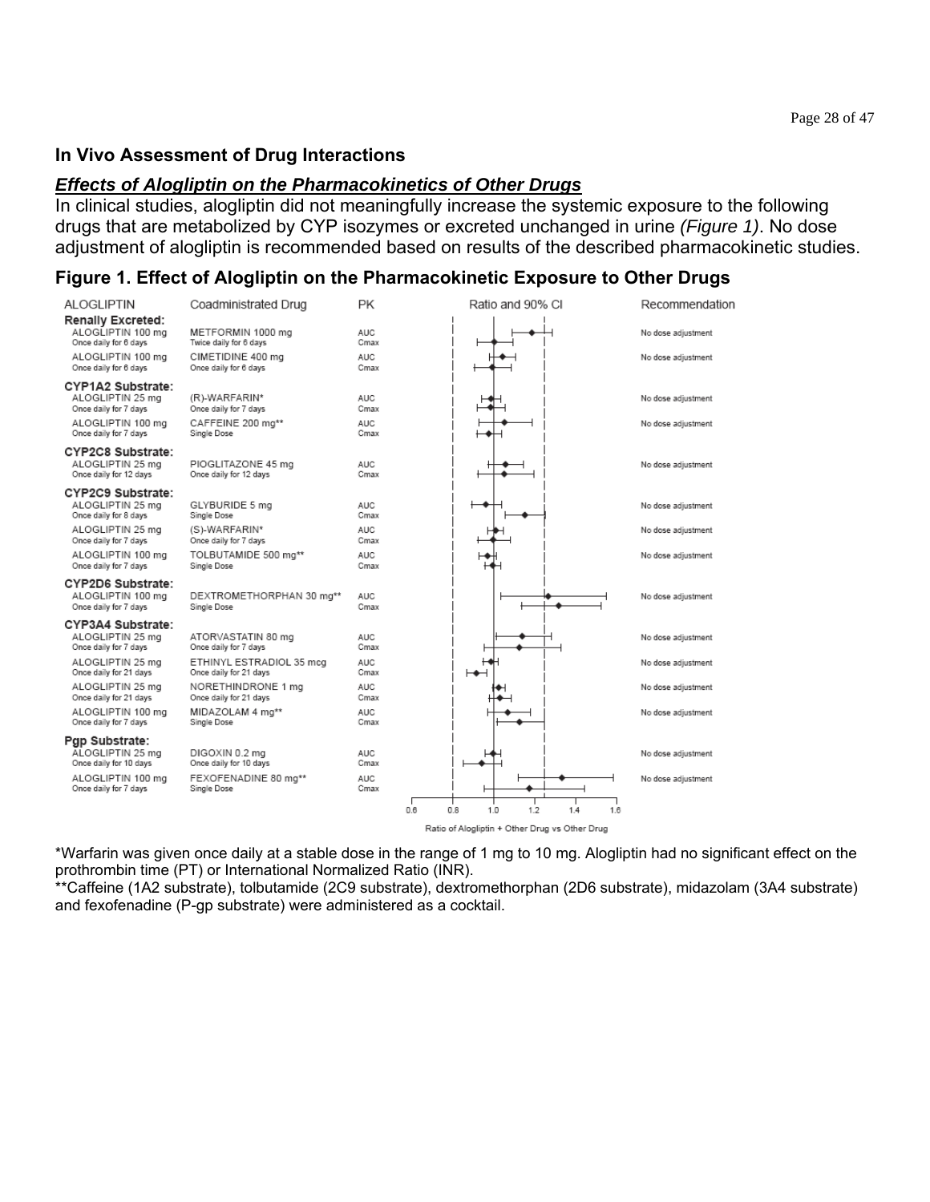#### **In Vivo Assessment of Drug Interactions**

#### *Effects of Alogliptin on the Pharmacokinetics of Other Drugs*

In clinical studies, alogliptin did not meaningfully increase the systemic exposure to the following drugs that are metabolized by CYP isozymes or excreted unchanged in urine *(Figure 1)*. No dose adjustment of alogliptin is recommended based on results of the described pharmacokinetic studies.

#### **Figure 1. Effect of Alogliptin on the Pharmacokinetic Exposure to Other Drugs**



Ratio of Alogliptin + Other Drug vs Other Drug

\*Warfarin was given once daily at a stable dose in the range of 1 mg to 10 mg. Alogliptin had no significant effect on the prothrombin time (PT) or International Normalized Ratio (INR).

\*\*Caffeine (1A2 substrate), tolbutamide (2C9 substrate), dextromethorphan (2D6 substrate), midazolam (3A4 substrate) and fexofenadine (P-gp substrate) were administered as a cocktail.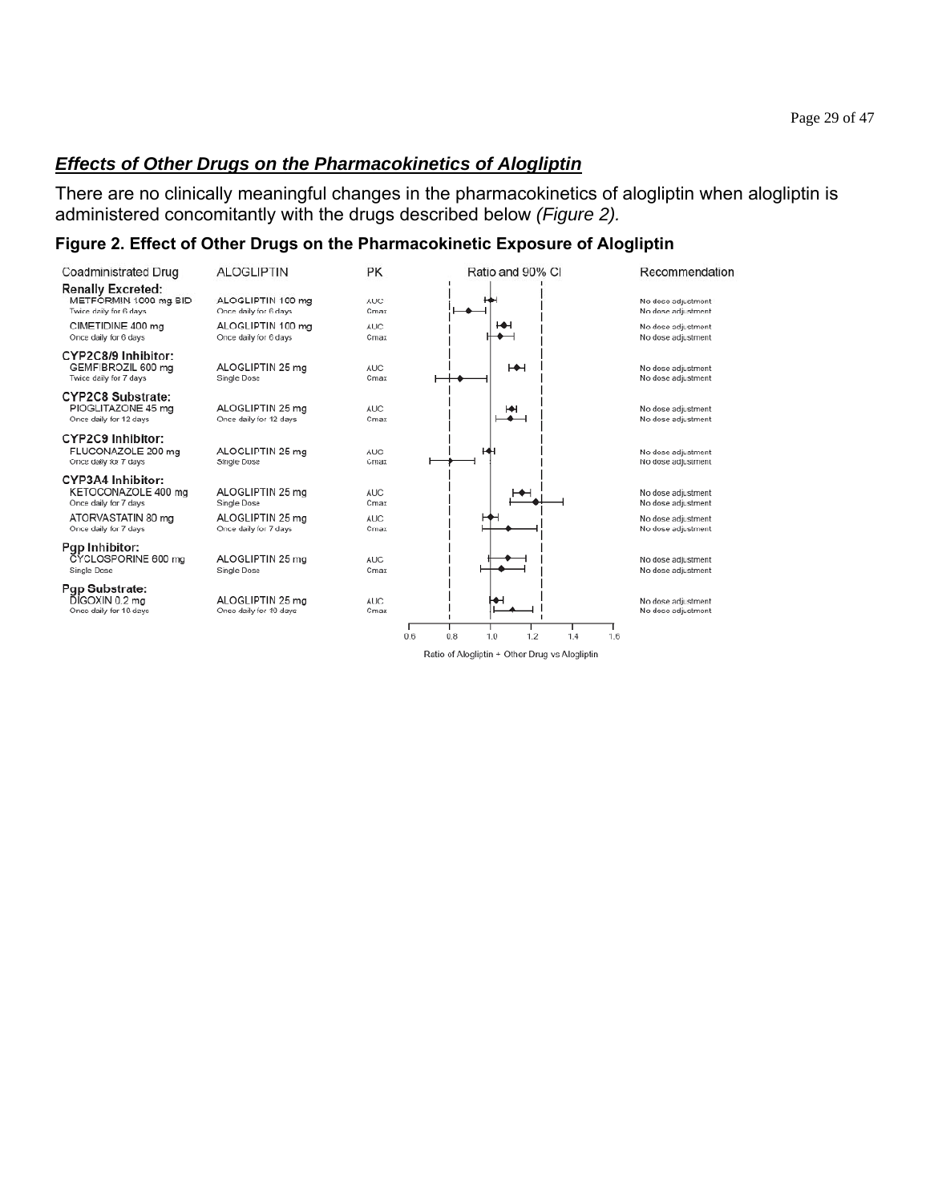#### *Effects of Other Drugs on the Pharmacokinetics of Alogliptin*

There are no clinically meaningful changes in the pharmacokinetics of alogliptin when alogliptin is administered concomitantly with the drugs described below *(Figure 2).* 

#### **Figure 2. Effect of Other Drugs on the Pharmacokinetic Exposure of Alogliptin**



Ratio of Alogliptin + Other Drug vs Alogliptin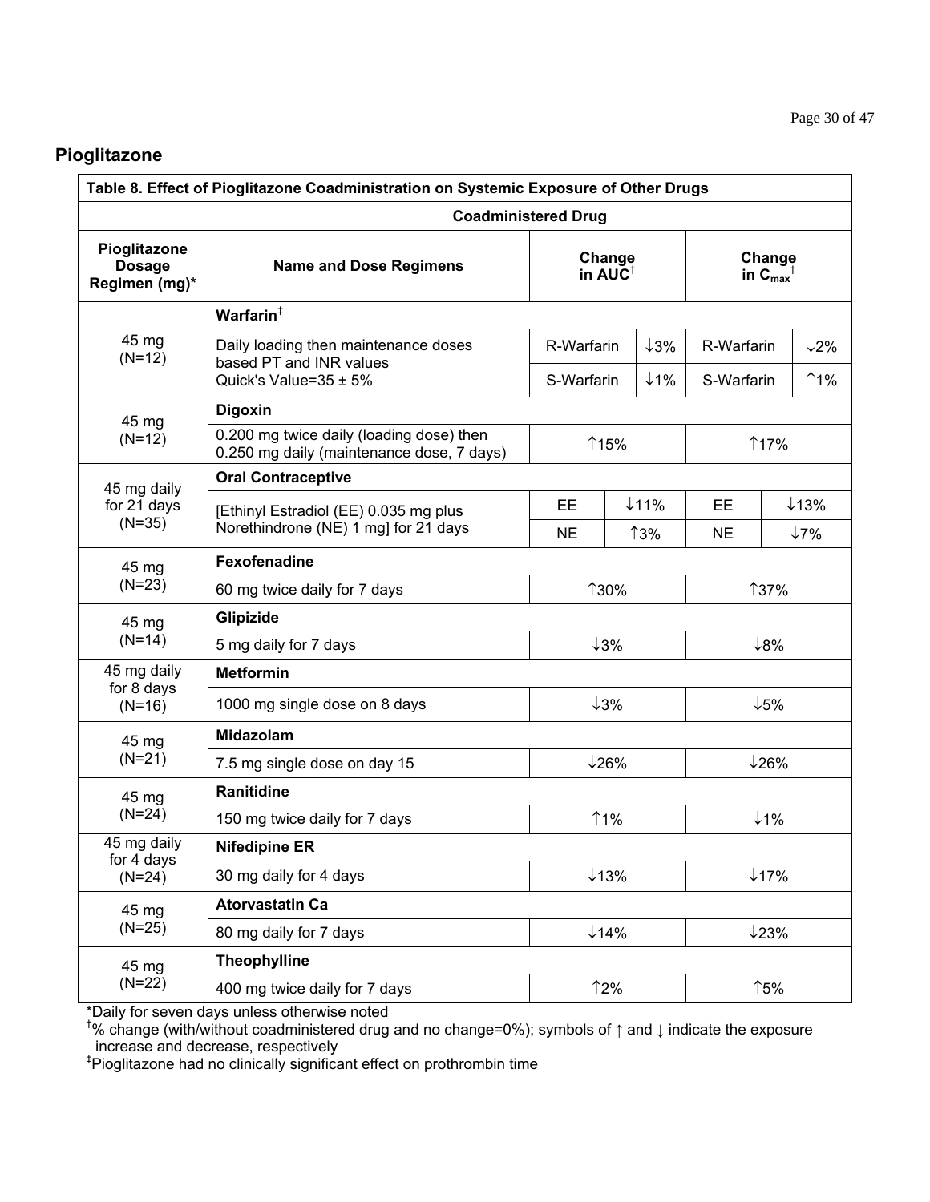# **Pioglitazone**

|                                                   | Table 8. Effect of Pioglitazone Coadministration on Systemic Exposure of Other Drugs  |                              |                  |                  |                                     |                  |                  |  |
|---------------------------------------------------|---------------------------------------------------------------------------------------|------------------------------|------------------|------------------|-------------------------------------|------------------|------------------|--|
|                                                   |                                                                                       | <b>Coadministered Drug</b>   |                  |                  |                                     |                  |                  |  |
| Pioglitazone<br><b>Dosage</b><br>Regimen (mg)*    | <b>Name and Dose Regimens</b>                                                         | Change<br>in $AUC^{\dagger}$ |                  |                  | Change<br>in $C_{max}$ <sup>1</sup> |                  |                  |  |
|                                                   | Warfarin $‡$                                                                          |                              |                  |                  |                                     |                  |                  |  |
| 45 mg<br>$(N=12)$                                 | Daily loading then maintenance doses<br>based PT and INR values                       | R-Warfarin                   |                  | $\downarrow$ 3%  | R-Warfarin                          |                  | 12%              |  |
|                                                   | Quick's Value=35 ± 5%                                                                 | S-Warfarin                   |                  | $\downarrow$ 1%  | S-Warfarin                          |                  | ↑1%              |  |
| 45 mg                                             | <b>Digoxin</b>                                                                        |                              |                  |                  |                                     |                  |                  |  |
| $(N=12)$                                          | 0.200 mg twice daily (loading dose) then<br>0.250 mg daily (maintenance dose, 7 days) |                              | ↑15%             |                  |                                     | ↑17%             |                  |  |
| 45 mg daily                                       | <b>Oral Contraceptive</b>                                                             |                              |                  |                  |                                     |                  |                  |  |
| for 21 days                                       | [Ethinyl Estradiol (EE) 0.035 mg plus                                                 | EE.                          |                  | $\downarrow$ 11% | EЕ                                  |                  | $\downarrow$ 13% |  |
| $(N=35)$                                          | Norethindrone (NE) 1 mg] for 21 days                                                  | <b>NE</b>                    |                  | ↑3%              | <b>NE</b>                           |                  | $\downarrow$ 7%  |  |
| 45 mg                                             | <b>Fexofenadine</b>                                                                   |                              |                  |                  |                                     |                  |                  |  |
| $(N=23)$                                          | ↑30%<br>60 mg twice daily for 7 days                                                  |                              |                  | ↑37%             |                                     |                  |                  |  |
| 45 mg                                             | Glipizide                                                                             |                              |                  |                  |                                     |                  |                  |  |
| $(N=14)$                                          | 5 mg daily for 7 days                                                                 | $\downarrow$ 3%              |                  | $\downarrow$ 8%  |                                     |                  |                  |  |
| 45 mg daily<br>for 8 days                         | <b>Metformin</b>                                                                      |                              |                  |                  |                                     |                  |                  |  |
| $(N=16)$                                          | 1000 mg single dose on 8 days                                                         |                              | $\downarrow$ 3%  |                  |                                     | $\downarrow$ 5%  |                  |  |
| 45 mg                                             | Midazolam                                                                             |                              |                  |                  |                                     |                  |                  |  |
| $(N=21)$                                          | 7.5 mg single dose on day 15                                                          |                              | $\downarrow$ 26% |                  |                                     | $\downarrow$ 26% |                  |  |
| 45 mg                                             | <b>Ranitidine</b>                                                                     |                              |                  |                  |                                     |                  |                  |  |
| $(N=24)$                                          | 150 mg twice daily for 7 days                                                         |                              | ↑1%              |                  |                                     | $1\%$            |                  |  |
| 45 mg daily<br><b>Nifedipine ER</b><br>for 4 days |                                                                                       |                              |                  |                  |                                     |                  |                  |  |
| $(N=24)$                                          | $\downarrow$ 13%<br>$\downarrow$ 17%<br>30 mg daily for 4 days                        |                              |                  |                  |                                     |                  |                  |  |
| 45 mg                                             | <b>Atorvastatin Ca</b>                                                                |                              |                  |                  |                                     |                  |                  |  |
| $(N=25)$                                          | $\downarrow$ 14%<br>$\downarrow$ 23%<br>80 mg daily for 7 days                        |                              |                  |                  |                                     |                  |                  |  |
| 45 mg                                             | <b>Theophylline</b>                                                                   |                              |                  |                  |                                     |                  |                  |  |
| $(N=22)$                                          | 400 mg twice daily for 7 days                                                         |                              | ↑2%              |                  |                                     | ↑5%              |                  |  |

\*Daily for seven days unless otherwise noted<br><sup>†</sup>% change (with/without coadministered drug and no change=0%); symbols of ↑ and ↓ indicate the exposure

increase and decrease, respectively<br><sup>‡</sup>Pioglitazone had no clinically significant effect on prothrombin time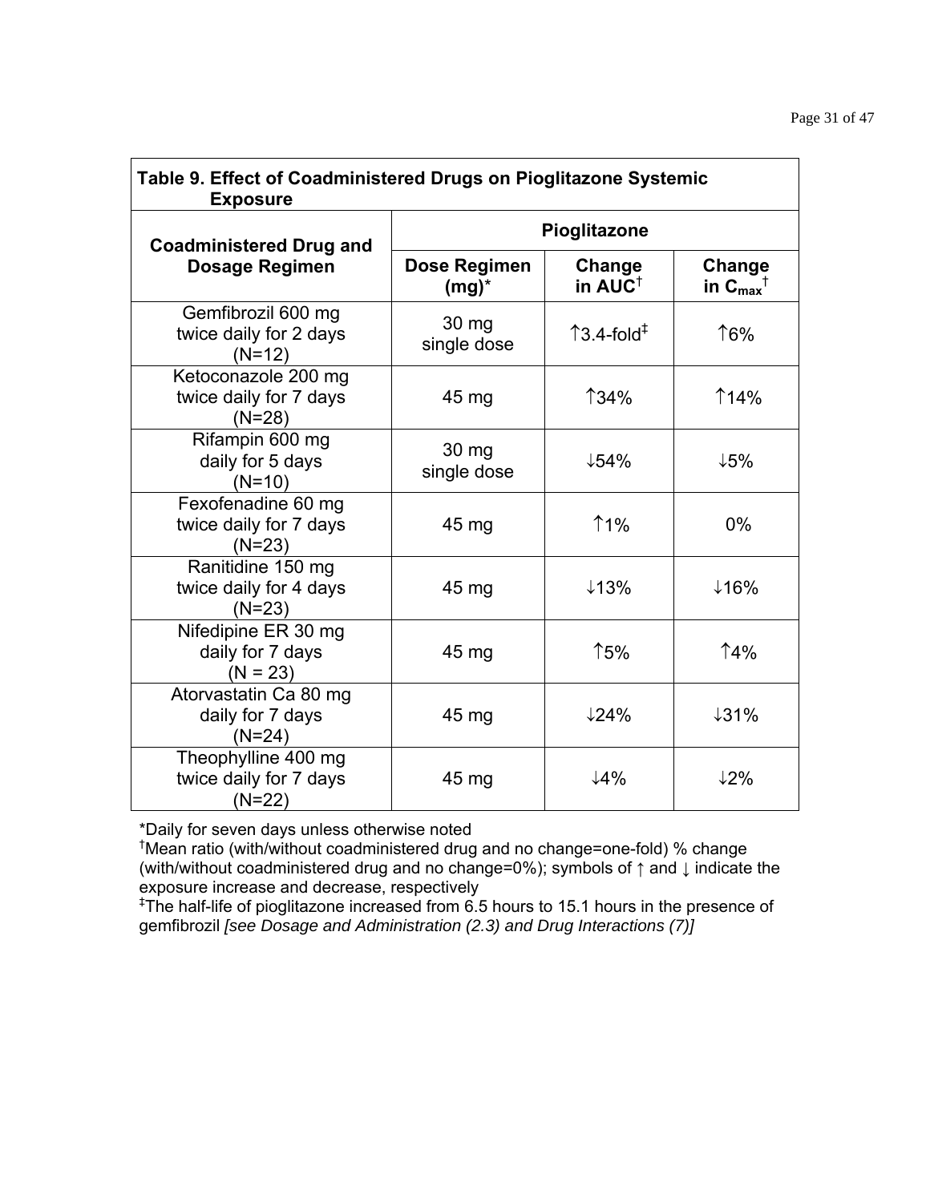| Table 9. Effect of Coadministered Drugs on Pioglitazone Systemic<br><b>Exposure</b> |                          |                                |                                         |  |  |
|-------------------------------------------------------------------------------------|--------------------------|--------------------------------|-----------------------------------------|--|--|
| <b>Coadministered Drug and</b>                                                      |                          | Pioglitazone                   |                                         |  |  |
| <b>Dosage Regimen</b>                                                               | Dose Regimen<br>$(mg)^*$ | Change<br>in $AUC^{\dagger}$   | Change<br>in $C_{\text{max}}^{\dagger}$ |  |  |
| Gemfibrozil 600 mg<br>twice daily for 2 days<br>$(N=12)$                            | 30 mg<br>single dose     | $\uparrow$ 3.4-fold $\uparrow$ | ↑6%                                     |  |  |
| Ketoconazole 200 mg<br>twice daily for 7 days<br>$(N=28)$                           | 45 mg                    | ↑34%                           | ↑14%                                    |  |  |
| Rifampin 600 mg<br>daily for 5 days<br>$(N=10)$                                     | 30 mg<br>single dose     | $\downarrow$ 54%               | $\downarrow$ 5%                         |  |  |
| Fexofenadine 60 mg<br>twice daily for 7 days<br>$(N=23)$                            | 45 mg                    | ↑1%                            | $0\%$                                   |  |  |
| Ranitidine 150 mg<br>twice daily for 4 days<br>$(N=23)$                             | 45 mg                    | $\downarrow$ 13%               | $\downarrow$ 16%                        |  |  |
| Nifedipine ER 30 mg<br>daily for 7 days<br>$(N = 23)$                               | 45 mg                    | ↑5%                            | ↑4%                                     |  |  |
| Atorvastatin Ca 80 mg<br>daily for 7 days<br>$(N=24)$                               | 45 mg                    | $\downarrow$ 24%               | $\downarrow$ 31%                        |  |  |
| Theophylline 400 mg<br>twice daily for 7 days<br>$(N=22)$                           | 45 mg                    | $4\%$                          | $12\%$                                  |  |  |

\*Daily for seven days unless otherwise noted

† Mean ratio (with/without coadministered drug and no change=one-fold) % change (with/without coadministered drug and no change=0%); symbols of ↑ and ↓ indicate the

exposure increase and decrease, respectively<br><sup>‡</sup>The half-life of pioglitazone increased from 6.5 hours to 15.1 hours in the presence of gemfibrozil *[see Dosage and Administration (2.3) and Drug Interactions (7)]*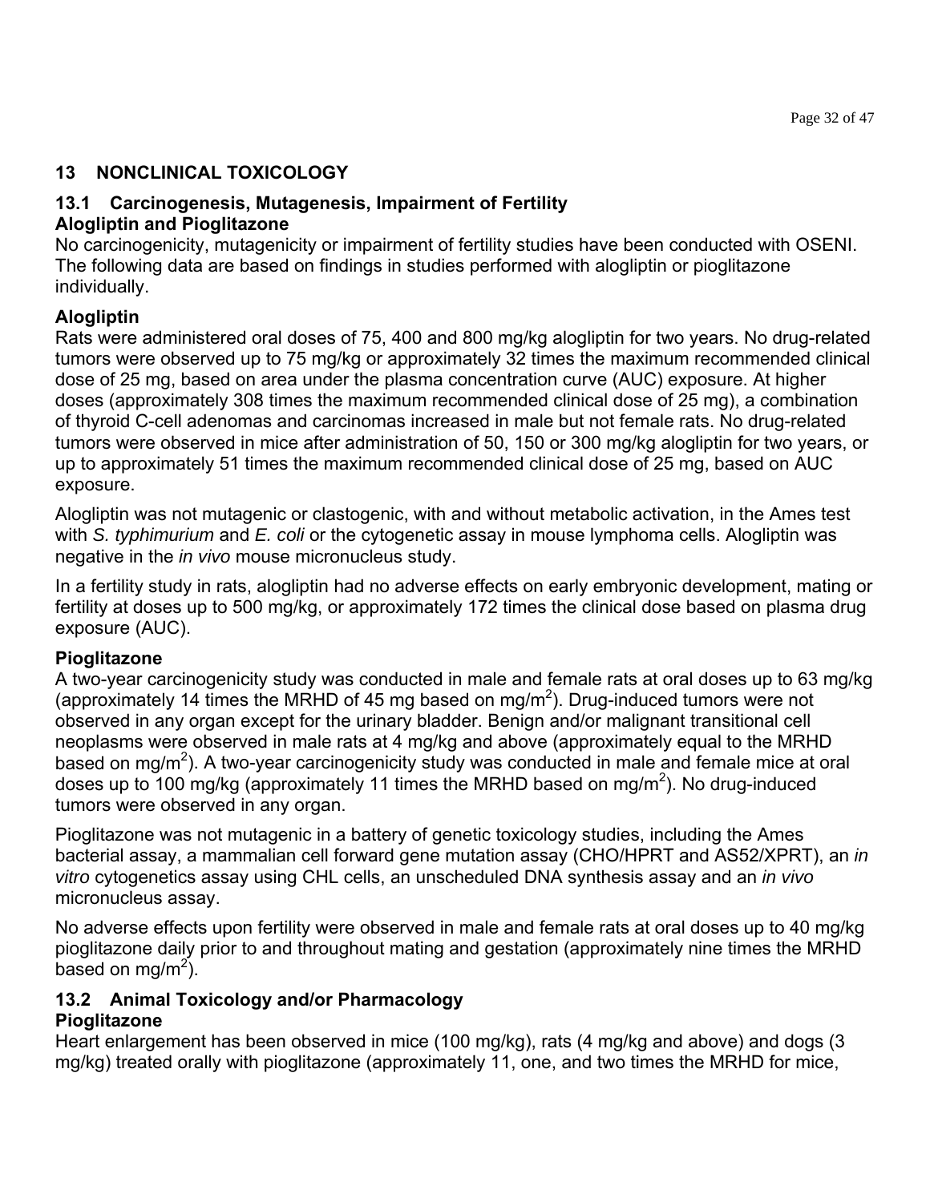#### **13 NONCLINICAL TOXICOLOGY**

#### **13.1 Carcinogenesis, Mutagenesis, Impairment of Fertility Alogliptin and Pioglitazone**

No carcinogenicity, mutagenicity or impairment of fertility studies have been conducted with OSENI. The following data are based on findings in studies performed with alogliptin or pioglitazone individually.

#### **Alogliptin**

Rats were administered oral doses of 75, 400 and 800 mg/kg alogliptin for two years. No drug-related tumors were observed up to 75 mg/kg or approximately 32 times the maximum recommended clinical dose of 25 mg, based on area under the plasma concentration curve (AUC) exposure. At higher doses (approximately 308 times the maximum recommended clinical dose of 25 mg), a combination of thyroid C-cell adenomas and carcinomas increased in male but not female rats. No drug-related tumors were observed in mice after administration of 50, 150 or 300 mg/kg alogliptin for two years, or up to approximately 51 times the maximum recommended clinical dose of 25 mg, based on AUC exposure.

Alogliptin was not mutagenic or clastogenic, with and without metabolic activation, in the Ames test with *S. typhimurium* and *E. coli* or the cytogenetic assay in mouse lymphoma cells. Alogliptin was negative in the *in vivo* mouse micronucleus study.

In a fertility study in rats, alogliptin had no adverse effects on early embryonic development, mating or fertility at doses up to 500 mg/kg, or approximately 172 times the clinical dose based on plasma drug exposure (AUC).

#### **Pioglitazone**

A two-year carcinogenicity study was conducted in male and female rats at oral doses up to 63 mg/kg (approximately 14 times the MRHD of 45 mg based on mg/m<sup>2</sup>). Drug-induced tumors were not observed in any organ except for the urinary bladder. Benign and/or malignant transitional cell neoplasms were observed in male rats at 4 mg/kg and above (approximately equal to the MRHD based on mg/m<sup>2</sup>). A two-year carcinogenicity study was conducted in male and female mice at oral doses up to 100 mg/kg (approximately 11 times the MRHD based on mg/m<sup>2</sup>). No drug-induced tumors were observed in any organ.

Pioglitazone was not mutagenic in a battery of genetic toxicology studies, including the Ames bacterial assay, a mammalian cell forward gene mutation assay (CHO/HPRT and AS52/XPRT), an *in vitro* cytogenetics assay using CHL cells, an unscheduled DNA synthesis assay and an *in vivo* micronucleus assay.

No adverse effects upon fertility were observed in male and female rats at oral doses up to 40 mg/kg pioglitazone daily prior to and throughout mating and gestation (approximately nine times the MRHD based on mg/m<sup>2</sup>).

# **13.2 Animal Toxicology and/or Pharmacology**

#### **Pioglitazone**

Heart enlargement has been observed in mice (100 mg/kg), rats (4 mg/kg and above) and dogs (3 mg/kg) treated orally with pioglitazone (approximately 11, one, and two times the MRHD for mice,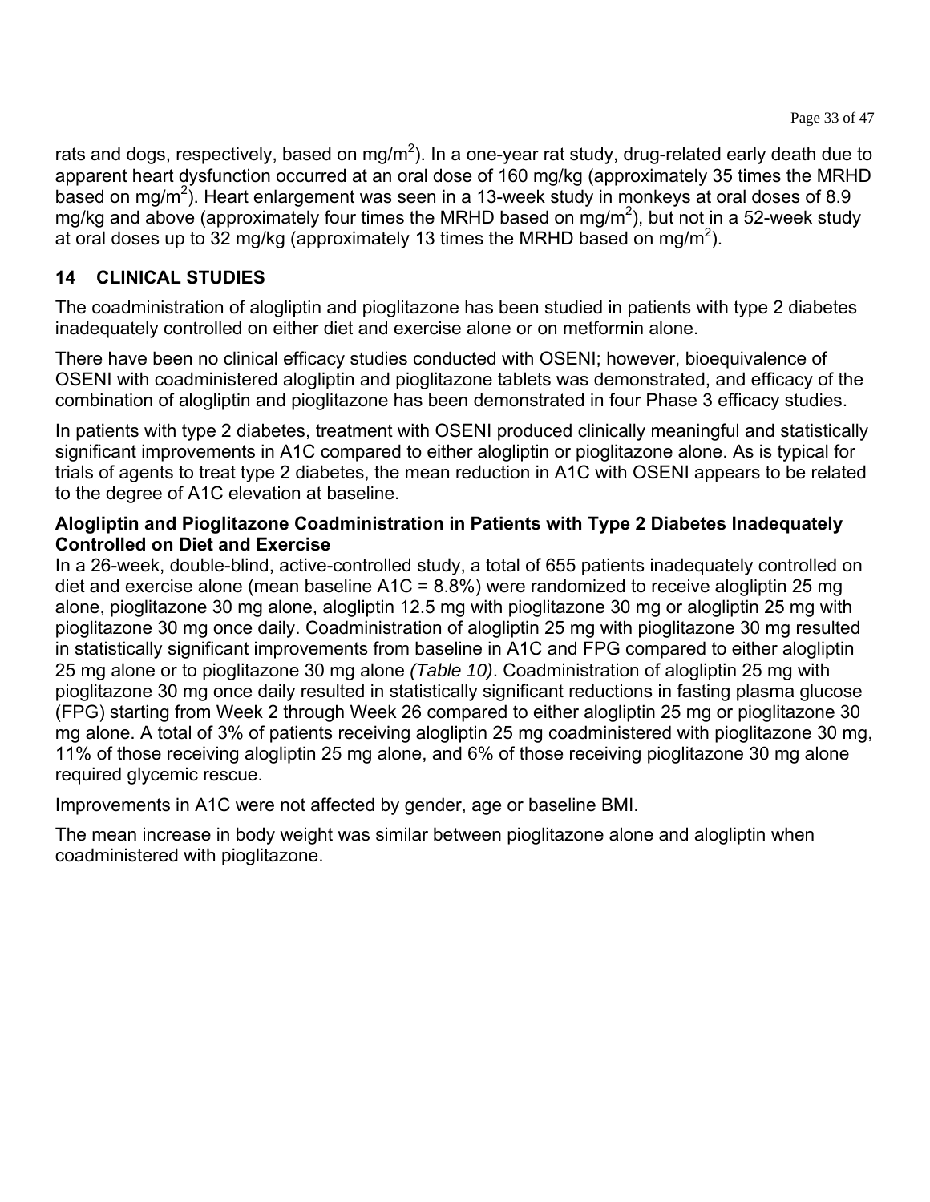rats and dogs, respectively, based on mg/m<sup>2</sup>). In a one-year rat study, drug-related early death due to apparent heart dysfunction occurred at an oral dose of 160 mg/kg (approximately 35 times the MRHD based on mg/m<sup>2</sup>). Heart enlargement was seen in a 13-week study in monkeys at oral doses of 8.9 mg/kg and above (approximately four times the MRHD based on mg/m<sup>2</sup>), but not in a 52-week study at oral doses up to 32 mg/kg (approximately 13 times the MRHD based on mg/m<sup>2</sup>).

## **14 CLINICAL STUDIES**

The coadministration of alogliptin and pioglitazone has been studied in patients with type 2 diabetes inadequately controlled on either diet and exercise alone or on metformin alone.

There have been no clinical efficacy studies conducted with OSENI; however, bioequivalence of OSENI with coadministered alogliptin and pioglitazone tablets was demonstrated, and efficacy of the combination of alogliptin and pioglitazone has been demonstrated in four Phase 3 efficacy studies.

In patients with type 2 diabetes, treatment with OSENI produced clinically meaningful and statistically significant improvements in A1C compared to either alogliptin or pioglitazone alone. As is typical for trials of agents to treat type 2 diabetes, the mean reduction in A1C with OSENI appears to be related to the degree of A1C elevation at baseline.

#### **Alogliptin and Pioglitazone Coadministration in Patients with Type 2 Diabetes Inadequately Controlled on Diet and Exercise**

In a 26-week, double-blind, active-controlled study, a total of 655 patients inadequately controlled on diet and exercise alone (mean baseline A1C = 8.8%) were randomized to receive alogliptin 25 mg alone, pioglitazone 30 mg alone, alogliptin 12.5 mg with pioglitazone 30 mg or alogliptin 25 mg with pioglitazone 30 mg once daily. Coadministration of alogliptin 25 mg with pioglitazone 30 mg resulted in statistically significant improvements from baseline in A1C and FPG compared to either alogliptin 25 mg alone or to pioglitazone 30 mg alone *(Table 10)*. Coadministration of alogliptin 25 mg with pioglitazone 30 mg once daily resulted in statistically significant reductions in fasting plasma glucose (FPG) starting from Week 2 through Week 26 compared to either alogliptin 25 mg or pioglitazone 30 mg alone. A total of 3% of patients receiving alogliptin 25 mg coadministered with pioglitazone 30 mg, 11% of those receiving alogliptin 25 mg alone, and 6% of those receiving pioglitazone 30 mg alone required glycemic rescue.

Improvements in A1C were not affected by gender, age or baseline BMI.

The mean increase in body weight was similar between pioglitazone alone and alogliptin when coadministered with pioglitazone.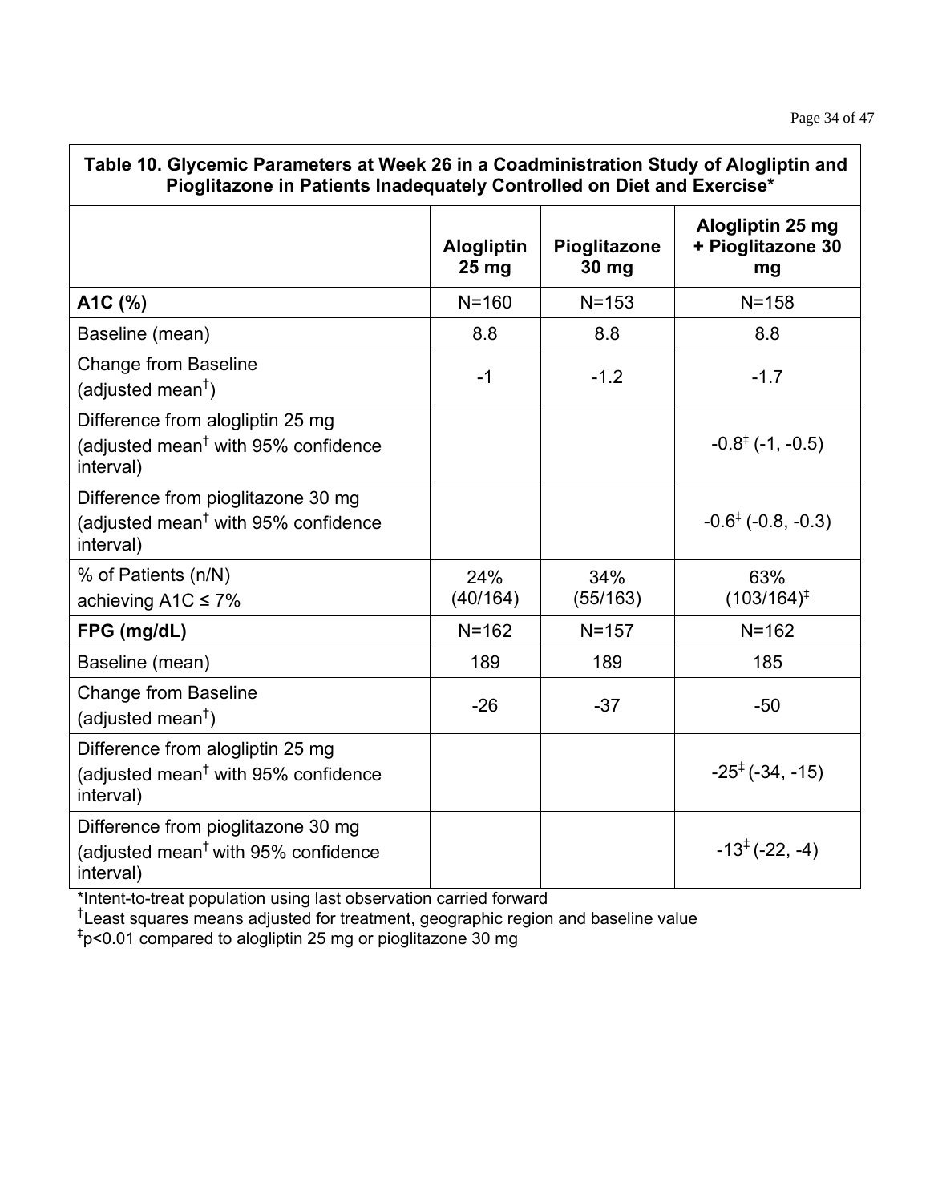$\overline{\phantom{a}}$ 

| Table 10. Glycemic Parameters at Week 26 in a Coadministration Study of Alogliptin and<br>Pioglitazone in Patients Inadequately Controlled on Diet and Exercise* |                                       |                       |                                             |  |  |
|------------------------------------------------------------------------------------------------------------------------------------------------------------------|---------------------------------------|-----------------------|---------------------------------------------|--|--|
|                                                                                                                                                                  | <b>Alogliptin</b><br>25 <sub>mg</sub> | Pioglitazone<br>30 mg | Alogliptin 25 mg<br>+ Pioglitazone 30<br>mg |  |  |
| A1C (%)                                                                                                                                                          | $N = 160$                             | $N = 153$             | $N = 158$                                   |  |  |
| Baseline (mean)                                                                                                                                                  | 8.8                                   | 8.8                   | 8.8                                         |  |  |
| <b>Change from Baseline</b><br>(adjusted mean <sup>†</sup> )                                                                                                     | $-1$                                  | $-1.2$                | $-1.7$                                      |  |  |
| Difference from alogliptin 25 mg<br>(adjusted mean <sup>†</sup> with 95% confidence<br>interval)                                                                 |                                       |                       | $-0.8^{\ddagger}$ (-1, -0.5)                |  |  |
| Difference from pioglitazone 30 mg<br>(adjusted mean <sup>†</sup> with 95% confidence<br>interval)                                                               |                                       |                       | $-0.6^{\ddagger}$ (-0.8, -0.3)              |  |  |
| % of Patients (n/N)<br>achieving A1C $\leq$ 7%                                                                                                                   | 24%<br>(40/164)                       | 34%<br>(55/163)       | 63%<br>$(103/164)^{\ddagger}$               |  |  |
| FPG (mg/dL)                                                                                                                                                      | $N = 162$                             | $N = 157$             | $N = 162$                                   |  |  |
| Baseline (mean)                                                                                                                                                  | 189                                   | 189                   | 185                                         |  |  |
| <b>Change from Baseline</b><br>(adjusted mean <sup>†</sup> )                                                                                                     | $-26$                                 | $-37$                 | $-50$                                       |  |  |
| Difference from alogliptin 25 mg<br>(adjusted mean <sup>†</sup> with 95% confidence<br>interval)                                                                 |                                       |                       | $-25^{\ddagger}$ (-34, -15)                 |  |  |
| Difference from pioglitazone 30 mg<br>(adjusted mean <sup>†</sup> with 95% confidence<br>interval)                                                               |                                       |                       | $-13^{+}$ (-22, -4)                         |  |  |

\*Intent-to-treat population using last observation carried forward † Least squares means adjusted for treatment, geographic region and baseline value ‡ p˂0.01 compared to alogliptin 25 mg or pioglitazone 30 mg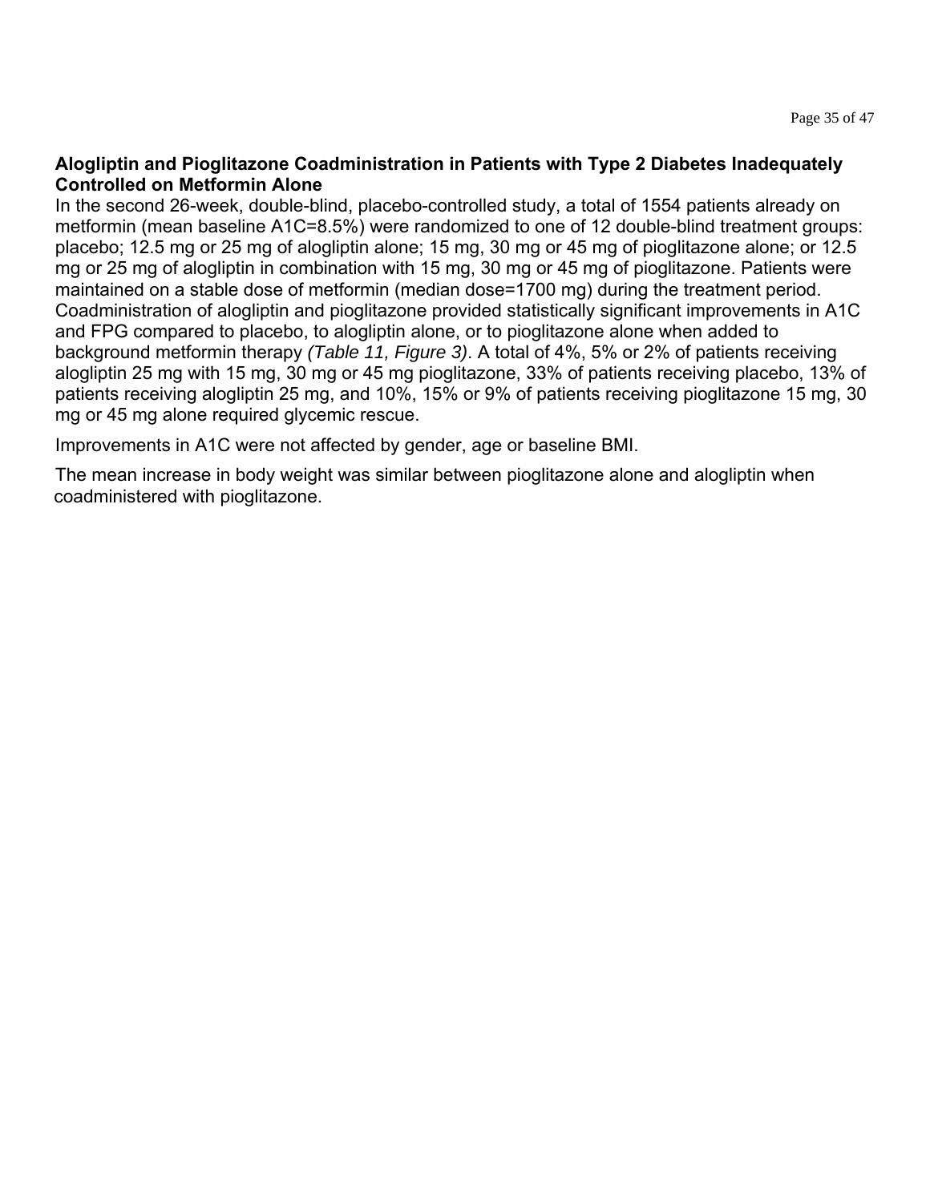#### **Alogliptin and Pioglitazone Coadministration in Patients with Type 2 Diabetes Inadequately Controlled on Metformin Alone**

In the second 26-week, double-blind, placebo-controlled study, a total of 1554 patients already on metformin (mean baseline A1C=8.5%) were randomized to one of 12 double-blind treatment groups: placebo; 12.5 mg or 25 mg of alogliptin alone; 15 mg, 30 mg or 45 mg of pioglitazone alone; or 12.5 mg or 25 mg of alogliptin in combination with 15 mg, 30 mg or 45 mg of pioglitazone. Patients were maintained on a stable dose of metformin (median dose=1700 mg) during the treatment period. Coadministration of alogliptin and pioglitazone provided statistically significant improvements in A1C and FPG compared to placebo, to alogliptin alone, or to pioglitazone alone when added to background metformin therapy *(Table 11, Figure 3)*. A total of 4%, 5% or 2% of patients receiving alogliptin 25 mg with 15 mg, 30 mg or 45 mg pioglitazone, 33% of patients receiving placebo, 13% of patients receiving alogliptin 25 mg, and 10%, 15% or 9% of patients receiving pioglitazone 15 mg, 30 mg or 45 mg alone required glycemic rescue.

Improvements in A1C were not affected by gender, age or baseline BMI.

The mean increase in body weight was similar between pioglitazone alone and alogliptin when coadministered with pioglitazone.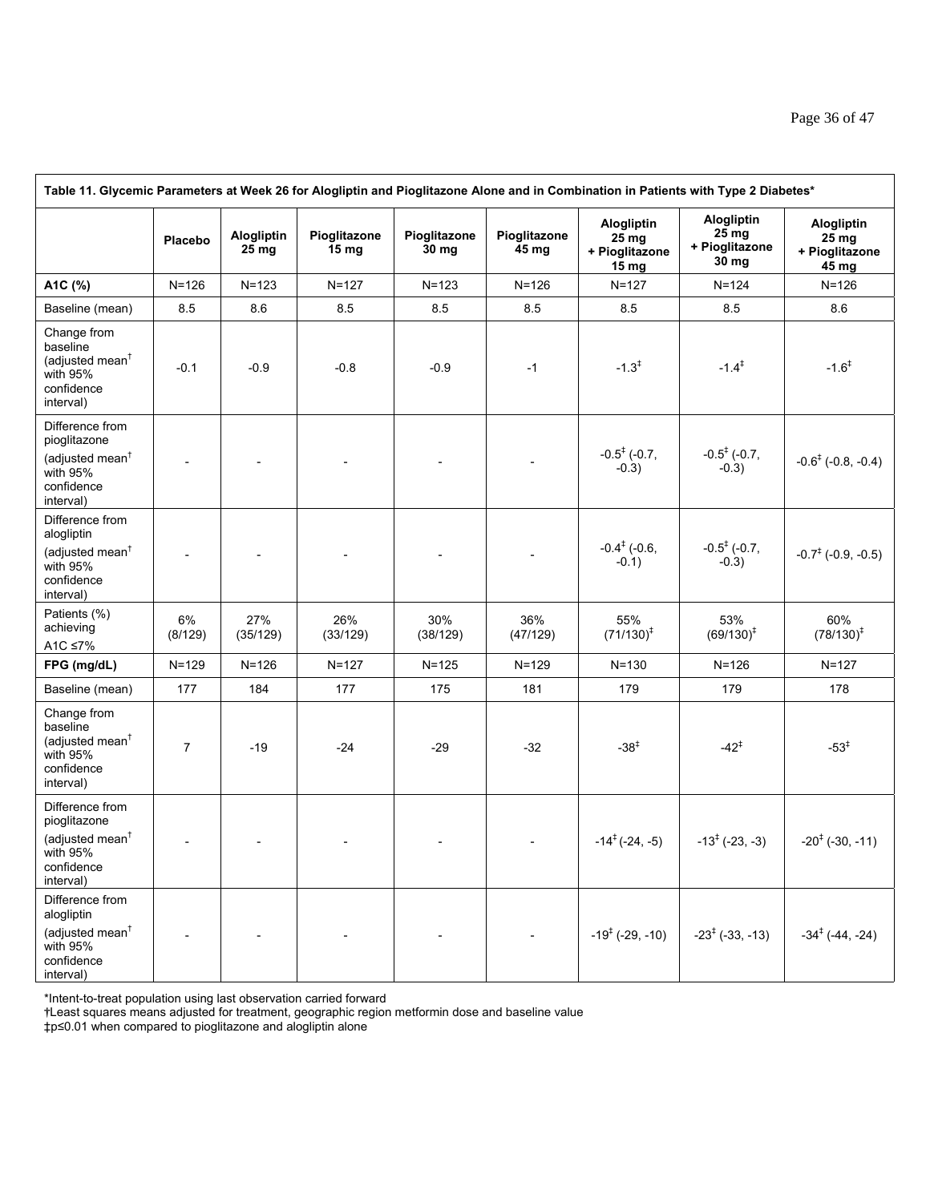| Table 11. Glycemic Parameters at Week 26 for Alogliptin and Pioglitazone Alone and in Combination in Patients with Type 2 Diabetes* |                |                          |                                  |                       |                       |                                                           |                                                           |                                                           |
|-------------------------------------------------------------------------------------------------------------------------------------|----------------|--------------------------|----------------------------------|-----------------------|-----------------------|-----------------------------------------------------------|-----------------------------------------------------------|-----------------------------------------------------------|
|                                                                                                                                     | Placebo        | Alogliptin<br>25 mg      | Pioglitazone<br>15 <sub>mg</sub> | Pioglitazone<br>30 mg | Pioglitazone<br>45 mg | Alogliptin<br>25 <sub>mg</sub><br>+ Pioglitazone<br>15 mg | Alogliptin<br>25 <sub>mg</sub><br>+ Pioglitazone<br>30 mg | Alogliptin<br>25 <sub>mg</sub><br>+ Pioglitazone<br>45 mg |
| A1C (%)                                                                                                                             | $N = 126$      | $N = 123$                | $N = 127$                        | $N = 123$             | $N = 126$             | $N = 127$                                                 | $N = 124$                                                 | $N = 126$                                                 |
| Baseline (mean)                                                                                                                     | 8.5            | 8.6                      | 8.5                              | 8.5                   | 8.5                   | 8.5                                                       | 8.5                                                       | 8.6                                                       |
| Change from<br>baseline<br>(adjusted mean <sup>†</sup><br>with 95%<br>confidence<br>interval)                                       | $-0.1$         | $-0.9$                   | $-0.8$                           | $-0.9$                | $-1$                  | $-1.3^{+}$                                                | $-1.4^{\ddagger}$                                         | $-1.6^{\ddagger}$                                         |
| Difference from<br>pioglitazone<br>(adjusted mean <sup>†</sup><br>with 95%<br>confidence<br>interval)                               |                |                          |                                  |                       |                       | $-0.5^{\ddagger}$ (-0.7,<br>$-0.3$ )                      | $-0.5^{\ddagger}$ (-0.7,<br>$-0.3$                        | $-0.6^{\ddagger}$ (-0.8, -0.4)                            |
| Difference from<br>alogliptin<br>(adjusted mean <sup>†</sup><br>with 95%<br>confidence<br>interval)                                 |                |                          |                                  |                       |                       | $-0.4^{\ddagger}$ (-0.6,<br>$-0.1$                        | $-0.5^{\ddagger}$ (-0.7,<br>$-0.3$ )                      | $-0.7^{\ddagger}$ (-0.9, -0.5)                            |
| Patients (%)<br>achieving<br>A1C ≤7%                                                                                                | 6%<br>(8/129)  | 27%<br>(35/129)          | 26%<br>(33/129)                  | 30%<br>(38/129)       | 36%<br>(47/129)       | 55%<br>$(71/130)^{\ddagger}$                              | 53%<br>$(69/130)^{4}$                                     | 60%<br>$(78/130)^{\ddagger}$                              |
| FPG (mg/dL)                                                                                                                         | $N = 129$      | $N = 126$                | $N = 127$                        | $N = 125$             | $N = 129$             | $N = 130$                                                 | $N = 126$                                                 | $N = 127$                                                 |
| Baseline (mean)                                                                                                                     | 177            | 184                      | 177                              | 175                   | 181                   | 179                                                       | 179                                                       | 178                                                       |
| Change from<br>baseline<br>(adjusted mean <sup>†</sup><br>with 95%<br>confidence<br>interval)                                       | $\overline{7}$ | $-19$                    | $-24$                            | -29                   | $-32$                 | $-38^{+}$                                                 | $-42^{+}$                                                 | $-53^{\ddagger}$                                          |
| Difference from<br>pioglitazone<br>(adjusted mean <sup>†</sup><br>with 95%<br>confidence<br>interval)                               | $\overline{a}$ | $\overline{\phantom{a}}$ |                                  |                       | $\blacksquare$        | $-14^{\ddagger}$ (-24, -5)                                | $-13^{+}$ (-23, -3)                                       | $-20^{+}$ (-30, -11)                                      |
| Difference from<br>alogliptin<br>(adjusted mean <sup>†</sup><br>with 95%<br>confidence<br>interval)                                 |                |                          |                                  |                       |                       | $-19^{+}$ (-29, -10)                                      | $-23^{+}$ (-33, -13)                                      | $-34^{\ddagger}$ (-44, -24)                               |

\*Intent-to-treat population using last observation carried forward

**†**Least squares means adjusted for treatment, geographic region metformin dose and baseline value

‡p≤0.01 when compared to pioglitazone and alogliptin alone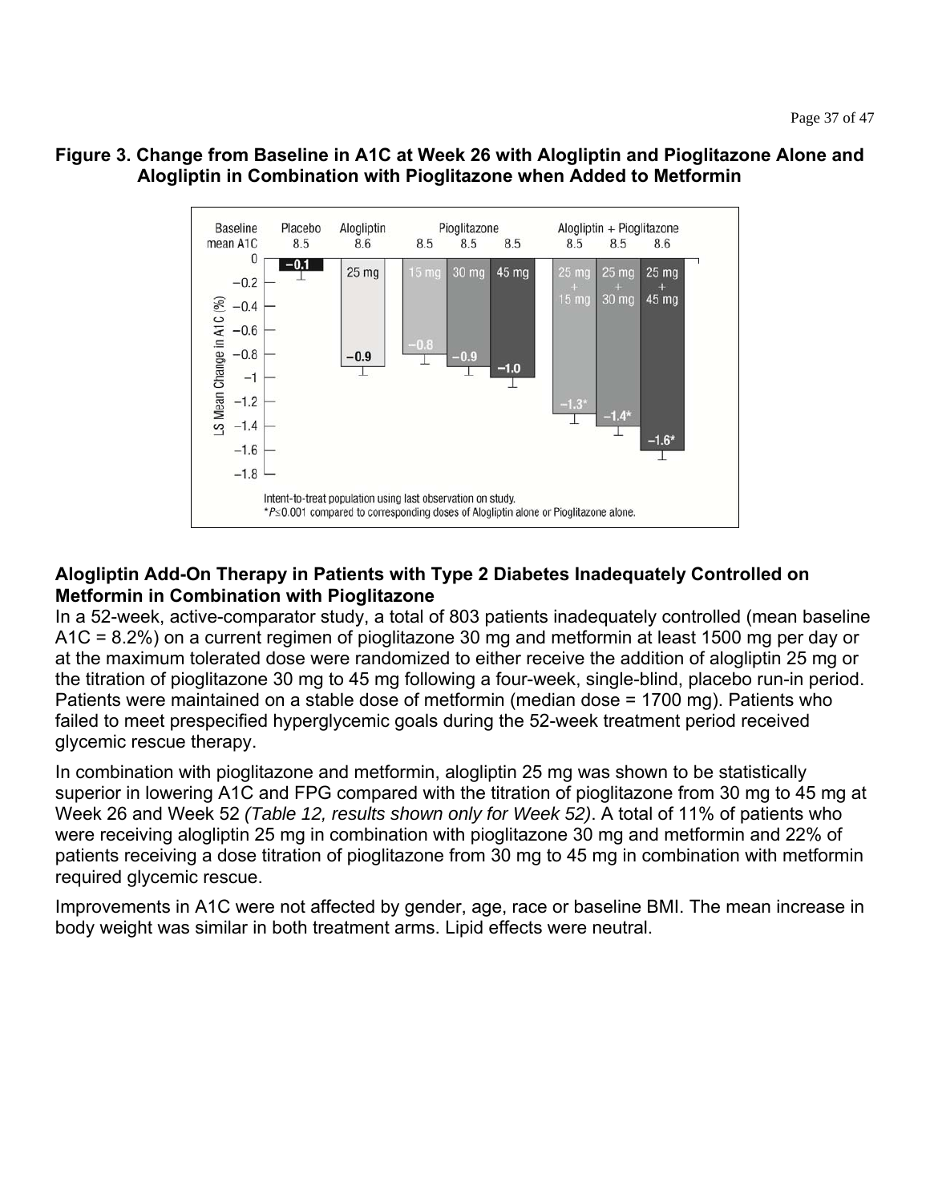#### **Figure 3. Change from Baseline in A1C at Week 26 with Alogliptin and Pioglitazone Alone and Alogliptin in Combination with Pioglitazone when Added to Metformin**



## **Alogliptin Add-On Therapy in Patients with Type 2 Diabetes Inadequately Controlled on Metformin in Combination with Pioglitazone**

In a 52-week, active-comparator study, a total of 803 patients inadequately controlled (mean baseline A1C = 8.2%) on a current regimen of pioglitazone 30 mg and metformin at least 1500 mg per day or at the maximum tolerated dose were randomized to either receive the addition of alogliptin 25 mg or the titration of pioglitazone 30 mg to 45 mg following a four-week, single-blind, placebo run-in period. Patients were maintained on a stable dose of metformin (median dose = 1700 mg). Patients who failed to meet prespecified hyperglycemic goals during the 52-week treatment period received glycemic rescue therapy.

In combination with pioglitazone and metformin, alogliptin 25 mg was shown to be statistically superior in lowering A1C and FPG compared with the titration of pioglitazone from 30 mg to 45 mg at Week 26 and Week 52 *(Table 12, results shown only for Week 52)*. A total of 11% of patients who were receiving alogliptin 25 mg in combination with pioglitazone 30 mg and metformin and 22% of patients receiving a dose titration of pioglitazone from 30 mg to 45 mg in combination with metformin required glycemic rescue.

Improvements in A1C were not affected by gender, age, race or baseline BMI. The mean increase in body weight was similar in both treatment arms. Lipid effects were neutral.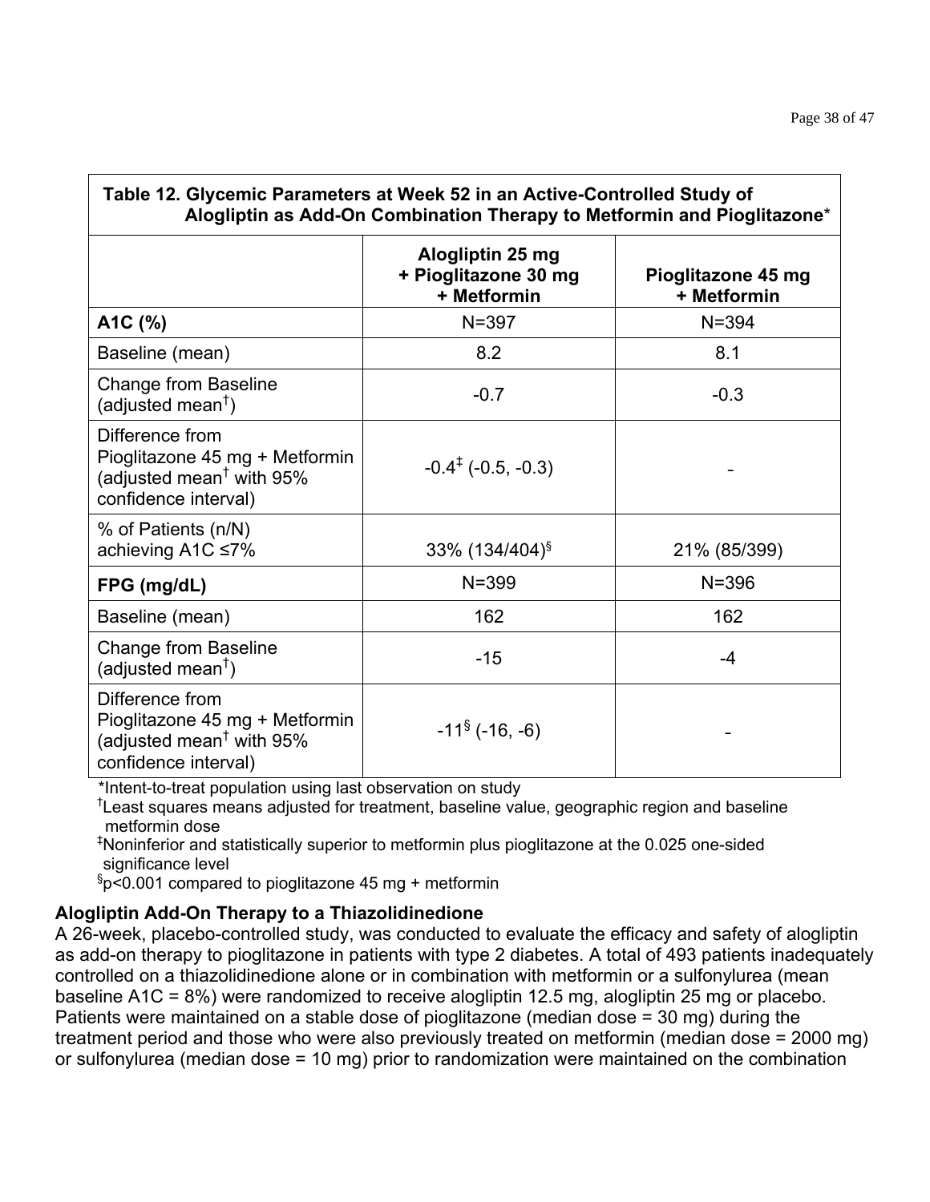| Table 12. Glycemic Parameters at Week 52 in an Active-Controlled Study of<br>Alogliptin as Add-On Combination Therapy to Metformin and Pioglitazone* |                                                         |                                   |  |  |
|------------------------------------------------------------------------------------------------------------------------------------------------------|---------------------------------------------------------|-----------------------------------|--|--|
|                                                                                                                                                      | Alogliptin 25 mg<br>+ Pioglitazone 30 mg<br>+ Metformin | Pioglitazone 45 mg<br>+ Metformin |  |  |
| A1C (%)                                                                                                                                              | $N = 397$                                               | $N = 394$                         |  |  |
| Baseline (mean)                                                                                                                                      | 8.2                                                     | 8.1                               |  |  |
| <b>Change from Baseline</b><br>(adjusted mean <sup>†</sup> )                                                                                         | $-0.7$                                                  | $-0.3$                            |  |  |
| Difference from<br>Pioglitazone 45 mg + Metformin<br>(adjusted mean <sup>†</sup> with 95%<br>confidence interval)                                    | $-0.4^{\ddagger}$ ( $-0.5, -0.3$ )                      |                                   |  |  |
| % of Patients (n/N)<br>achieving A1C ≤7%                                                                                                             | $33\%$ (134/404) <sup>§</sup>                           | 21% (85/399)                      |  |  |
| FPG (mg/dL)                                                                                                                                          | $N = 399$                                               | $N = 396$                         |  |  |
| Baseline (mean)                                                                                                                                      | 162                                                     | 162                               |  |  |
| <b>Change from Baseline</b><br>(adjusted mean <sup>†</sup> )                                                                                         | $-15$                                                   | $-4$                              |  |  |
| Difference from<br>Pioglitazone 45 mg + Metformin<br>(adjusted mean <sup>†</sup> with 95%<br>confidence interval)                                    | $-11^{\S}$ (-16, -6)                                    |                                   |  |  |

\*Intent-to-treat population using last observation on study

† Least squares means adjusted for treatment, baseline value, geographic region and baseline metformin dose

‡ Noninferior and statistically superior to metformin plus pioglitazone at the 0.025 one-sided significance level

 $\rm{^{\$}p<}$ 0.001 compared to pioglitazone 45 mg + metformin

## **Alogliptin Add-On Therapy to a Thiazolidinedione**

A 26-week, placebo-controlled study, was conducted to evaluate the efficacy and safety of alogliptin as add-on therapy to pioglitazone in patients with type 2 diabetes. A total of 493 patients inadequately controlled on a thiazolidinedione alone or in combination with metformin or a sulfonylurea (mean baseline A1C = 8%) were randomized to receive alogliptin 12.5 mg, alogliptin 25 mg or placebo. Patients were maintained on a stable dose of pioglitazone (median dose = 30 mg) during the treatment period and those who were also previously treated on metformin (median dose = 2000 mg) or sulfonylurea (median dose = 10 mg) prior to randomization were maintained on the combination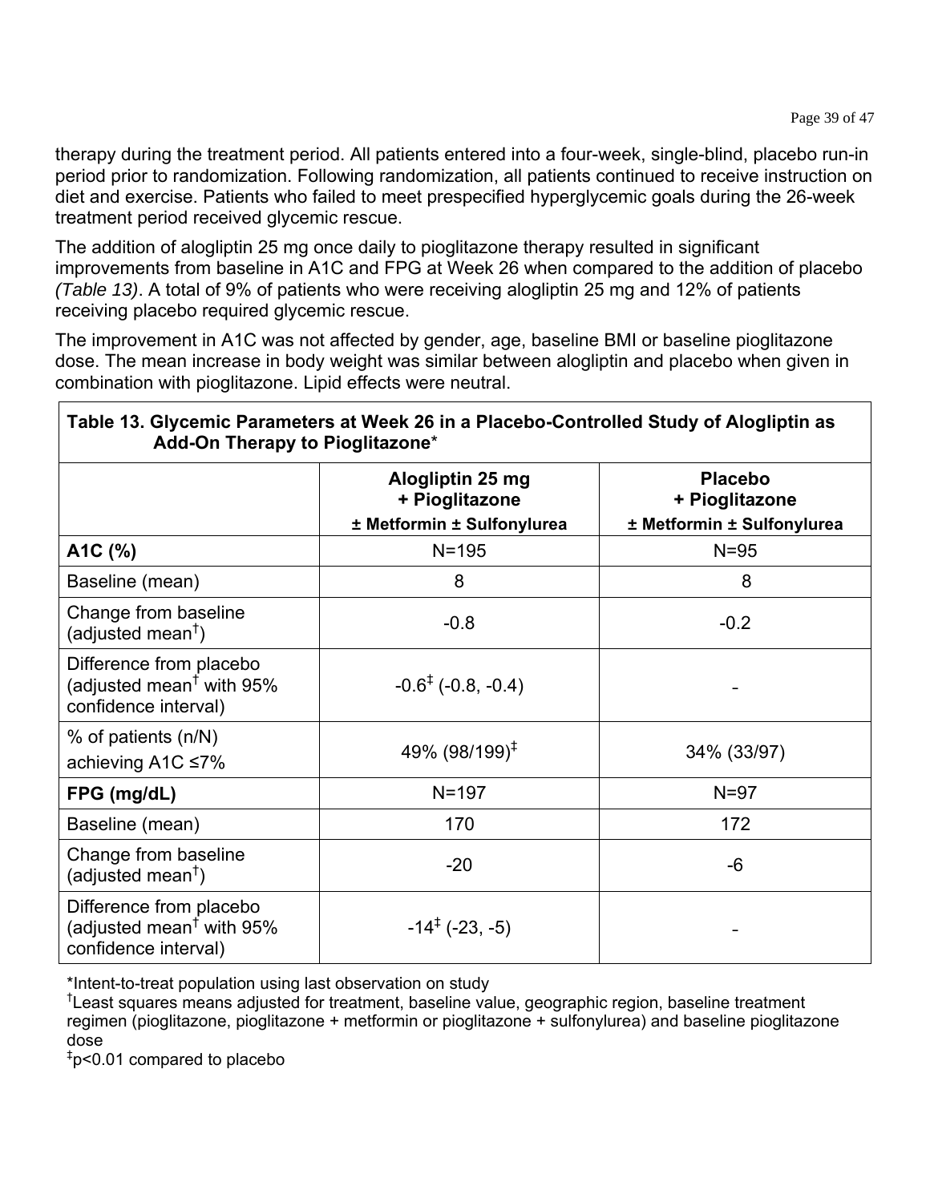therapy during the treatment period. All patients entered into a four-week, single-blind, placebo run-in period prior to randomization. Following randomization, all patients continued to receive instruction on diet and exercise. Patients who failed to meet prespecified hyperglycemic goals during the 26-week treatment period received glycemic rescue.

The addition of alogliptin 25 mg once daily to pioglitazone therapy resulted in significant improvements from baseline in A1C and FPG at Week 26 when compared to the addition of placebo *(Table 13)*. A total of 9% of patients who were receiving alogliptin 25 mg and 12% of patients receiving placebo required glycemic rescue.

The improvement in A1C was not affected by gender, age, baseline BMI or baseline pioglitazone dose. The mean increase in body weight was similar between alogliptin and placebo when given in combination with pioglitazone. Lipid effects were neutral.

| Table 13. Glycemic Parameters at Week 26 in a Placebo-Controlled Study of Alogliptin as<br>Add-On Therapy to Pioglitazone* |                                                                  |                                                                |  |  |
|----------------------------------------------------------------------------------------------------------------------------|------------------------------------------------------------------|----------------------------------------------------------------|--|--|
|                                                                                                                            | Alogliptin 25 mg<br>+ Pioglitazone<br>± Metformin ± Sulfonylurea | <b>Placebo</b><br>+ Pioglitazone<br>± Metformin ± Sulfonylurea |  |  |
| A1C (%)                                                                                                                    | $N = 195$                                                        | $N = 95$                                                       |  |  |
| Baseline (mean)                                                                                                            | 8                                                                | 8                                                              |  |  |
| Change from baseline<br>(adjusted mean <sup>†</sup> )                                                                      | $-0.8$                                                           | $-0.2$                                                         |  |  |
| Difference from placebo<br>(adjusted mean <sup>†</sup> with 95%<br>confidence interval)                                    | $-0.6^{\ddagger}$ (-0.8, -0.4)                                   |                                                                |  |  |
| % of patients (n/N)<br>achieving A1C ≤7%                                                                                   | 49% (98/199) <sup>‡</sup>                                        | 34% (33/97)                                                    |  |  |
| FPG (mg/dL)                                                                                                                | $N = 197$                                                        | $N=97$                                                         |  |  |
| Baseline (mean)                                                                                                            | 170                                                              | 172                                                            |  |  |
| Change from baseline<br>(adjusted mean <sup>†</sup> )                                                                      | $-20$                                                            | -6                                                             |  |  |
| Difference from placebo<br>(adjusted mean <sup>†</sup> with 95%<br>confidence interval)                                    | $-14^{\ddagger}$ (-23, -5)                                       |                                                                |  |  |

\*Intent-to-treat population using last observation on study

† Least squares means adjusted for treatment, baseline value, geographic region, baseline treatment regimen (pioglitazone, pioglitazone + metformin or pioglitazone + sulfonylurea) and baseline pioglitazone dose

‡ p˂0.01 compared to placebo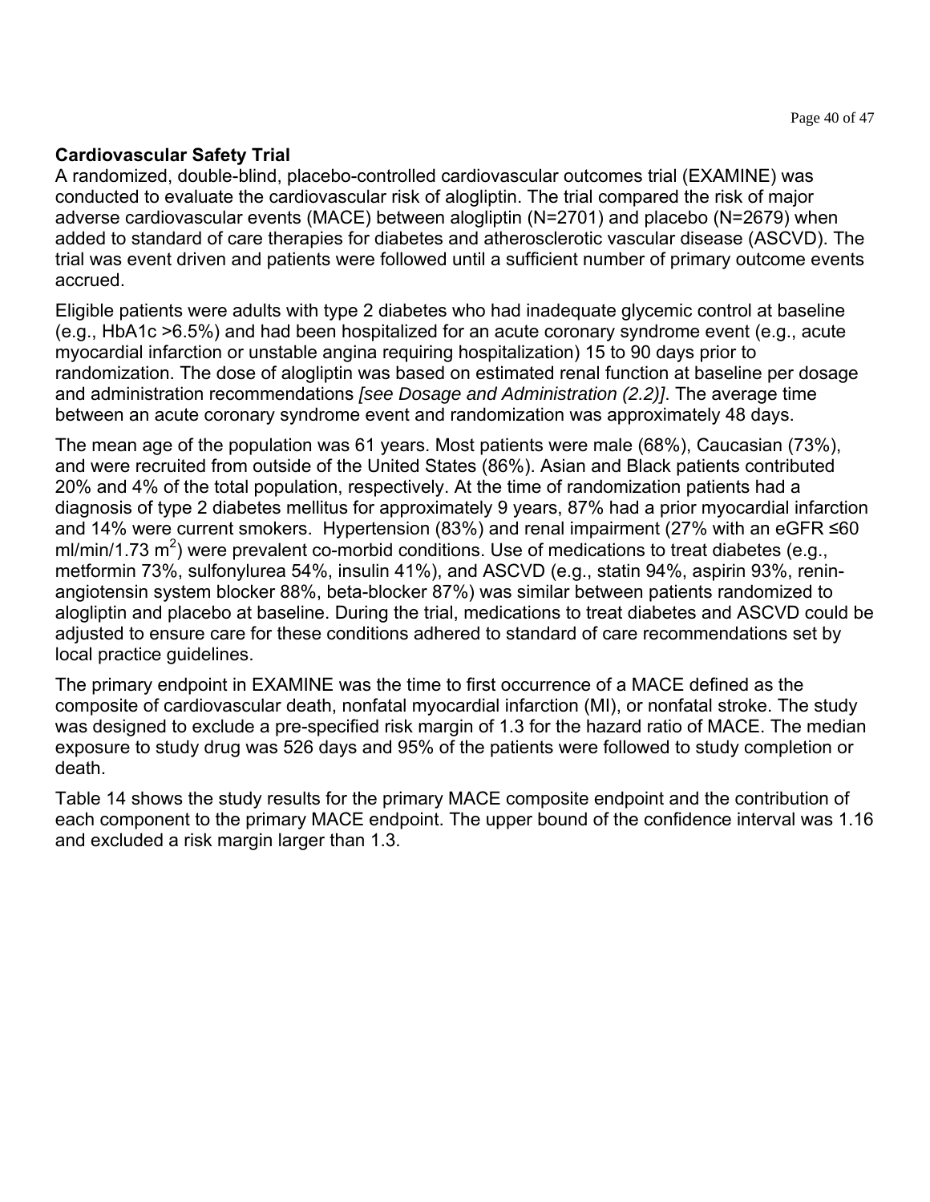#### **Cardiovascular Safety Trial**

A randomized, double-blind, placebo-controlled cardiovascular outcomes trial (EXAMINE) was conducted to evaluate the cardiovascular risk of alogliptin. The trial compared the risk of major adverse cardiovascular events (MACE) between alogliptin (N=2701) and placebo (N=2679) when added to standard of care therapies for diabetes and atherosclerotic vascular disease (ASCVD). The trial was event driven and patients were followed until a sufficient number of primary outcome events accrued.

Eligible patients were adults with type 2 diabetes who had inadequate glycemic control at baseline (e.g., HbA1c >6.5%) and had been hospitalized for an acute coronary syndrome event (e.g., acute myocardial infarction or unstable angina requiring hospitalization) 15 to 90 days prior to randomization. The dose of alogliptin was based on estimated renal function at baseline per dosage and administration recommendations *[see Dosage and Administration (2.2)]*. The average time between an acute coronary syndrome event and randomization was approximately 48 days.

The mean age of the population was 61 years. Most patients were male (68%), Caucasian (73%), and were recruited from outside of the United States (86%). Asian and Black patients contributed 20% and 4% of the total population, respectively. At the time of randomization patients had a diagnosis of type 2 diabetes mellitus for approximately 9 years, 87% had a prior myocardial infarction and 14% were current smokers. Hypertension (83%) and renal impairment (27% with an eGFR ≤60 ml/min/1.73 m<sup>2</sup>) were prevalent co-morbid conditions. Use of medications to treat diabetes (e.g., metformin 73%, sulfonylurea 54%, insulin 41%), and ASCVD (e.g., statin 94%, aspirin 93%, reninangiotensin system blocker 88%, beta-blocker 87%) was similar between patients randomized to alogliptin and placebo at baseline. During the trial, medications to treat diabetes and ASCVD could be adjusted to ensure care for these conditions adhered to standard of care recommendations set by local practice guidelines.

The primary endpoint in EXAMINE was the time to first occurrence of a MACE defined as the composite of cardiovascular death, nonfatal myocardial infarction (MI), or nonfatal stroke. The study was designed to exclude a pre-specified risk margin of 1.3 for the hazard ratio of MACE. The median exposure to study drug was 526 days and 95% of the patients were followed to study completion or death.

Table 14 shows the study results for the primary MACE composite endpoint and the contribution of each component to the primary MACE endpoint. The upper bound of the confidence interval was 1.16 and excluded a risk margin larger than 1.3.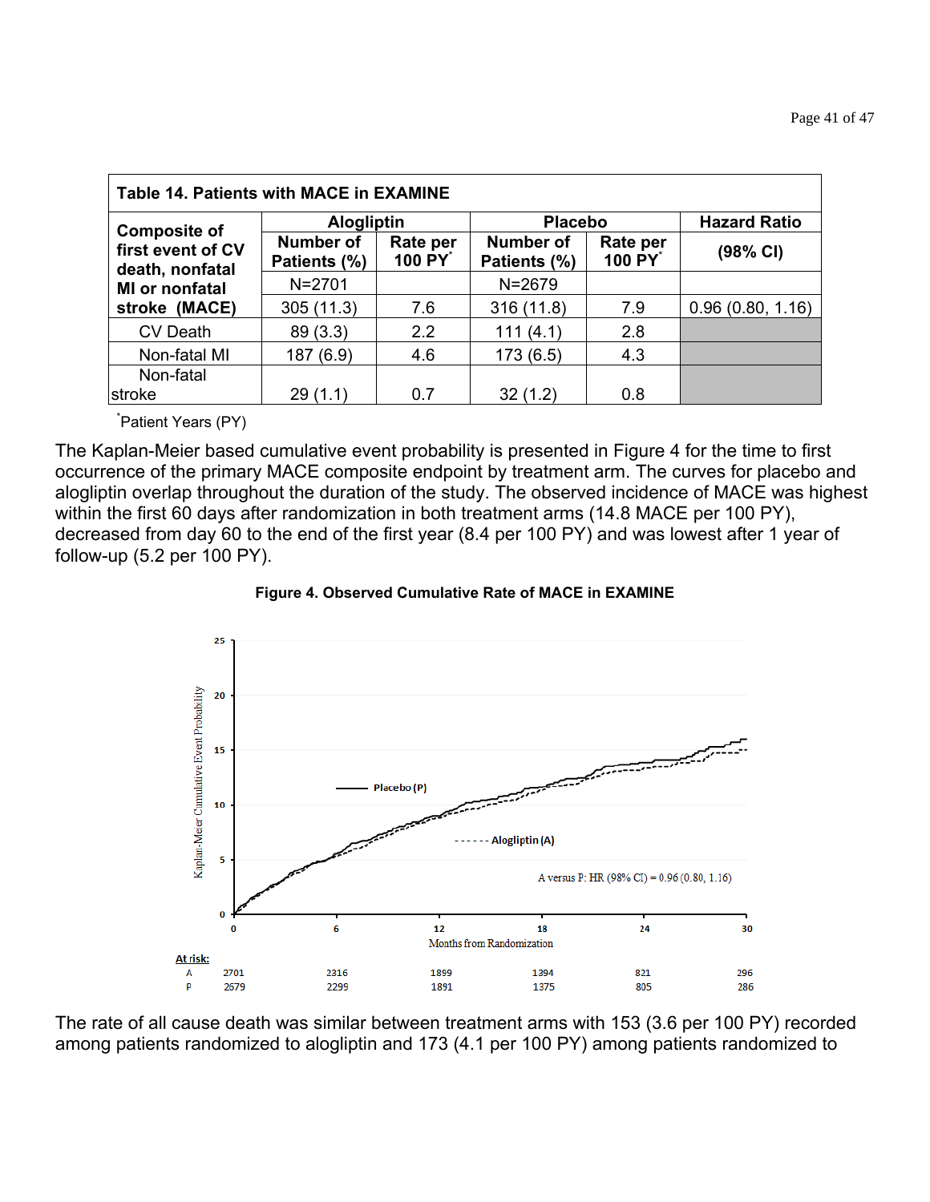Page 41 of 47

| Table 14. Patients with MACE in EXAMINE                     |                                  |                    |                                  |                    |                     |  |
|-------------------------------------------------------------|----------------------------------|--------------------|----------------------------------|--------------------|---------------------|--|
|                                                             | <b>Alogliptin</b>                |                    | <b>Placebo</b>                   |                    | <b>Hazard Ratio</b> |  |
| <b>Composite of</b><br>first event of CV<br>death, nonfatal | <b>Number of</b><br>Patients (%) | Rate per<br>100 PY | <b>Number of</b><br>Patients (%) | Rate per<br>100 PY | (98% CI)            |  |
| <b>MI</b> or nonfatal                                       | $N = 2701$                       |                    | $N = 2679$                       |                    |                     |  |
| stroke (MACE)                                               | 305(11.3)                        | 7.6                | 316 (11.8)                       | 7.9                | 0.96(0.80, 1.16)    |  |
| <b>CV Death</b>                                             | 89(3.3)                          | 2.2                | 111(4.1)                         | 2.8                |                     |  |
| Non-fatal MI                                                | 187 (6.9)                        | 4.6                | 173(6.5)                         | 4.3                |                     |  |
| Non-fatal                                                   |                                  |                    |                                  |                    |                     |  |
| stroke                                                      | 29(1.1)                          | 0.7                | 32(1.2)                          | 0.8                |                     |  |

\* Patient Years (PY)

The Kaplan-Meier based cumulative event probability is presented in Figure 4 for the time to first occurrence of the primary MACE composite endpoint by treatment arm. The curves for placebo and alogliptin overlap throughout the duration of the study. The observed incidence of MACE was highest within the first 60 days after randomization in both treatment arms (14.8 MACE per 100 PY), decreased from day 60 to the end of the first year (8.4 per 100 PY) and was lowest after 1 year of follow-up (5.2 per 100 PY).





The rate of all cause death was similar between treatment arms with 153 (3.6 per 100 PY) recorded among patients randomized to alogliptin and 173 (4.1 per 100 PY) among patients randomized to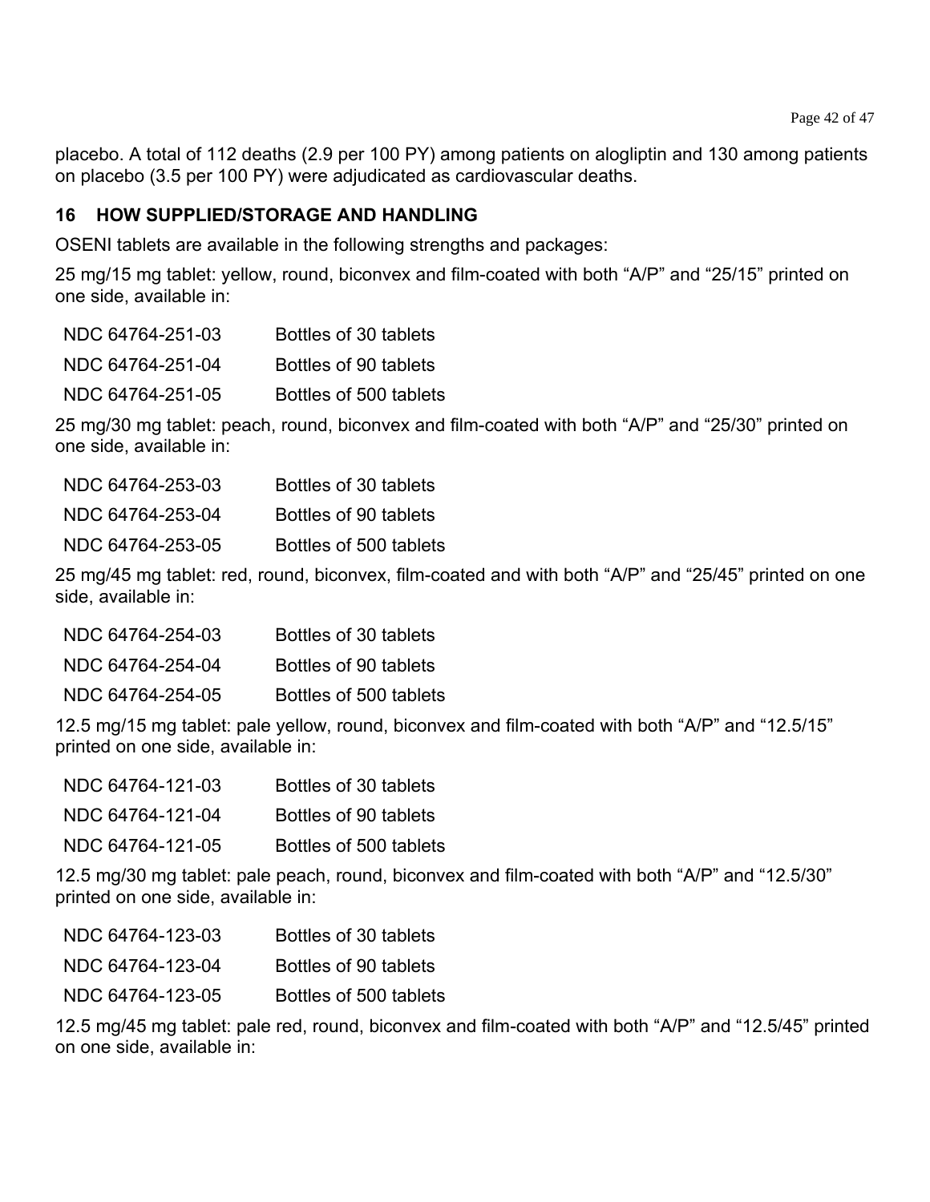placebo. A total of 112 deaths (2.9 per 100 PY) among patients on alogliptin and 130 among patients on placebo (3.5 per 100 PY) were adjudicated as cardiovascular deaths.

#### **16 HOW SUPPLIED/STORAGE AND HANDLING**

OSENI tablets are available in the following strengths and packages:

25 mg/15 mg tablet: yellow, round, biconvex and film-coated with both "A/P" and "25/15" printed on one side, available in:

| NDC 64764-251-03 | Bottles of 30 tablets  |
|------------------|------------------------|
| NDC 64764-251-04 | Bottles of 90 tablets  |
| NDC 64764-251-05 | Bottles of 500 tablets |

25 mg/30 mg tablet: peach, round, biconvex and film-coated with both "A/P" and "25/30" printed on one side, available in:

| NDC 64764-253-03 | Bottles of 30 tablets  |
|------------------|------------------------|
| NDC 64764-253-04 | Bottles of 90 tablets  |
| NDC 64764-253-05 | Bottles of 500 tablets |

25 mg/45 mg tablet: red, round, biconvex, film-coated and with both "A/P" and "25/45" printed on one side, available in:

| NDC 64764-254-03 | Bottles of 30 tablets  |
|------------------|------------------------|
| NDC 64764-254-04 | Bottles of 90 tablets  |
| NDC 64764-254-05 | Bottles of 500 tablets |

12.5 mg/15 mg tablet: pale yellow, round, biconvex and film-coated with both "A/P" and "12.5/15" printed on one side, available in:

| NDC 64764-121-03 | Bottles of 30 tablets  |
|------------------|------------------------|
| NDC 64764-121-04 | Bottles of 90 tablets  |
| NDC 64764-121-05 | Bottles of 500 tablets |

12.5 mg/30 mg tablet: pale peach, round, biconvex and film-coated with both "A/P" and "12.5/30" printed on one side, available in:

| NDC 64764-123-03 | Bottles of 30 tablets  |
|------------------|------------------------|
| NDC 64764-123-04 | Bottles of 90 tablets  |
| NDC 64764-123-05 | Bottles of 500 tablets |

12.5 mg/45 mg tablet: pale red, round, biconvex and film-coated with both "A/P" and "12.5/45" printed on one side, available in: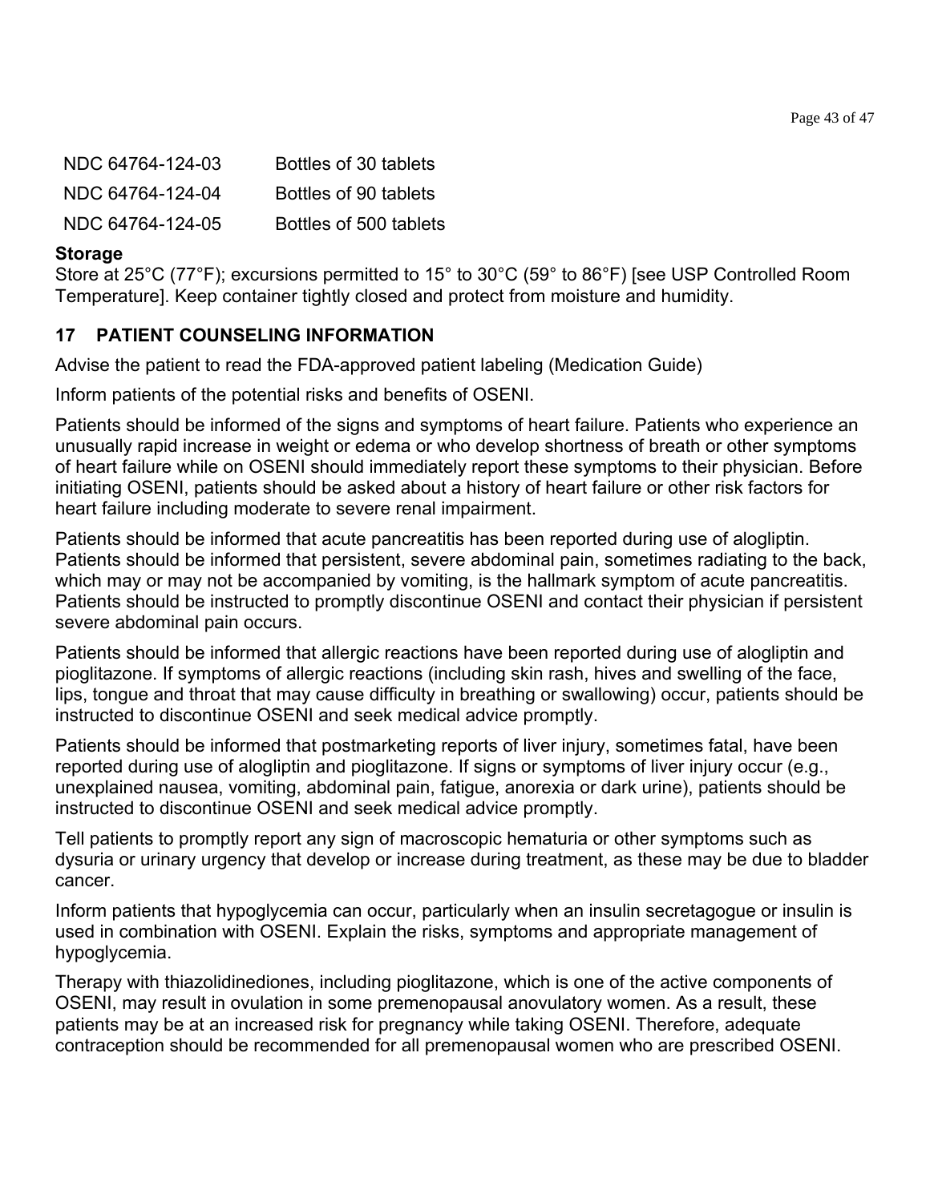| NDC 64764-124-03 | Bottles of 30 tablets  |
|------------------|------------------------|
| NDC 64764-124-04 | Bottles of 90 tablets  |
| NDC 64764-124-05 | Bottles of 500 tablets |

#### **Storage**

Store at 25°C (77°F); excursions permitted to 15° to 30°C (59° to 86°F) [see USP Controlled Room Temperature]. Keep container tightly closed and protect from moisture and humidity.

#### **17 PATIENT COUNSELING INFORMATION**

Advise the patient to read the FDA-approved patient labeling (Medication Guide)

Inform patients of the potential risks and benefits of OSENI.

Patients should be informed of the signs and symptoms of heart failure. Patients who experience an unusually rapid increase in weight or edema or who develop shortness of breath or other symptoms of heart failure while on OSENI should immediately report these symptoms to their physician. Before initiating OSENI, patients should be asked about a history of heart failure or other risk factors for heart failure including moderate to severe renal impairment.

Patients should be informed that acute pancreatitis has been reported during use of alogliptin. Patients should be informed that persistent, severe abdominal pain, sometimes radiating to the back, which may or may not be accompanied by vomiting, is the hallmark symptom of acute pancreatitis. Patients should be instructed to promptly discontinue OSENI and contact their physician if persistent severe abdominal pain occurs.

Patients should be informed that allergic reactions have been reported during use of alogliptin and pioglitazone. If symptoms of allergic reactions (including skin rash, hives and swelling of the face, lips, tongue and throat that may cause difficulty in breathing or swallowing) occur, patients should be instructed to discontinue OSENI and seek medical advice promptly.

Patients should be informed that postmarketing reports of liver injury, sometimes fatal, have been reported during use of alogliptin and pioglitazone. If signs or symptoms of liver injury occur (e.g., unexplained nausea, vomiting, abdominal pain, fatigue, anorexia or dark urine), patients should be instructed to discontinue OSENI and seek medical advice promptly.

Tell patients to promptly report any sign of macroscopic hematuria or other symptoms such as dysuria or urinary urgency that develop or increase during treatment, as these may be due to bladder cancer.

Inform patients that hypoglycemia can occur, particularly when an insulin secretagogue or insulin is used in combination with OSENI. Explain the risks, symptoms and appropriate management of hypoglycemia.

Therapy with thiazolidinediones, including pioglitazone, which is one of the active components of OSENI, may result in ovulation in some premenopausal anovulatory women. As a result, these patients may be at an increased risk for pregnancy while taking OSENI. Therefore, adequate contraception should be recommended for all premenopausal women who are prescribed OSENI.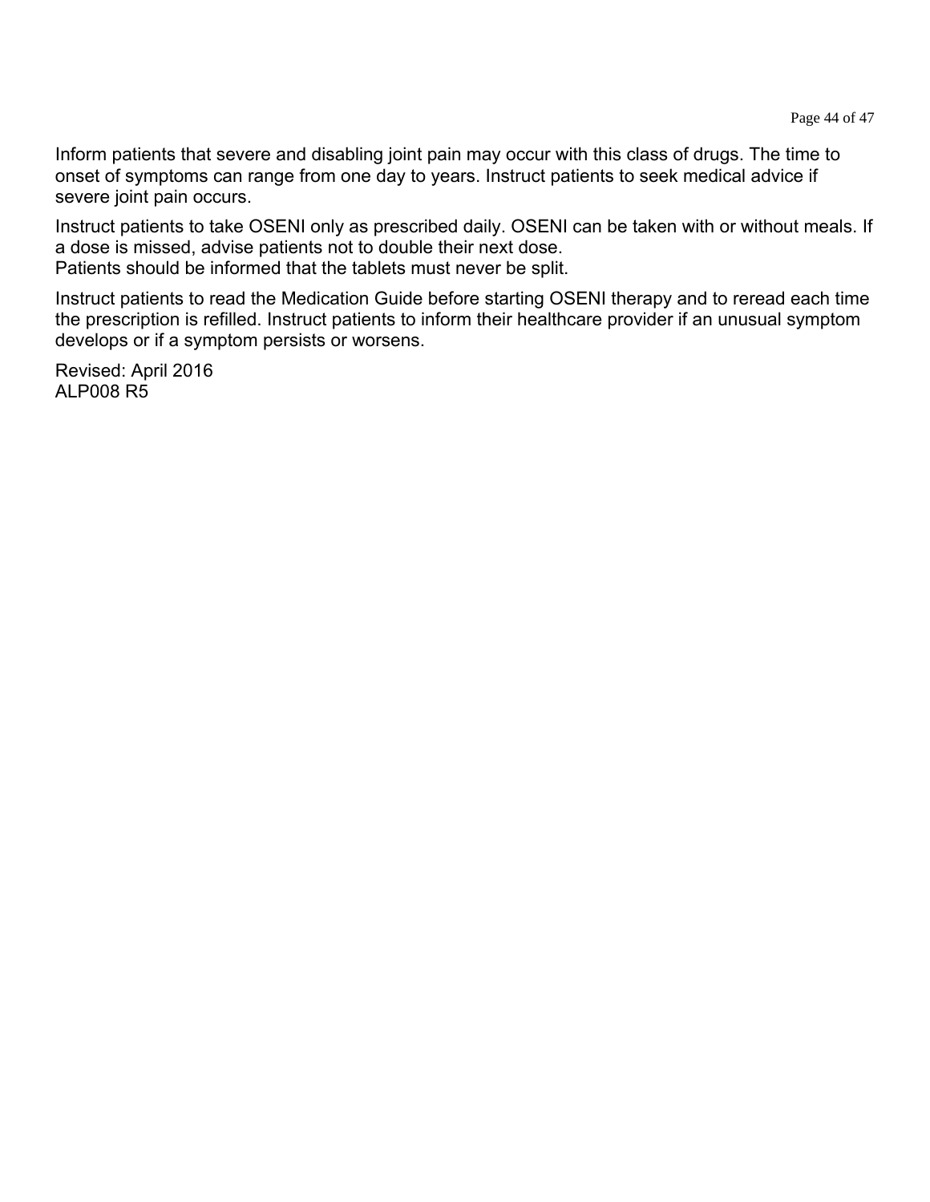Inform patients that severe and disabling joint pain may occur with this class of drugs. The time to onset of symptoms can range from one day to years. Instruct patients to seek medical advice if severe joint pain occurs.

Instruct patients to take OSENI only as prescribed daily. OSENI can be taken with or without meals. If a dose is missed, advise patients not to double their next dose. Patients should be informed that the tablets must never be split.

Instruct patients to read the Medication Guide before starting OSENI therapy and to reread each time the prescription is refilled. Instruct patients to inform their healthcare provider if an unusual symptom develops or if a symptom persists or worsens.

Revised: April 2016 ALP008 R5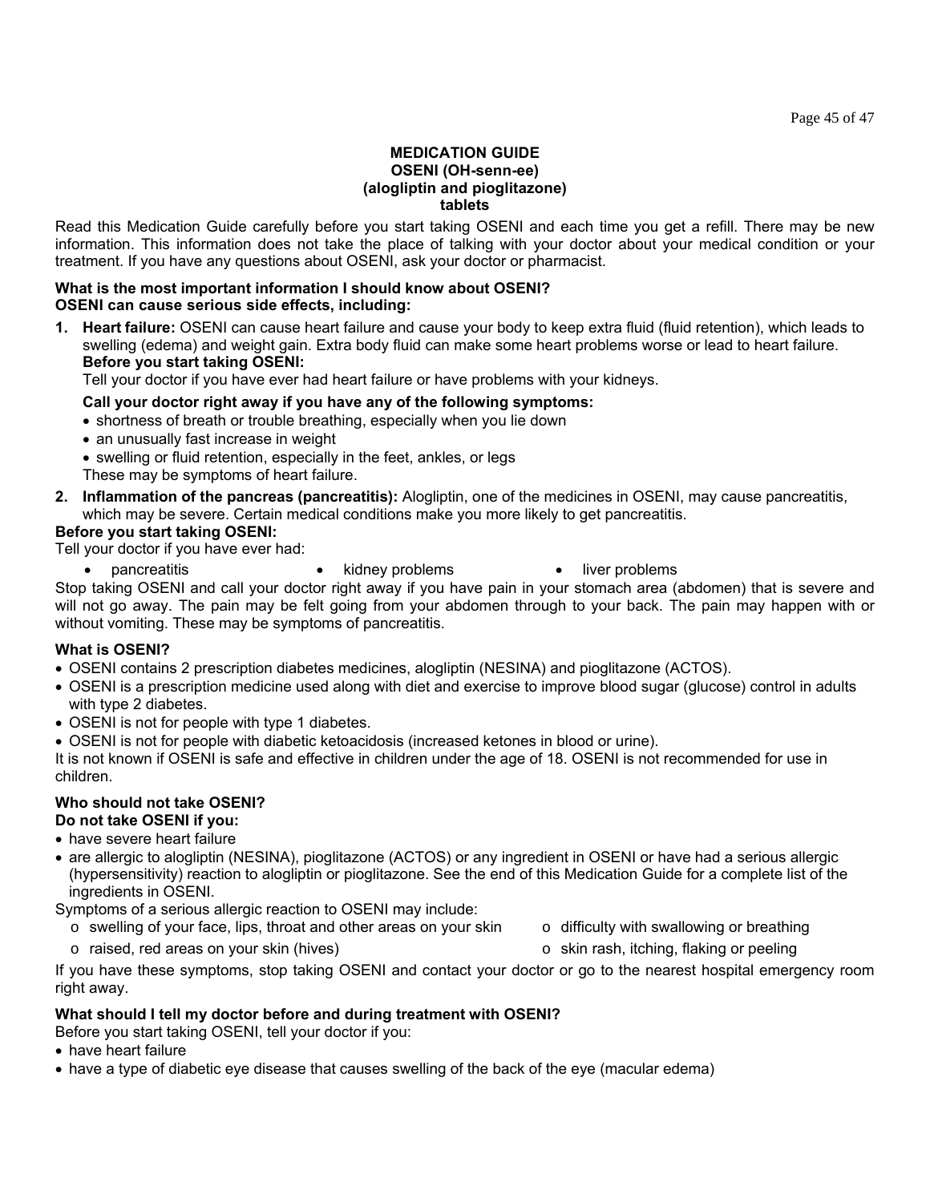#### **MEDICATION GUIDE OSENI (OH-senn-ee) (alogliptin and pioglitazone) tablets**

Read this Medication Guide carefully before you start taking OSENI and each time you get a refill. There may be new information. This information does not take the place of talking with your doctor about your medical condition or your treatment. If you have any questions about OSENI, ask your doctor or pharmacist.

#### **What is the most important information I should know about OSENI? OSENI can cause serious side effects, including:**

**1. Heart failure:** OSENI can cause heart failure and cause your body to keep extra fluid (fluid retention), which leads to swelling (edema) and weight gain. Extra body fluid can make some heart problems worse or lead to heart failure. **Before you start taking OSENI:** 

Tell your doctor if you have ever had heart failure or have problems with your kidneys.

#### **Call your doctor right away if you have any of the following symptoms:**

- shortness of breath or trouble breathing, especially when you lie down
- an unusually fast increase in weight
- swelling or fluid retention, especially in the feet, ankles, or legs
- These may be symptoms of heart failure.
- **2. Inflammation of the pancreas (pancreatitis):** Alogliptin, one of the medicines in OSENI, may cause pancreatitis, which may be severe. Certain medical conditions make you more likely to get pancreatitis.

#### **Before you start taking OSENI:**

Tell your doctor if you have ever had:

- 
- pancreatitis **and Community Community** extended to kidney problems and the liver problems

Stop taking OSENI and call your doctor right away if you have pain in your stomach area (abdomen) that is severe and will not go away. The pain may be felt going from your abdomen through to your back. The pain may happen with or without vomiting. These may be symptoms of pancreatitis.

#### **What is OSENI?**

- OSENI contains 2 prescription diabetes medicines, alogliptin (NESINA) and pioglitazone (ACTOS).
- OSENI is a prescription medicine used along with diet and exercise to improve blood sugar (glucose) control in adults with type 2 diabetes.
- OSENI is not for people with type 1 diabetes.
- OSENI is not for people with diabetic ketoacidosis (increased ketones in blood or urine).

It is not known if OSENI is safe and effective in children under the age of 18. OSENI is not recommended for use in children.

#### **Who should not take OSENI?**

# **Do not take OSENI if you:**

- have severe heart failure
- are allergic to alogliptin (NESINA), pioglitazone (ACTOS) or any ingredient in OSENI or have had a serious allergic (hypersensitivity) reaction to alogliptin or pioglitazone. See the end of this Medication Guide for a complete list of the ingredients in OSENI.

Symptoms of a serious allergic reaction to OSENI may include:

- $\circ$  swelling of your face, lips, throat and other areas on your skin  $\circ$  difficulty with swallowing or breathing
- o raised, red areas on your skin (hives) o skin rash, itching, flaking or peeling
- -

If you have these symptoms, stop taking OSENI and contact your doctor or go to the nearest hospital emergency room right away.

#### **What should I tell my doctor before and during treatment with OSENI?**

Before you start taking OSENI, tell your doctor if you:

- have heart failure
- have a type of diabetic eye disease that causes swelling of the back of the eye (macular edema)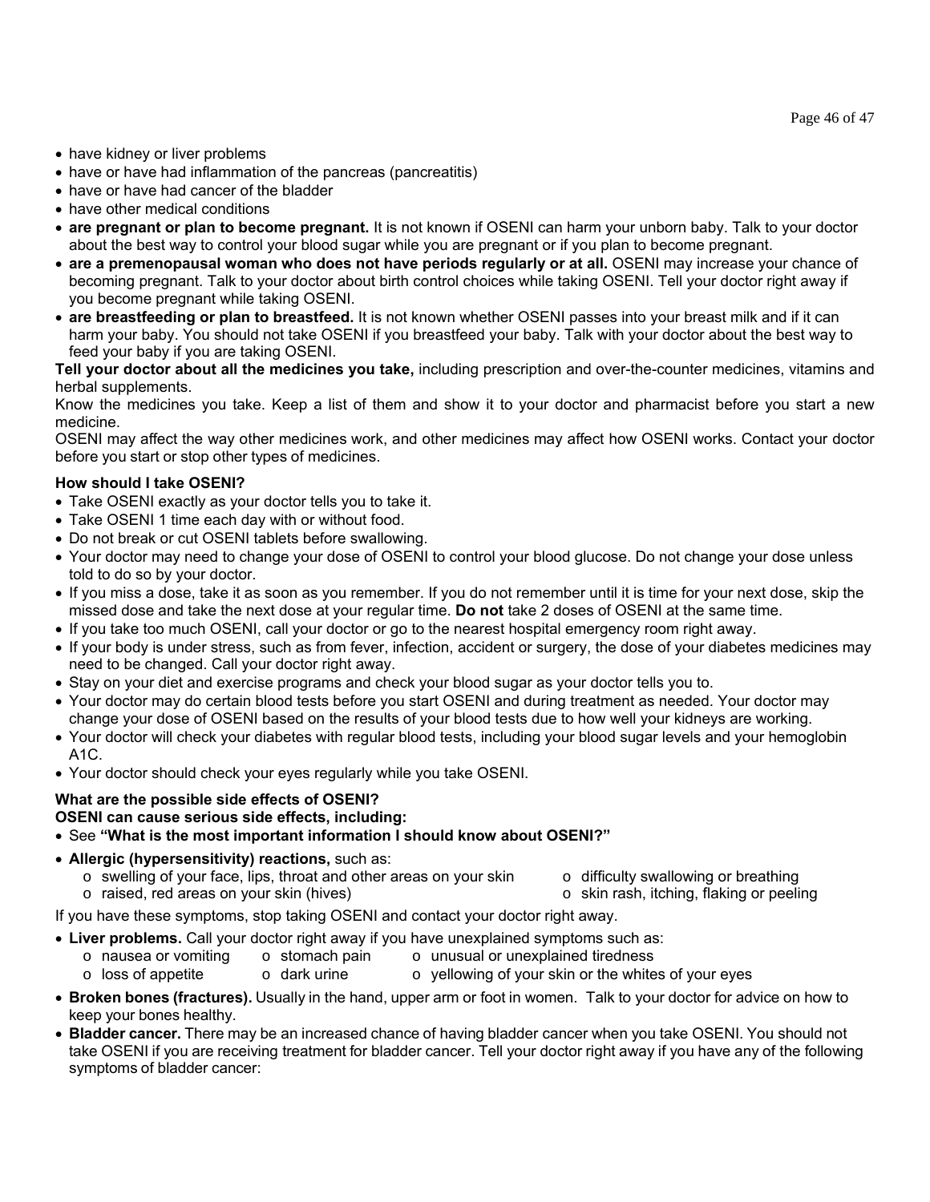- have kidney or liver problems
- have or have had inflammation of the pancreas (pancreatitis)
- have or have had cancer of the bladder
- have other medical conditions
- **are pregnant or plan to become pregnant.** It is not known if OSENI can harm your unborn baby. Talk to your doctor about the best way to control your blood sugar while you are pregnant or if you plan to become pregnant.
- **are a premenopausal woman who does not have periods regularly or at all.** OSENI may increase your chance of becoming pregnant. Talk to your doctor about birth control choices while taking OSENI. Tell your doctor right away if you become pregnant while taking OSENI.
- **are breastfeeding or plan to breastfeed.** It is not known whether OSENI passes into your breast milk and if it can harm your baby. You should not take OSENI if you breastfeed your baby. Talk with your doctor about the best way to feed your baby if you are taking OSENI.

**Tell your doctor about all the medicines you take,** including prescription and over-the-counter medicines, vitamins and herbal supplements.

Know the medicines you take. Keep a list of them and show it to your doctor and pharmacist before you start a new medicine.

OSENI may affect the way other medicines work, and other medicines may affect how OSENI works. Contact your doctor before you start or stop other types of medicines.

#### **How should I take OSENI?**

- Take OSENI exactly as your doctor tells you to take it.
- Take OSENI 1 time each day with or without food.
- Do not break or cut OSENI tablets before swallowing.
- Your doctor may need to change your dose of OSENI to control your blood glucose. Do not change your dose unless told to do so by your doctor.
- If you miss a dose, take it as soon as you remember. If you do not remember until it is time for your next dose, skip the missed dose and take the next dose at your regular time. **Do not** take 2 doses of OSENI at the same time.
- If you take too much OSENI, call your doctor or go to the nearest hospital emergency room right away.
- If your body is under stress, such as from fever, infection, accident or surgery, the dose of your diabetes medicines may need to be changed. Call your doctor right away.
- Stay on your diet and exercise programs and check your blood sugar as your doctor tells you to.
- Your doctor may do certain blood tests before you start OSENI and during treatment as needed. Your doctor may change your dose of OSENI based on the results of your blood tests due to how well your kidneys are working.
- Your doctor will check your diabetes with regular blood tests, including your blood sugar levels and your hemoglobin A1C.
- Your doctor should check your eyes regularly while you take OSENI.

#### **What are the possible side effects of OSENI?**

#### **OSENI can cause serious side effects, including:**

- See **"What is the most important information I should know about OSENI?"**
- **Allergic (hypersensitivity) reactions,** such as:
	- o swelling of your face, lips, throat and other areas on your skin o difficulty swallowing or breathing<br>o raised, red areas on your skin (hives) so skin rash, itching, flaking or peeling
		-

 $\circ$  raised, red areas on your skin (hives)

- 
- If you have these symptoms, stop taking OSENI and contact your doctor right away.
- **Liver problems.** Call your doctor right away if you have unexplained symptoms such as:
	- $\circ$  nausea or vomiting  $\circ$  stomach pain  $\circ$  unusual or unexplained tiredness
	- $\circ$  loss of appetite  $\circ$  dark urine  $\circ$  yellowing of your skin or the whites of your eyes
- **Broken bones (fractures).** Usually in the hand, upper arm or foot in women. Talk to your doctor for advice on how to keep your bones healthy.
- **Bladder cancer.** There may be an increased chance of having bladder cancer when you take OSENI. You should not take OSENI if you are receiving treatment for bladder cancer. Tell your doctor right away if you have any of the following symptoms of bladder cancer: